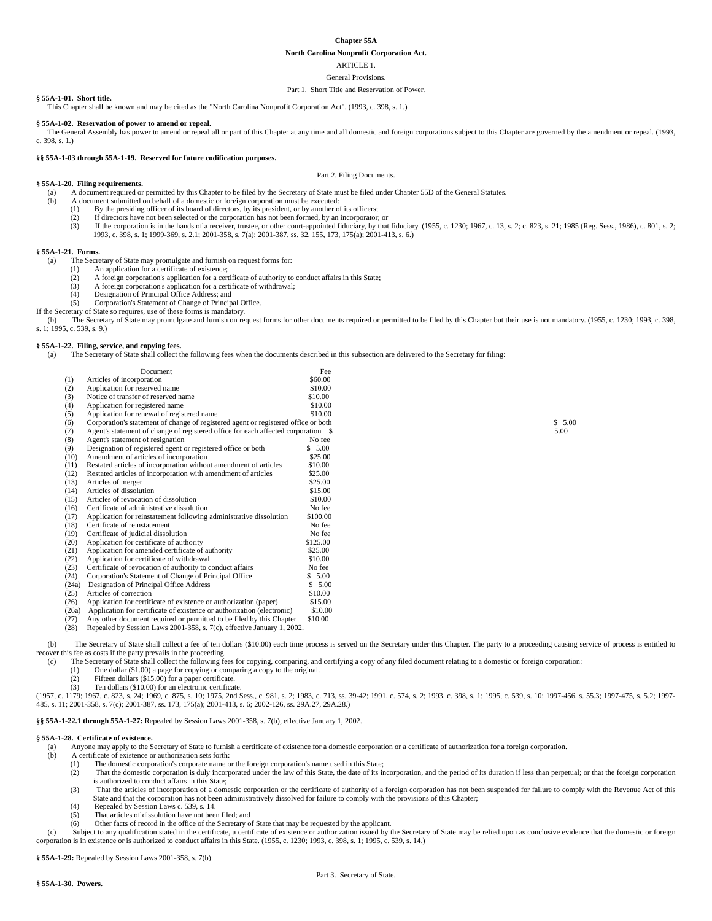# **Chapter 55A North Carolina Nonprofit Corporation Act.**

ARTICLE 1.

General Provisions.

# Part 1. Short Title and Reservation of Power.

# **§ 55A-1-01. Short title.**

This Chapter shall be known and may be cited as the "North Carolina Nonprofit Corporation Act". (1993, c. 398, s. 1.)

# **§ 55A-1-02. Reservation of power to amend or repeal.**

The General Assembly has power to amend or repeal all or part of this Chapter at any time and all domestic and foreign corporations subject to this Chapter are governed by the amendment or repeal. (1993, c. 398, s. 1.)

# **§§ 55A-1-03 through 55A-1-19. Reserved for future codification purposes.**

# **§ 55A-1-20. Filing requirements.**

Part 2. Filing Documents.

A document required or permitted by this Chapter to be filed by the Secretary of State must be filed under Chapter 55D of the General Statutes.

- (b) A document submitted on behalf of a domestic or foreign corporation must be executed:
	- (1) By the presiding officer of its board of directors, by its president, or by another of its officers;
	- (2) If directors have not been selected or the corporation has not been formed, by an incorporator; or (3) If the corporation is in the hands of a receiver, trustee, or other court-appointed fiduciary, by that
	- (3) If the corporation is in the hands of a receiver, trustee, or other court-appointed fiduciary, by that fiduciary. (1955, c. 1230; 1967, c. 13, s. 2; c. 823, s. 21; 1985 (Reg. Sess., 1986), c. 801, s. 2; 1985, (Reg. Ses

# **§ 55A-1-21. Forms.**

(a) The Secretary of State may promulgate and furnish on request forms for:<br>(1) An application for a certificate of existence;

- An application for a certificate of existence;
- (2) A foreign corporation's application for a certificate of authority to conduct affairs in this State;
- (3) A foreign corporation's application for a certificate of withdrawal;
- (4) Designation of Principal Office Address; and<br>(5) Corporation's Statement of Change of Princip
- Corporation's Statement of Change of Principal Office.

If the Secretary of State so requires, use of these forms is mandatory.

(b) The Secretary of State may promulgate and furnish on request forms for other documents required or permitted to be filed by this Chapter but their use is not mandatory. (1955, c. 1230; 1993, c. 398, s. 1; 1995, c. 539, s. 9.)

# **§ 55A-1-22. Filing, service, and copying fees.**

(a) The Secretary of State shall collect the following fees when the documents described in this subsection are delivered to the Secretary for filing:

|       | Document                                                                                | Fee      |
|-------|-----------------------------------------------------------------------------------------|----------|
| (1)   | Articles of incorporation                                                               | \$60.00  |
| (2)   | Application for reserved name                                                           | \$10.00  |
| (3)   | Notice of transfer of reserved name                                                     | \$10.00  |
| (4)   | Application for registered name                                                         | \$10.00  |
| (5)   | Application for renewal of registered name                                              | \$10.00  |
| (6)   | Corporation's statement of change of registered agent or registered office or both      |          |
| (7)   | Agent's statement of change of registered office for each affected corporation \$       |          |
| (8)   | Agent's statement of resignation                                                        | No fee   |
| (9)   | Designation of registered agent or registered office or both                            | \$5.00   |
| (10)  | Amendment of articles of incorporation                                                  | \$25.00  |
| (11)  | Restated articles of incorporation without amendment of articles                        | \$10.00  |
| (12)  | Restated articles of incorporation with amendment of articles                           | \$25.00  |
| (13)  | Articles of merger                                                                      | \$25.00  |
| (14)  | Articles of dissolution                                                                 | \$15.00  |
| (15)  | Articles of revocation of dissolution                                                   | \$10.00  |
| (16)  | Certificate of administrative dissolution                                               | No fee   |
| (17)  | Application for reinstatement following administrative dissolution                      | \$100.00 |
| (18)  | Certificate of reinstatement                                                            | No fee   |
| (19)  | Certificate of judicial dissolution                                                     | No fee   |
| (20)  | Application for certificate of authority                                                | \$125.00 |
| (21)  | Application for amended certificate of authority                                        | \$25.00  |
| (22)  | Application for certificate of withdrawal                                               | \$10.00  |
| (23)  | Certificate of revocation of authority to conduct affairs                               | No fee   |
| (24)  | Corporation's Statement of Change of Principal Office                                   | \$5.00   |
| (24a) | Designation of Principal Office Address                                                 | \$5.00   |
| (25)  | Articles of correction                                                                  | \$10.00  |
| (26)  | Application for certificate of existence or authorization (paper)                       | \$15.00  |
| (26a) | Application for certificate of existence or authorization (electronic)                  | \$10.00  |
| (27)  | A and others disposed and constructed are a constituted to the filled bookbin. Chambers | 61000    |

(27) Any other document required or permitted to be filed by this Chapter \$10.00 (28) Repealed by Session Laws 2001-358, s. 7(c), effective January 1, 2002.

(b) The Secretary of State shall collect a fee of ten dollars (\$10.00) each time process is served on the Secretary under this Chapter. The party to a proceeding causing service of process is entitled to recover this fee as costs if the party prevails in the proceeding.<br>(c) The Secretary of State shall collect the following fees for copying, comparing, and certifying a copy of any filed document relating to a domestic or f

- (1) One dollar (\$1.00) a page for copying or comparing a copy to the original.
- (2) Fifteen dollars  $(\$15.00)$  for a paper certificate.
- (3) Ten dollars (\$10.00) for an electronic certificate.

(1957, c. 1179; 1967, c. 823, s. 24; 1969, c. 875, s. 10; 1975, 2nd Sess., c. 981, s. 2; 1983, c. 713, ss. 39-42; 1991, c. 574, s. 2; 1993, c. 398, s. 1; 1995, c. 539, s. 10; 1997-456, s. 55.3; 1997-475, s. 5.2; 1997-<br>485,

# **§§ 55A-1-22.1 through 55A-1-27:** Repealed by Session Laws 2001-358, s. 7(b), effective January 1, 2002.

**§ 55A-1-28. Certificate of existence.**<br>(a) Anyone may apply to the Secretary of State to furnish a certificate of existence for a domestic corporation or a certificate of authorization for a foreign corporation.

- (b) A certificate of existence or authorization sets forth:
	- (1) The domestic corporation's corporate name or the foreign corporation's name used in this State;
	- (2) That the domestic corporation is duly incorporated under the law of this State, the date of its incorporation, and the period of its duration if less than perpetual; or that the foreign corporation is authorized to conduct affairs in this State;
	- (3) That the articles of incorporation of a domestic corporation or the certificate of authority of a foreign corporation has not been suspended for failure to comply with the Revenue Act of this State and that the corporation has not been administratively dissolved for failure to comply with the provisions of this Chapter;
	- (4) Repealed by Session Laws c. 539, s. 14.
	-
	- (5) That articles of dissolution have not been filed; and (6) Other facts of record in the office of the Secretary of State that may be requested by the applicant.

(c) Subject to any qualification stated in the certificate, a certificate of existence or authorization issued by the Secretary of State may be relied upon as conclusive evidence that the domestic or foreign corporation is in existence or is authorized to conduct affairs in this State. (1955, c. 1230; 1993, c. 398, s. 1; 1995, c. 539, s. 14.)

**§ 55A-1-29:** Repealed by Session Laws 2001-358, s. 7(b).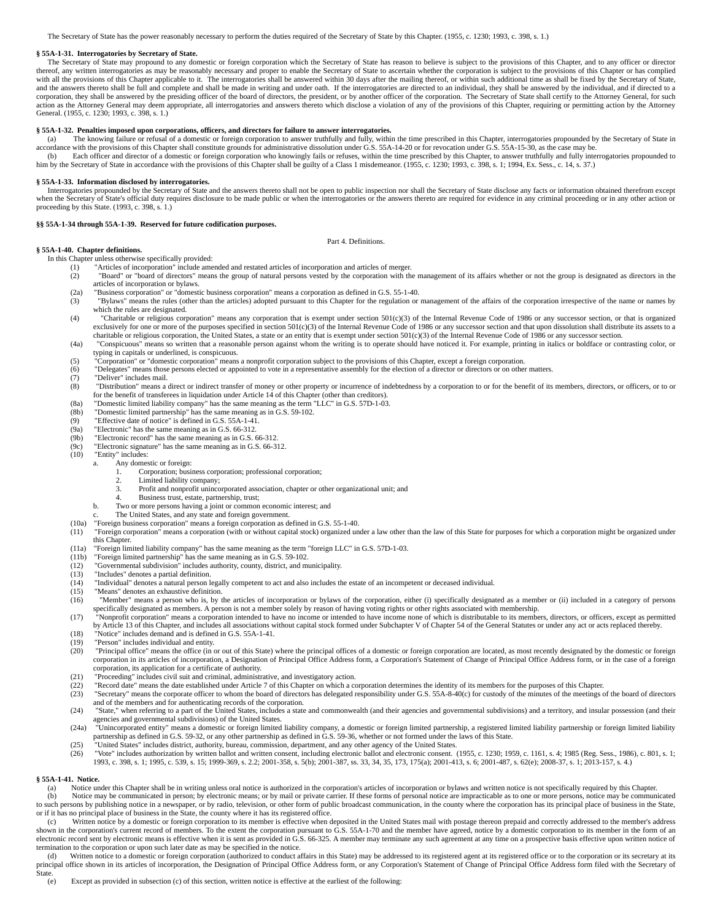The Secretary of State has the power reasonably necessary to perform the duties required of the Secretary of State by this Chapter. (1955, c. 1230; 1993, c. 398, s. 1.)

# **§ 55A-1-31. Interrogatories by Secretary of State.**

The Secretary of State may propound to any domestic or foreign corporation which the Secretary of State has reason to believe is subject to the provisions of this Chapter, and to any officer or director thereof, any written interrogatories as may be reasonably necessary and proper to enable the Secretary of State to ascertain whether the corporation is subject to the provisions of this Chapter or has complied the Secretar with all the provisions of this Chapter applicable to it. The interrogatories shall be answered within 30 days after the mailing thereof, or within such additional time as shall be fixed by the Secretary of State, and the answers thereto shall be full and complete and shall be made in writing and under oath. If the interrogatories are directed to an individual, they shall be answered by the individual, and if directed to a corporation, they shall be answered by the presiding officer of the board of directors, the president, or by another officer of the corporation. The Secretary of State shall certify to the Attorney General, for such action as the Attorney General may deem appropriate, all interrogatories and answers thereto which disclose a violation of any of the provisions of this Chapter, requiring or permitting action by the Attorney General. (1955, c. 1230; 1993, c. 398, s. 1.)

§ 55A-1-32. Penalties imposed upon corporations, officers, and directors for failure to answer interrogatories.<br>(a) The knowing failure or refusal of a domestic or foreign corporation to answer truthfully and fully, within accordance with the provisions of this Chapter shall constitute grounds for administrative dissolution under G.S. 55A-14-20 or for revocation under G.S. 55A-15-30, as the case may be.

Each officer and director of a domestic or foreign corporation who knowingly fails or refuses, within the time prescribed by this Chapter, to answer truthfully and fully interrogatories propounded to him by the Secretary of State in accordance with the provisions of this Chapter shall be guilty of a Class 1 misdemeanor. (1955, c. 1230; 1993, c. 398, s. 1; 1994, Ex. Sess., c. 14, s. 37.)

#### **§ 55A-1-33. Information disclosed by interrogatories.**

Interrogatories propounded by the Secretary of State and the answers thereto shall not be open to public inspection nor shall the Secretary of State disclose any facts or information obtained therefrom except when the Secretary of State's official duty requires disclosure to be made public or when the interrogatories or the answers thereto are required for evidence in any criminal proceeding or in any other action or proceeding by this State. (1993, c. 398, s. 1.)

# **§§ 55A-1-34 through 55A-1-39. Reserved for future codification purposes.**

Part 4. Definitions.

# **§ 55A-1-40. Chapter definitions.**

In this Chapter unless otherwise specifically provided:<br>(1) TArticles of incorporation" include ame

- "Articles of incorporation" include amended and restated articles of incorporation and articles of merger. (2) "Board" or "board of directors" means the group of natural persons vested by the corporation with the management of its affairs whether or not the group is designated as directors in the articles of incorporation or bylaws.
- 
- (2a) "Business corporation" or "domestic business corporation" means a corporation as defined in G.S. 55-1-40. "Bylaws" means the rules (other than the articles) adopted pursuant to this Chapter for the regulation or management of the affairs of the corporation irrespective of the name or names by which the rules are designated.
- (4) "Charitable or religious corporation" means any corporation that is exempt under section 501(c)(3) of the Internal Revenue Code of 1986 or any successor section, or that is organized exclusively for one or more of the purposes specified in section 501(c)(3) of the Internal Revenue Code of 1986 or any successor section and that upon dissolution shall distribute its assets to a<br>charitable or religious co
- (4a) "Conspicuous" means so written that a reasonable person against whom the writing is to operate should have noticed it. For example, printing in italics or boldface or contrasting color, or typing in capitals or underlined, is conspicuous.
- (5) "Corporation" or "domestic corporation" means a nonprofit corporation subject to the provisions of this Chapter, except a foreign corporation.
- (6) "Delegates" means those persons elected or appointed to vote in a representative assembly for the election of a director or directors or on other matters.<br>(7) "Deliver" includes mail.
- $(7)$  "Deliver" includes mail.<br> $(8)$  "Distribution" means a
- "Distribution" means a direct or indirect transfer of money or other property or incurrence of indebtedness by a corporation to or for the benefit of its members, directors, or officers, or of for the benefit of transferees in liquidation under Article 14 of this Chapter (other than creditors).
- (8a) "Domestic limited liability company" has the same meaning as the term "LLC" in G.S. 57D-1-03.
- (8b) "Domestic limited partnership" has the same meaning as in G.S. 59-102.<br>(9) "Effective date of notice" is defined in G.S. 55A-1-41.
- (9) "Effective date of notice" is defined in G.S. 55A-1-41.<br>(9a) "Electronic" has the same meaning as in G.S. 66-312.
- "Electronic" has the same meaning as in G.S. 66-312.
- 
- (9b) "Electronic record" has the same meaning as in G.S. 66-312.<br>(9c) "Electronic signature" has the same meaning as in G.S. 66-31<br>(10) "Entity" includes: "Electronic signature" has the same meaning as in G.S. 66-312.
	- "Entity" includes:
		- a. Any domestic or foreign:<br>1 Corporation: busi
			- Corporation; business corporation; professional corporation;
			- 2. Limited liability company;
				- 3. Profit and nonprofit unincorporated association, chapter or other organizational unit; and 4. Business trust, estate, partnership, trust;
				-
		- b. Two or more persons having a joint or common economic interest; and
- The United States, and any state and foreign government.
- (10a) "Foreign business corporation" means a foreign corporation as defined in G.S. 55-1-40.
- (11) "Foreign corporation" means a corporation (with or without capital stock) organized under a law other than the law of this State for purposes for which a corporation might be organized under this Chapter.
- (11a) "Foreign limited liability company" has the same meaning as the term "foreign LLC" in G.S. 57D-1-03.
- (11b) "Foreign limited partnership" has the same meaning as in G.S. 59-102.
- (12) "Governmental subdivision" includes authority, county, district, and municipality.
- $(13)$  "Includes" denotes a partial definition.<br> $(14)$  "Individual" denotes a natural person l
- (14) "Individual" denotes a natural person legally competent to act and also includes the estate of an incompetent or deceased individual.
- "Means" denotes an exhaustive definition. (16) "Member" means a person who is, by the articles of incorporation or bylaws of the corporation, either (i) specifically designated as a member or (ii) included in a category of persons
- specifically designated as members. A person is not a member solely by reason of having voting rights or other rights associated with membership.<br>(17) "Nonprofit corporation" means a corporation intended to have no income by Article 13 of this Chapter, and includes all associations without capital stock formed under Subchapter V of Chapter 54 of the General Statutes or under any act or acts replaced thereby.
- (18) "Notice" includes demand and is defined in G.S. 55A-1-41.
- (19) "Person" includes individual and entity.
- (20) "Principal office" means the office (in or out of this State) where the principal offices of a domestic or foreign corporation are located, as most recently designated by the domestic or foreign corporation in its articles of incorporation, a Designation of Principal Office Address form, a Corporation's Statement of Change of Principal Office Address form, or in the case of a foreign corporation, its application for a certificate of authority.
- (21) "Proceeding" includes civil suit and criminal, administrative, and investigatory action.
- 
- (22) "Record date" means the date established under Article 7 of this Chapter on which a corporation determines the identity of its members for the purposes of this Chapter.<br>(23) "Secretary" means the corporate officer to and of the members and for authenticating records of the corporation.
- (24) "State," when referring to a part of the United States, includes a state and commonwealth (and their agencies and governmental subdivisions) and a territory, and insular possession (and their agencies and governmental subdivisions) of the United States.
- (24a) "Unincorporated entity" means a domestic or foreign limited liability company, a domestic or foreign limited partnership, a registered limited liability partnership or foreign limited liability partnership as defined in G.S. 59-32, or any other partnership as defined in G.S. 59-36, whether or not formed under the laws of this State.
- (25) "United States" includes district, authority, bureau, commission, department, and any other agency of the United States. (26) "Vote" includes authorization by written ballot and written consent, including electronic ballot and electronic consent. (1955, c. 1230; 1959, c. 1161, s. 4; 1985 (Reg. Sess., 1986), c. 801, s. 1; 1995, c. 599, s. 15;

# **§ 55A-1-41. Notice.**

(a) Notice under this Chapter shall be in writing unless oral notice is authorized in the corporation's articles of incorporation or bylaws and written notice is not specifically required by this Chapter.

(b) Notice may be communicated in person; by electronic means; or by mail or private carrier. If these forms of personal notice are impracticable as to one or more persons, notice may be communicated to such persons by publishing notice in a newspaper, or by radio, television, or other form of public broadcast communication, in the county where the corporation has its principal place of business in the State, or if it has no principal place of business in the State, the county where it has its registered office.<br>(c) Written notice by a domestic or foreign corporation to its member is effective when d

Written notice by a domestic or foreign corporation to its member is effective when deposited in the United States mail with postage thereon prepaid and correctly addressed to the member's address shown in the corporation's current record of members. To the extent the corporation pursuant to G.S. 55A-1-70 and the member have agreed, notice by a domestic corporation to its member in the form of an electronic record sent by electronic means is effective when it is sent as provided in G.S. 66-325. A member may terminate any such agreement at any time on a prospective basis effective upon written notice of termination to the corporation or upon such later date as may be specified in the notice.<br>(d) Written notice to a domestic or foreign corporation (authorized to conduct a

Written notice to a domestic or foreign corporation (authorized to conduct affairs in this State) may be addressed to its registered agent at its registered office or to the corporation or its secretary at its principal office shown in its articles of incorporation, the Designation of Principal Office Address form, or any Corporation's Statement of Change of Principal Office Address form filed with the Secretary of State.

(e) Except as provided in subsection (c) of this section, written notice is effective at the earliest of the following: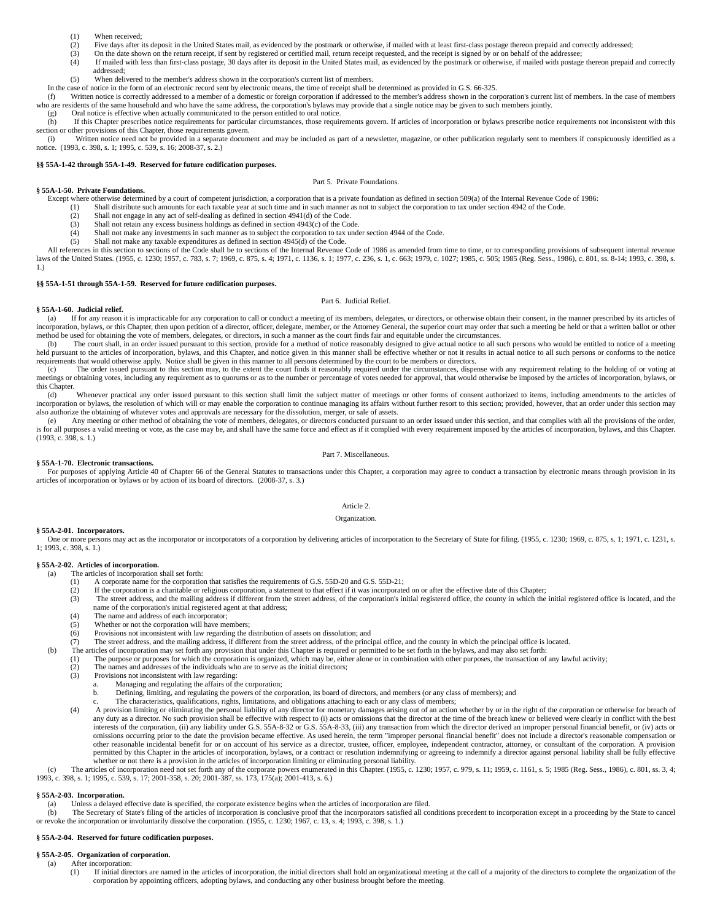- (1) When received;
- Five days after its deposit in the United States mail, as evidenced by the postmark or otherwise, if mailed with at least first-class postage thereon prepaid and correctly addressed;<br>
(3) On the date shown on the return re
- 
- (3) On the date shown on the return receipt, if sent by registered or certified mail, return receipt requested, and the receipt is signed by or on behalf of the addressee;<br>(4) If mailed with less than first-class postage, addressed;
	- (5) When delivered to the member's address shown in the corporation's current list of members.

In the case of notice in the form of an electronic record sent by electronic means, the time of receipt shall be determined as provided in G.S. 66-325.<br>(f) Written notice is correctly addressed to a member of a domestic or who are residents of the same household and who have the same address, the corporation's bylaws may provide that a single notice may be given to such members jointly.

(g) Oral notice is effective when actually communicated to the person entitled to oral notice.

(h) If this Chapter prescribes notice requirements for particular circumstances, those requirements govern. If articles of incorporation or bylaws prescribe notice requirements not inconsistent with this

section or other provisions of this Chapter, those requirements govern.<br>(i) Written notice need not be provided in a separate document and may be included as part of a newsletter, magazine, or other publication regularly s notice. (1993, c. 398, s. 1; 1995, c. 539, s. 16; 2008-37, s. 2.)

# **§§ 55A-1-42 through 55A-1-49. Reserved for future codification purposes.**

# Part 5. Private Foundations.

Except where otherwise determined by a court of competent jurisdiction, a corporation that is a private foundation as defined in section 509(a) of the Internal Revenue Code of 1986:

- (1) Shall distribute such amounts for each taxable year at such time and in such manner as not to subject the corporation to tax under section 4942 of the Code.<br>(2) Shall not engage in any act of self-dealing as defined in
	-
	- (3) Shall not retain any excess business holdings as defined in section 4943(c) of the Code.
	- (4) Shall not make any investments in such manner as to subject the corporation to tax under section 4944 of the Code.
	- $(5)$  Shall not make any taxable expenditures as defined in section 4945 $(d)$  of the Code.

All references in this section to sections of the Code shall be to sections of the Internal Revenue Code of 1986 as amended from time to time, or to corresponding provisions of subsequent internal revenue laws of the Unite 1.)

#### **§§ 55A-1-51 through 55A-1-59. Reserved for future codification purposes.**

### Part 6. Judicial Relief.

**§ 55A-1-60. Judicial relief.**

**§ 55A-1-50. Private Foundations.**

(a) If for any reason it is impracticable for any corporation to call or conduct a meeting of its members, delegates, or directors, or otherwise obtain their consent, in the manner prescribed by its articles of incorporation, bylaws, or this Chapter, then upon petition of a director, officer, delegate, member, or the Attorney General, the superior court may order that such a meeting be held or that a written ballot or other<br>metho

(b) The court shall, in an order issued pursuant to this section, provide for a method of notice reasonably designed to give actual notice o all such persons who would be entitled to notice of a meeting held pursuant to the articles of incorporation, bylaws, and this Chapter, and notice given in this manner shall be effective whether or not it results in actual notice to all such persons or conforms to the notice requirements that would otherwise apply. Notice shall be given in this manner to all persons determined by the court to be members or directors.

(c) The order issued pursuant to this section may, to the extent the court finds it reasonably required under the circumstances, dispense with any requirement relating to the holding of or voting at the number or percentag this Chapter.

(d) Whenever practical any order issued pursuant to this section shall limit the subject matter of meetings or other forms of consent authorized to items, including amendments to the articles of incorporation or bylaws, the resolution of which will or may enable the corporation to continue managing its affairs without further resort to this section; provided, however, that an order under this section may also authorize the obtaining of whatever votes and approvals are necessary for the dissolution, merger, or sale of assets.<br>(e) Any meeting or other method of obtaining the vote of members, delegates, or directors conducted

is for all purposes a valid meeting or vote, as the case may be, and shall have the same force and effect as if it complied with every requirement imposed by the articles of incorporation, bylaws, and this Chapter. (1993, c. 398, s. 1.)

# Part 7. Miscellaneous.

For purposes of applying Article 40 of Chapter 66 of the General Statutes to transactions under this Chapter, a corporation may agree to conduct a transaction by electronic means through provision in its articles of incorporation or bylaws or by action of its board of directors. (2008-37, s. 3.)

# Article 2.

# Organization.

# **§ 55A-2-01. Incorporators.**

One or more persons may act as the incorporator or incorporators of a corporation by delivering articles of incorporation to the Secretary of State for filing. (1955, c. 1230; 1969, c. 875, s. 1; 1971, c. 1231, s.  $1:1993, c.398, s. 1.$ 

# **§ 55A-2-02. Articles of incorporation.**

**§ 55A-1-70. Electronic transactions.**

The articles of incorporation shall set forth:<br>(1)  $\overline{a}$  A corporate name for the corporation

- A corporate name for the corporation that satisfies the requirements of G.S. 55D-20 and G.S. 55D-21;
- (2) If the corporation is a charitable or religious corporation, a statement to that effect if it was incorporated on or after the effective date of this Chapter;
- (3) The street address, and the mailing address if different from the street address, of the corporation's initial registered office, the county in which the initial registered office is located, and the name of the corporation's initial registered agent at that address;
- (4) The name and address of each incorporator;
- (5) Whether or not the corporation will have members;
- (6) Provisions not inconsistent with law regarding the distribution of assets on dissolution; and
- (7) The street address, and the mailing address, if different from the street address, of the principal office, and the county in which the principal office is located.
- (b) The articles of incorporation may set forth any provision that under this Chapter is required or permitted to be set forth in the bylaws, and may also set forth:<br>(1) The purpose or purposes for which the corporation is
	- The purpose or purposes for which the corporation is organized, which may be, either alone or in combination with other purposes, the transaction of any lawful activity; (2) The names and addresses of the individuals who are to serve as the initial directors;
	- (3) Provisions not inconsistent with law regarding:
		-
		- a. Managing and regulating the affairs of the corporation; b. Defining, limiting, and regulating the powers of the corporation, its board of directors, and members (or any class of members); and
		- The characteristics, qualifications, rights, limitations, and obligations attaching to each or any class of members;
	- (4) A provision limiting or eliminating the personal liability of any director for monetary damages arising out of an action whether by or in the right of the corporation or otherwise for breach of any duty as a director. interests of the corporation, (ii) any liability under G.S. 55A-8-32 or G.S. 55A-8-33, (iii) any transaction from which the director derived an improper personal financial benefit, or (iv) acts or omissions occurring prior to the date the provision became effective. As used herein, the term "improper personal financial benefit" does not include a director's reasonable compensation or other reasonable incidental benefit for or on account of his service as a director, trustee, officer, employee, independent contractor, attorney, or consultant of the corporation. A provision permitted by this Chapter in the articles of incorporation, bylaws, or a contract or resolution indemnifying or agreeing to indemnify a director against personal liability shall be fully effective
- whether or not there is a provision in the articles of incorporation limiting or eliminating personal liability.<br>(c) The articles of incorporation need not set forth any of the corporate powers enumerated in this Chapter. 1993, c. 398, s. 1; 1995, c. 539, s. 17; 2001-358, s. 20; 2001-387, ss. 173, 175(a); 2001-413, s. 6.)

#### **§ 55A-2-03. Incorporation.**

(a) Unless a delayed effective date is specified, the corporate existence begins when the articles of incorporation are filed.<br>(b) The Secretary of State's filing of the articles of incorporation is conclusive proof that t

The Secretary of State's filing of the articles of incorporation is conclusive proof that the incorporators satisfied all conditions precedent to incorporation except in a proceeding by the State to cancel or revoke the incorporation or involuntarily dissolve the corporation. (1955, c. 1230; 1967, c. 13, s. 4; 1993, c. 398, s. 1.)

# **§ 55A-2-04. Reserved for future codification purposes.**

# **§ 55A-2-05. Organization of corporation.**

- (a) After incorporation:<br>(1) If initial dire
	- If initial directors are named in the articles of incorporation, the initial directors shall hold an organizational meeting at the call of a majority of the directors to complete the organization of the corporation by appointing officers, adopting bylaws, and conducting any other business brought before the meeting.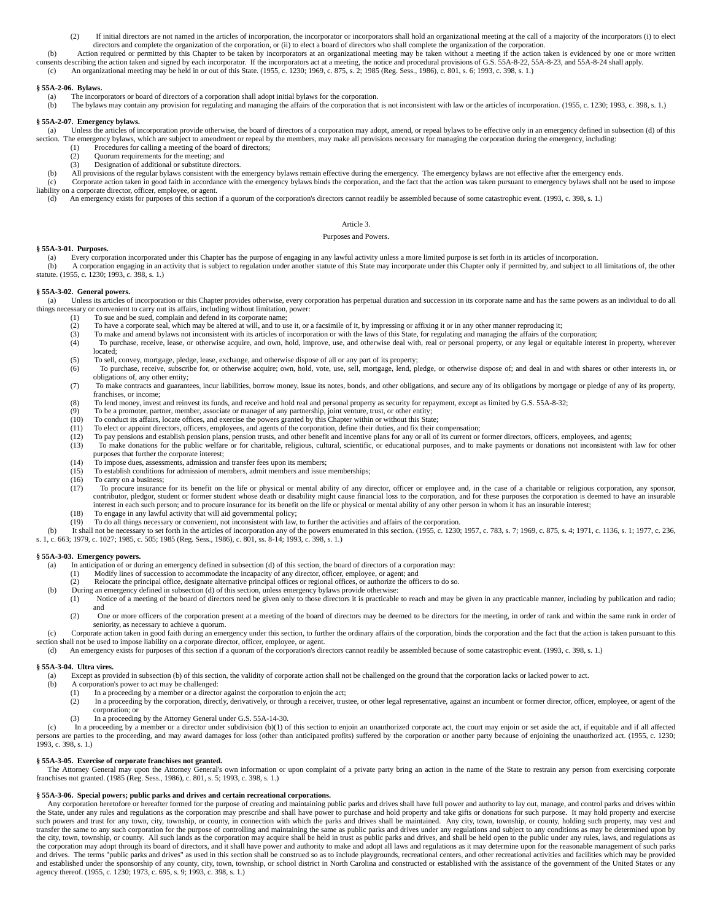(2) If initial directors are not named in the articles of incorporation, the incorporator or incorporators shall hold an organizational meeting at the call of a majority of the incorporators (i) to elect directors and complete the organization of the corporation, or (ii) to elect a board of directors who shall complete the organization of the corporation.

(b) Action required or permitted by this Chapter to be taken by incorporators at an organizational meeting may be taken without a meeting if the action taken is evidenced by one or more written consents describing the acti (c) An organizational meeting may be held in or out of this State. (1955, c. 1230; 1969, c. 875, s. 2; 1985 (Reg. Sess., 1986), c. 801, s. 6; 1993, c. 398, s. 1.)

# **§ 55A-2-06. Bylaws.**

- (a) The incorporators or board of directors of a corporation shall adopt initial bylaws for the corporation.<br>(b) The bylaws may contain any provision for regulating and managing the affairs of the corporation that
- The bylaws may contain any provision for regulating and managing the affairs of the corporation that is not inconsistent with law or the articles of incorporation. (1955, c. 1230; 1993, c. 398, s. 1.)

## **§ 55A-2-07. Emergency bylaws.**

(a) Unless the articles of incorporation provide otherwise, the board of directors of a corporation may adopt, amend, or repeal bylaws to be effective only in an emergency defined in subsection (d) of this section. The eme

- (1) Procedures for calling a meeting of the board of directors;
	- (2) Quorum requirements for the meeting; and
	- (3) Designation of additional or substitute directors.
- 
- (b) All provisions of the regular bylaws consistent with the emergency bylaws remain effective during the emergency. The emergency bylaws are not effective after the emergency ends.<br>(c) Corporate action taken in good faith liability on a corporate director, officer, employee, or agent.
- (d) An emergency exists for purposes of this section if a quorum of the corporation's directors cannot readily be assembled because of some catastrophic event. (1993, c. 398, s. 1.)

#### Article 3.

#### Purposes and Powers.

#### **§ 55A-3-01. Purposes.**

(a) Every corporation incorporated under this Chapter has the purpose of engaging in any lawful activity unless a more limited purpose is set forth in its articles of incorporation.<br>(b) A corporation engaging in an activit

A corporation engaging in an activity that is subject to regulation under another statute of this State may incorporate under this Chapter only if permitted by, and subject to all limitations of, the other statute. (1955, c. 1230; 1993, c. 398, s. 1.)

# **§ 55A-3-02. General powers.**

- Unless its articles of incorporation or this Chapter provides otherwise, every corporation has perpetual duration and succession in its corporate name and has the same powers as an individual to do all things necessary or convenient to carry out its affairs, including without limitation, power:
	- (1) To sue and be sued, complain and defend in its corporate name;
	- (2) To have a corporate seal, which may be altered at will, and to use it, or a facsimile of it, by impressing or affixing it or in any other manner reproducing it;<br>(3) To make and amend bylaws not inconsistent with its ar
	-
	- (4) To purchase, receive, lease, or otherwise acquire, and own, hold, improve, use, and otherwise deal with, real or personal property, or any legal or equitable interest in property, wherever located;
	- (5) To sell, convey, mortgage, pledge, lease, exchange, and otherwise dispose of all or any part of its property;
	- (6) To purchase, receive, subscribe for, or otherwise acquire; own, hold, vote, use, sell, mortgage, lend, pledge, or otherwise dispose of; and deal in and with shares or other interests in, or obligations of, any other entity;
	- (7) To make contracts and guarantees, incur liabilities, borrow money, issue its notes, bonds, and other obligations, and secure any of its obligations by mortgage or pledge of any of its property, franchises, or income:
	- (8) To lend money, invest and reinvest its funds, and receive and hold real and personal property as security for repayment, except as limited by G.S. 55A-8-32;<br>(9) To be a promoter, partner, member, associate or manager o
	-
	- (10) To conduct its affairs, locate offices, and exercise the powers granted by this Chapter within or without this State;
	- (11) To elect or appoint directors, officers, employees, and agents of the corporation, define their duties, and fix their compensation;
	- (12) To pay pensions and establish pension plans, pension trusts, and other benefit and incentive plans for any or all of its current or former directors, officers, employees, and agents; (13) To make donations for the public welfare or for charitable, religious, cultural, scientific, or educational purposes, and to make payments or donations not inconsistent with law for other purposes that further the corporate interest;
	- (14) To impose dues, assessments, admission and transfer fees upon its members;
	- (15) To establish conditions for admission of members, admit members and issue memberships;
	- (16) To carry on a business;
	- (17) To procure insurance for its benefit on the life or physical or mental ability of any director, officer or employee and, in the case of a charitable or religious corporation, any sponsor, contributor, pledgor, student or former student whose death or disability might cause financial loss to the corporation, and for these purposes the corporation is deemed to have an insurable interest in each such person; and to procure insurance for its benefit on the life or physical or mental ability of any other person in whom it has an insurable interest;
	- (18) To engage in any lawful activity that will aid governmental policy;<br>(19) To do all things necessary or convenient, not inconsistent with law.
	- To do all things necessary or convenient, not inconsistent with law, to further the activities and affairs of the corporation.
- (b) It shall not be necessary to set forth in the articles of incorporation any of the powers enumerated in this section. (1955, c. 1230; 1957, c. 783, s. 7; 1969, c. 875, s. 4; 1971, c. 1136, s. 1; 1977, c. 236, s. 1, c. 663; 1979, c. 1027; 1985, c. 505; 1985 (Reg. Sess., 1986), c. 801, ss. 8-14; 1993, c. 398, s. 1.)

# **§ 55A-3-03. Emergency powers.**

- (a) In anticipation of or during an emergency defined in subsection (d) of this section, the board of directors of a corporation may:<br>(1) Modify lines of succession to accommodate the incapacity of any director, officer, e
	- (1) Modify lines of succession to accommodate the incapacity of any director, officer, employee, or agent; and<br>(2) Relocate the principal office, designate alternative principal offices or regional offices, or authorize th
	- Relocate the principal office, designate alternative principal offices or regional offices, or authorize the officers to do so.
- (b) During an emergency defined in subsection (d) of this section, unless emergency bylaws provide otherwise:
	- (1) Notice of a meeting of the board of directors need be given only to those directors it is practicable to reach and may be given in any practicable manner, including by publication and radio; and
	- (2) One or more officers of the corporation present at a meeting of the board of directors may be deemed to be directors for the meeting, in order of rank and within the same rank in order of seniority, as necessary to achieve a quorum.

(c) Corporate action taken in good faith during an emergency under this section, to further the ordinary affairs of the corporation, binds the corporation and the fact that the action is taken pursuant to this section shall not be used to impose liability on a corporate director, officer, employee, or agent.<br>(d) An emergency exists for purposes of this section if a quorum of the corporation's dir

An emergency exists for purposes of this section if a quorum of the corporation's directors cannot readily be assembled because of some catastrophic event. (1993, c. 398, s. 1.)

#### **§ 55A-3-04. Ultra vires.**

- (a) Except as provided in subsection (b) of this section, the validity of corporate action shall not be challenged on the ground that the corporation lacks or lacked power to act.<br>(b) A corporation's power to act may be ch
	- A corporation's power to act may be challenged:<br>(1) In a proceeding by a member or a directo
		- (1) In a proceeding by a member or a director against the corporation to enjoin the act;<br>(2) In a proceeding by the corporation, directly, derivatively, or through a receiver, trust
		- In a proceeding by the corporation, directly, derivatively, or through a receiver, trustee, or other legal representative, against an incumbent or former director, officer, employee, or agent of the corporation; or
		- (3) In a proceeding by the Attorney General under G.S. 55A-14-30.

(c) In a proceeding by a member or a director under subdivision (b)(1) of this section to enjoin an unauthorized corporate act, the court may enjoin or set aside the act, if equitable and if all affected persons are parties to the proceeding, and may award damages for loss (other than anticipated profits) suffered by the corporation or another party because of enjoining the unauthorized act. (1955, c. 1230; 1993, c. 398, s. 1.)

# **§ 55A-3-05. Exercise of corporate franchises not granted.**

The Attorney General may upon the Attorney General's own information or upon complaint of a private party bring an action in the name of the State to restrain any person from exercising corporate franchises not granted. (1985 (Reg. Sess., 1986), c. 801, s. 5; 1993, c. 398, s. 1.)

#### **§ 55A-3-06. Special powers; public parks and drives and certain recreational corporations.**

Any corporation heretofore or hereafter formed for the purpose of creating and maintaining public parks and drives shall have full power and authority to lay out, manage, and control parks and drives within the State, under any rules and regulations as the corporation may prescribe and shall have power to purchase and hold property and take gifts or donations for such purpose. It may hold property and exercise such powers and trust for any town, city, township, or county, in connection with which the parks and drives shall be maintained. Any city, town, township, or county, holding such property, may vest and transfer the same to any such corporation for the purpose of controlling and maintaining the same as public parks and drives under any regulations and subject to any conditions as may be determined upon by the city, town, township, or county. All such lands as the corporation may acquire shall be held in trust as public parks and drives, and shall be held open to the public under any rules, laws, and regulations as the corporation may adopt through its board of directors, and it shall have power and authority to make and adopt all laws and regulations as it may determine upon for the reasonable management of such parks and drives. The terms "public parks and drives" as used in this section shall be construed so as to include playgrounds, recreational centers, and other recreational activities and facilities which may be provided and established under the sponsorship of any county, city, town, township, or school district in North Carolina and constructed or established with the assistance of the government of the United States or any agency thereof. (1955, c. 1230; 1973, c. 695, s. 9; 1993, c. 398, s. 1.)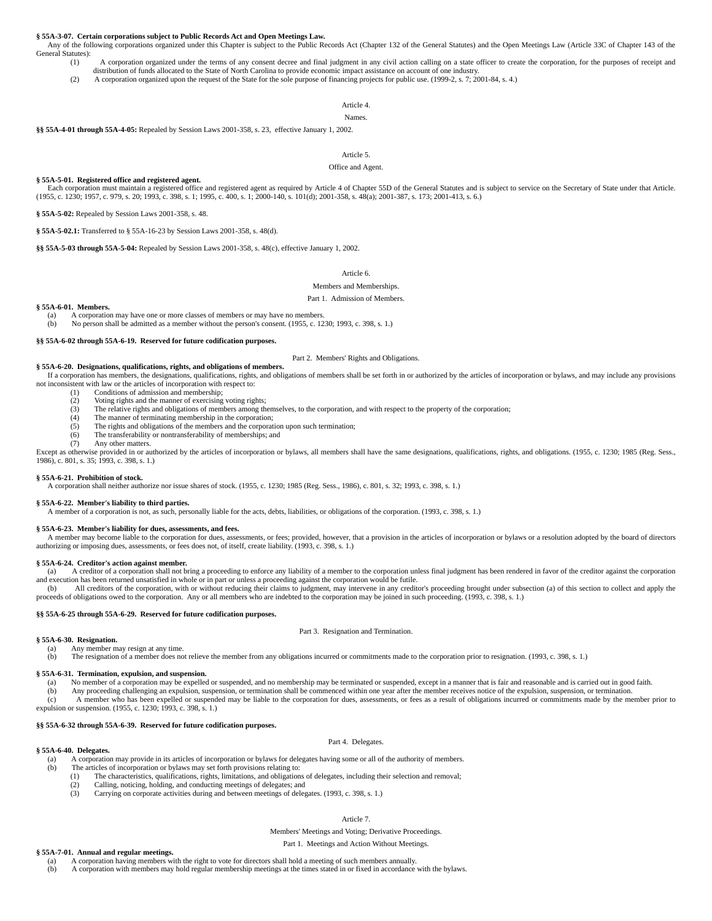# **§ 55A-3-07. Certain corporations subject to Public Records Act and Open Meetings Law.**

- Any of the following corporations organized under this Chapter is subject to the Public Records Act (Chapter 132 of the General Statutes) and the Open Meetings Law (Article 33C of Chapter 143 of the General Statutes):
	- (1) A corporation organized under the terms of any consent decree and final judgment in any civil action calling on a state officer to create the corporation, for the purposes of receipt and distribution of funds allocated to the State of North Carolina to provide economic impact assistance on account of one industry.
	- (2) A corporation organized upon the request of the State for the sole purpose of financing projects for public use. (1999-2, s. 7; 2001-84, s. 4.)

Article 4.

### Names.

**§§ 55A-4-01 through 55A-4-05:** Repealed by Session Laws 2001-358, s. 23, effective January 1, 2002.

# Article 5.

# Office and Agent.

# **§ 55A-5-01. Registered office and registered agent.**

Each corporation must maintain a registered office and registered agent as required by Article 4 of Chapter 55D of the General Statutes and is subject to service on the Secretary of State under that Article. (1955, c. 1230; 1957, c. 979, s. 20; 1993, c. 398, s. 1; 1995, c. 400, s. 1; 2000-140, s. 101(d); 2001-358, s. 48(a); 2001-387, s. 173; 2001-413, s. 6.)

**§ 55A-5-02:** Repealed by Session Laws 2001-358, s. 48.

**§ 55A-5-02.1:** Transferred to § 55A-16-23 by Session Laws 2001-358, s. 48(d).

**§§ 55A-5-03 through 55A-5-04:** Repealed by Session Laws 2001-358, s. 48(c), effective January 1, 2002.

Article 6.

### Members and Memberships.

# Part 1. Admission of Members.

**§ 55A-6-01. Members.**

(a) A corporation may have one or more classes of members or may have no members.<br>(b) No person shall be admitted as a member without the person's consent. (1955, c, 1) No person shall be admitted as a member without the person's consent. (1955, c. 1230; 1993, c. 398, s. 1.)

**§§ 55A-6-02 through 55A-6-19. Reserved for future codification purposes.**

**§ 55A-6-20. Designations, qualifications, rights, and obligations of members.**

# Part 2. Members' Rights and Obligations.

If a corporation has members, the designations, qualifications, rights, and obligations of members shall be set forth in or authorized by the articles of incorporation or bylaws, and may include any provisions not inconsistent with law or the articles of incorporation with respect to:

- (1) Conditions of admission and membership;<br>(2) Voting rights and the manner of exercising
- (2) Voting rights and the manner of exercising voting rights;<br>(3) The relative rights and obligations of members among the
- The relative rights and obligations of members among themselves, to the corporation, and with respect to the property of the corporation;
- $(4)$  The manner of terminating membership in the corporation;<br>(5) The rights and obligations of the members and the corporat
- The rights and obligations of the members and the corporation upon such termination;
- (6) The transferability or nontransferability of memberships; and
- (7) Any other matters.

Except as otherwise provided in or authorized by the articles of incorporation or bylaws, all members shall have the same designations, qualifications, rights, and obligations. (1955, c. 1230; 1985 (Reg. Sess., 1986), c. 801, s. 35; 1993, c. 398, s. 1.)

# **§ 55A-6-21. Prohibition of stock.**

A corporation shall neither authorize nor issue shares of stock. (1955, c. 1230; 1985 (Reg. Sess., 1986), c. 801, s. 32; 1993, c. 398, s. 1.)

# **§ 55A-6-22. Member's liability to third parties.**

A member of a corporation is not, as such, personally liable for the acts, debts, liabilities, or obligations of the corporation. (1993, c. 398, s. 1.)

### **§ 55A-6-23. Member's liability for dues, assessments, and fees.**

A member may become liable to the corporation for dues, assessments, or fees; provided, however, that a provision in the articles of incorporation or bylaws or a resolution adopted by the board of directors authorizing or imposing dues, assessments, or fees does not, of itself, create liability. (1993, c. 398, s. 1.)

#### **§ 55A-6-24. Creditor's action against member.**

(a) A creditor of a corporation shall not bring a proceeding to enforce any liability of a member to the corporation unless final judgment has been rendered in favor of the creditor against the corporation and execution has been returned unsatisfied in whole or in part or unless a proceeding against the corporation would be futile.

(b) All creditors of the corporation, with or without reducing their claims to judgment, may intervene in any creditor's proceeding brought under subsection (a) of this section to collect and apply the proceeds of obligations owed to the corporation. Any or all members who are indebted to the corporation may be joined in such proceeding. (1993, c. 398, s. 1.)

# **§§ 55A-6-25 through 55A-6-29. Reserved for future codification purposes.**

# Part 3. Resignation and Termination.

# **§ 55A-6-30. Resignation.**

(a) Any member may resign at any time.<br>(b) The resignation of a member does no The resignation of a member does not relieve the member from any obligations incurred or commitments made to the corporation prior to resignation. (1993, c. 398, s. 1.)

#### **§ 55A-6-31. Termination, expulsion, and suspension.**

- (a) No member of a corporation may be expelled or suspended, and no membership may be terminated or suspended, except in a manner that is fair and reasonable and is carried out in good faith.<br>(b) Any proceeding challenging
- Any proceeding challenging an expulsion, suspension, or termination shall be commenced within one year after the member receives notice of the expulsion, suspension, or termination.
- (c) A member who has been expelled or suspended may be liable to the corporation for dues, assessments, or fees as a result of obligations incurred or commitments made by the member prior to expulsion or suspension. (1955, c. 1230; 1993, c. 398, s. 1.)

# **§§ 55A-6-32 through 55A-6-39. Reserved for future codification purposes.**

# Part 4. Delegates.

- **§ 55A-6-40. Delegates.**
	- (a) A corporation may provide in its articles of incorporation or bylaws for delegates having some or all of the authority of members.<br>(b) The articles of incorporation or bylaws may set forth provisions relating to: The articles of incorporation or bylaws may set forth provisions relating to:
		- (1) The characteristics, qualifications, rights, limitations, and obligations of delegates, including their selection and removal;
		- (2) Calling, noticing, holding, and conducting meetings of delegates; and
			- (3) Carrying on corporate activities during and between meetings of delegates. (1993, c. 398, s. 1.)

### Article 7.

Members' Meetings and Voting; Derivative Proceedings.

Part 1. Meetings and Action Without Meetings.

# **§ 55A-7-01. Annual and regular meetings.**

- (a) A corporation having members with the right to vote for directors shall hold a meeting of such members annually.
- (b) A corporation with members may hold regular membership meetings at the times stated in or fixed in accordance with the bylaws.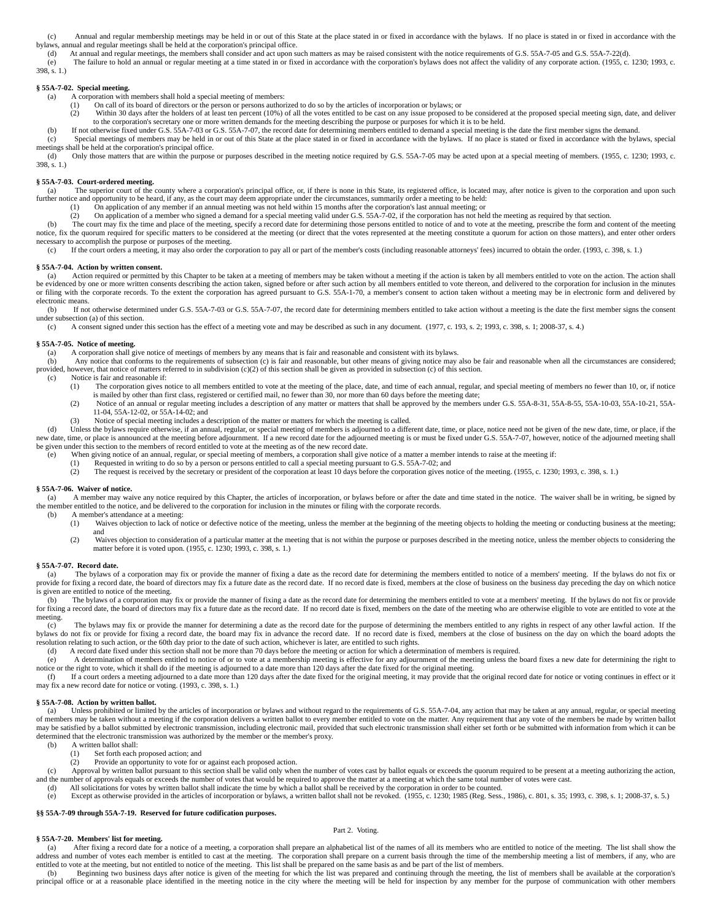(c) Annual and regular membership meetings may be held in or out of this State at the place stated in or fixed in accordance with the bylaws. If no place is stated in or fixed in accordance with the bylaws, annual and regular meetings shall be held at the corporation's principal office.

(d) At annual and regular meetings, the members shall consider and act upon such matters as may be raised consistent with the notice requirements of G.S. 55A-7-05 and G.S. 55A-7-22(d).<br>(e) The failure to hold an annual or 398, s. 1.)

**§ 55A-7-02. Special meeting.** (a) A corporation with members shall hold a special meeting of members:

- (1) On call of its board of directors or the person or persons authorized to do so by the articles of incorporation or bylaws; or
- (2) Within 30 days after the holders of at least ten percent (10%) of all the votes entitled to be cast on any issue proposed to be considered at the proposed special meeting sign, date, and deliver to the corporation's secretary one or more written demands for the meeting describing the purpose or purposes for which it is to be held.
- (b) If not otherwise fixed under G.S. 55A-7-03 or G.S. 55A-7-07, the record date for determining members entitled to demand a special meeting is the date the first member signs the demand.<br>(c) Special meetings of members m

meetings shall be held at the corporation's principal office.

(d) Only those matters that are within the purpose or purposes described in the meeting notice required by G.S. 55A-7-05 may be acted upon at a special meeting of members. (1955, c. 1230; 1993, c. 398, s. 1.)

# **§ 55A-7-03. Court-ordered meeting.**

(a) The superior court of the county where a corporation's principal office, or, if there is none in this State, its registered office, is located may, after notice is given to the corporation and upon such further notice and opportunity to be heard, if any, as the court may deem appropriate under the circumstances, summarily order a meeting to be held:

- 
- (1) On application of any member if an annual meeting was not held within 15 months after the corporation's last annual meeting; or<br>(2) On application of a member who signed a demand for a special meeting valid under G.S.

(b) The court may fix the time and place of the meeting, specify a record date for determining those persons entitled to notice of and to vote at the meeting, prescribe the form and content of the meeting notice, fix the quorum required for specific matters to be considered at the meeting (or direct that the votes represented at the meeting constitute a quorum for action on those matters), and enter other orders necessary to accomplish the purpose or purposes of the meeting.

(c) If the court orders a meeting, it may also order the corporation to pay all or part of the member's costs (including reasonable attorneys' fees) incurred to obtain the order. (1993, c. 398, s. 1.)

# **§ 55A-7-04. Action by written consent.**

(a) Action required or permitted by this Chapter to be taken at a meeting of members may be taken without a meeting if the action is taken by all members entitled to vote on the action. The action shall be evidenced by one or more written consents describing the action taken, signed before or after such action by all members entitled to vote thereon, and delivered to the corporation for inclusion in the minutes or filing with the corporate records. To the extent the corporation has agreed pursuant to G.S. 55A-1-70, a member's consent to action taken without a meeting may be in electronic form and delivered by electronic means.<br>(b) If not

If not otherwise determined under G.S. 55A-7-03 or G.S. 55A-7-07, the record date for determining members entitled to take action without a meeting is the date the first member signs the consent under subsection (a) of this section.

(c) A consent signed under this section has the effect of a meeting vote and may be described as such in any document. (1977, c. 193, s. 2; 1993, c. 398, s. 1; 2008-37, s. 4.)

# **§ 55A-7-05. Notice of meeting.**

(a) A corporation shall give notice of meetings of members by any means that is fair and reasonable and consistent with its bylaws.

(b) Any notice that conforms to the requirements of subsection (c) is fair and reasonable, but other means of giving notice may also be fair and reasonable when all the circumstances are considered; provided, however, that notice of matters referred to in subdivision (c)(2) of this section shall be given as provided in subsection (c) of this section.

- 
- (c) Notice is fair and reasonable if:<br>(1) The corporation gives n The corporation gives notice to all members entitled to vote at the meeting of the place, date, and time of each annual, regular, and special meeting of members no fewer than 10, or, if notice is mailed by other than first class, registered or certified mail, no fewer than 30, nor more than 60 days before the meeting date;
	- (2) Notice of an annual or regular meeting includes a description of any matter or matters that shall be approved by the members under G.S. 55A-8-31, 55A-8-55, 55A-10-03, 55A-10-21, 55A-11-04, 55A-12-02, or 55A-14-02; and
		- Notice of special meeting includes a description of the matter or matters for which the meeting is called.

(d) Unless the bylaws require otherwise, if an annual, regular, or special meeting of members is adjourned to a different date, time, or place, notice need not be given of the new date, time, or place, if the new date, time, or place is announced at the meeting before adjournment. If a new record date for the adjourned meeting is or must be fixed under G.S. 55A-7-07, however, notice of the adjourned meeting shall be given under this section to the members of record entitled to vote at the meeting as of the new record date.

 $\widetilde{f}(e)$  When giving notice of an annual, regular, or special meeting of members, a corporation shall give notice of a matter a member intends to raise at the meeting if:

- (1) Requested in writing to do so by a person or persons entitled to call a special meeting pursuant to G.S. 55A-7-02; and
- (2) The request is received by the secretary or president of the corporation at least 10 days before the corporation gives notice of the meeting. (1955, c. 1230; 1993, c. 398, s. 1.)

#### **§ 55A-7-06. Waiver of notice.**

(a) A member may waive any notice required by this Chapter, the articles of incorporation, or bylaws before or after the date and time stated in the notice. The waiver shall be in writing, be signed by the member entitled to the notice, and be delivered to the corporation for inclusion in the minutes or filing with the corporate records.

- (b) A member's attendance at a meeting:
	- (1) Waives objection to lack of notice or defective notice of the meeting, unless the member at the beginning of the meeting objects to holding the meeting or conducting business at the meeting; and
	- (2) Waives objection to consideration of a particular matter at the meeting that is not within the purpose or purposes described in the meeting notice, unless the member objects to considering the matter before it is voted upon. (1955, c. 1230; 1993, c. 398, s. 1.)

#### **§ 55A-7-07. Record date.**

(a) The bylaws of a corporation may fix or provide the manner of fixing a date as the record date for determining the members entitled to notice of a members' meeting. If the bylaws do not fix or  $\sigma$ provide for fixing a record date, the board of directors may fix a future date as the record date. If no record date is fixed, members at the close of business on the business day preceding the day on which notice is given are entitled to notice of the meeting.

(b) The bylaws of a corporation may fix or provide the manner of fixing a date as the record date for determining the members entitled to vote at a members' meeting. If the bylaws do not fix or provide for fixing a record date, the board of directors may fix a future date as the record date. If no record date is fixed, members on the date of the meeting who are otherwise eligible to vote are entitled to vote at the meeting.<br> $(c)$ 

The bylaws may fix or provide the manner for determining a date as the record date for the purpose of determining the members entitled to any rights in respect of any other lawful action. If the bylaws do not fix or provide for fixing a record date, the board may fix in advance the record date. If no record date is fixed, members at the close of business on the day on which the board adopts the resolution relating to such action, or the 60th day prior to the date of such action, whichever is later, are entitled to such rights.

(d) A record date fixed under this section shall not be more than 70 days before the meeting or action for which a determination of members is required. (e) A determination of members entitled to notice of or to vote at a membership meeting is effective for any adjournment of the meeting unless the board fixes a new date for determining the right to

notice or the right to vote, which it shall do if the meeting is adjourned to a date more than 120 days after the date fixed for the original meeting. (f) If a court orders a meeting adjourned to a date more than 120 days after the date fixed for the original meeting, it may provide that the original record date for notice or voting continues in effect or it may fix a new record date for notice or voting. (1993, c. 398, s. 1.)

# **§ 55A-7-08. Action by written ballot.**

(a) Unless prohibited or limited by the articles of incorporation or bylaws and without regard to the requirements of G.S. 55A-7-04, any action that may be taken at any annual, regular, or special meeting of members may be taken without a meeting if the corporation delivers a written ballot to every member entitled to vote on the matter. Any requirement that any vote of the members be made by written ballot may be satisfied by a ballot submitted by electronic transmission, including electronic mail, provided that such electronic transmission shall either set forth or be submitted with information from which it can be determined that the electronic transmission was authorized by the member or the member's proxy.<br>(b) A written ballot shall:

- A written ballot shall:
	- (1) Set forth each proposed action; and
- (2) Provide an opportunity to vote for or against each proposed action.

(c) Approval by written ballot pursuant to this section shall be valid only when the number of votes cast by ballot equals or exceeds the quorum required to be present at a meeting authorizing the action, and the number of approvals equals or exceeds the number of votes that would be required to approve the matter at a meeting at which the same total number of votes were cast.

- (d) All solicitations for votes by written ballot shall indicate the time by which a ballot shall be received by the corporation in order to be counted.
- (e) Except as otherwise provided in the articles of incorporation or bylaws, a written ballot shall not be revoked. (1955, c. 1230; 1985 (Reg. Sess., 1986), c. 801, s. 35; 1993, c. 398, s. 1; 2008-37, s. 5.)

# **§§ 55A-7-09 through 55A-7-19. Reserved for future codification purposes.**

#### **§ 55A-7-20. Members' list for meeting.**

Part 2. Voting.

(a) After fixing a record date for a notice of a meeting, a corporation shall prepare an alphabetical list of the names of all its members who are entitled to notice of the meeting. The list shall show the address and number of votes each member is entitled to cast at the meeting. The corporation shall prepare on a current basis through the time of the membership meeting a list of members, if any, who are entitled to vote at the meeting, but not entitled to notice of the meeting. This list shall be prepared on the same basis as and be part of the list of members.

(b) Beginning two business days after notice is given of the meeting for which the list was prepared and continuing through the meeting, the list of members shall be available at the corporation's principal office or at a reasonable place identified in the meeting notice in the city where the meeting will be held for inspection by any member for the purpose of communication with other members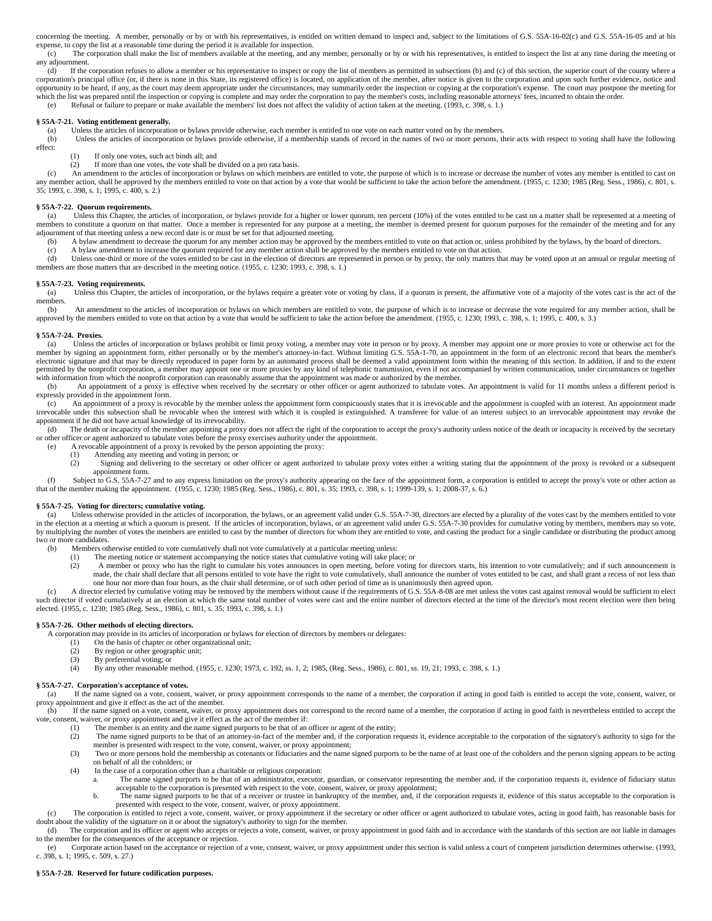concerning the meeting. A member, personally or by or with his representatives, is entitled on written demand to inspect and, subject to the limitations of G.S. 55A-16-02(c) and G.S. 55A-16-05 and at his expense, to copy the list at a reasonable time during the period it is available for inspection.

(c) The corporation shall make the list of members available at the meeting, and any member, personally or by or with his representatives, is entitled to inspect the list at any time during the meeting or any adjournment.

(d) If the corporation refuses to allow a member or his representative to inspect or copy the list of members as permitted in subsections (b) and (c) of this section, the superior court of the county where a corporation's principal office (or, if there is none in this State, its registered office) is located, on application of the member, after notice is given to the corporation and upon such further evidence, notice and opportunity to be heard, if any, as the court may deem appropriate under the circumstances, may summarily order the inspection or copying at the corporation's expense. The court may postpone the meeting for which the list was prepared until the inspection or copying is complete and may order the corporation to pay the member's costs, including reasonable attorneys' fees, incurred to obtain the order. (e) Refusal or failure to prepare or make available the members' list does not affect the validity of action taken at the meeting. (1993, c. 398, s. 1.)

### **§ 55A-7-21. Voting entitlement generally.**

(a) Unless the articles of incorporation or bylaws provide otherwise, each member is entitled to one vote on each matter voted on by the members.<br>(b) Unless the articles of incorporation or bylaws provide otherwise, if a m Unless the articles of incorporation or bylaws provide otherwise, if a membership stands of record in the names of two or more persons, their acts with respect to voting shall have the following effect:

- If only one votes, such act binds all; and
- (2) If more than one votes, the vote shall be divided on a pro rata basis.

(c) An amendment to the articles of incorporation or bylaws on which members are entitled to vote, the purpose of which is to increase or decrease the number of votes any member is entitled to cast on any member action, sh 35; 1993, c. 398, s. 1; 1995, c. 400, s. 2.)

§ 55A-7-22. **Quorum requirements.**<br>(a) Unless this Chapter, the articles of incorporation, or bylaws provide for a higher or lower quorum, ten percent (10%) of the votes entitled to be cast on a matter shall be represented members to constitute a quorum on that matter. Once a member is represented for any purpose at a meeting, the member is deemed present for quorum purposes for the remainder of the meeting and for any adjournment of that meeting unless a new record date is or must be set for that adjourned meeting.

- (b) A bylaw amendment to decrease the quorum for any member action may be approved by the members entitled to vote on that action or, unless prohibited by the bylaws, by the board of directors.
- 

(c) A bylaw amendment to increase the quorum required for any member action shall be approved by the members entitled to vote on that action.<br>(d) Unless one-third or more of the votes entitled to be cast in the election of members are those matters that are described in the meeting notice. (1955, c. 1230; 1993, c. 398, s. 1.)

#### **§ 55A-7-23. Voting requirements.**

Unless this Chapter, the articles of incorporation, or the bylaws require a greater vote or voting by class, if a quorum is present, the affirmative vote of a majority of the votes cast is the act of the (a)<br>members.<br>(b)

An amendment to the articles of incorporation or bylaws on which members are entitled to vote, the purpose of which is to increase or decrease the vote required for any member action, shall be approved by the members entitled to vote on that action by a vote that would be sufficient to take the action before the amendment. (1955, c. 1230; 1993, c. 398, s. 1; 1995, c. 400, s. 3.)

#### **§ 55A-7-24. Proxies.**

(a) Unless the articles of incorporation or bylaws prohibit or limit proxy voting, a member may vote in person or by proxy. A member may appoint one or more proxies to vote or otherwise act for the member by signing an appointment form, either personally or by the member's attorney-in-fact. Without limiting G.S. 55A-1-70, an appointment in the form of an electronic record that bears the member's electronic signature and that may be directly reproduced in paper form by an automated process shall be deemed a valid appointment form within the meaning of this section. In addition, if and to the extent permitted by the nonprofit corporation, a member may appoint one or more proxies by any kind of telephonic transmission, even if not accompanied by written communication, under circumstances or together<br>with information fr

(b) An appointment of a proxy is effective when received by the secretary or other officer or agent authorized to tabulate votes. An appointment is valid for 11 months unless a different period is expressly provided in the appointment form.

(c) An appointment of a proxy is revocable by the member unless the appointment form conspicuously states that it is irrevocable and the appointment is coupled with an interest. An appointment made irrevocable under this subsection shall be revocable when the interest with which it is coupled is extinguished. A transferee for value of an interest subject to an irrevocable appointment may revoke the appointment if he did not have actual knowledge of its irrevocability.<br>
(d) The death or incapacity of the member appointing a proxy

The death or incapacity of the member appointing a proxy does not affect the right of the corporation to accept the proxy's authority unless notice of the death or incapacity is received by the secretary or other officer or agent authorized to tabulate votes before the proxy exercises authority under the appointment.

- (e) A revocable appointment of a proxy is revoked by the person appointing the proxy:<br>(1) Attending any meeting and voting in person: or
	- (1) Attending any meeting and voting in person; or<br>(2) Signing and delivering to the secretary or ot
		- Signing and delivering to the secretary or other officer or agent authorized to tabulate proxy votes either a writing stating that the appointment of the proxy is revoked or a subsequent appointment form.

(f) Subject to G.S. 55A-7-27 and to any express limitation on the proxy's authority appearing on the face of the appointment form, a corporation is entitled to accept the proxy's vote or other action as that of the member making the appointment. (1955, c. 1230; 1985 (Reg. Sess., 1986), c. 801, s. 35; 1993, c. 398, s. 1; 1999-139, s. 1; 2008-37, s. 6.)

# **§ 55A-7-25. Voting for directors; cumulative voting.**

Unless otherwise provided in the articles of incorporation, the bylaws, or an agreement valid under G.S. 55A-7-30, directors are elected by a plurality of the votes cast by the members entitled to vote in the election at a meeting at which a quorum is present. If the articles of incorporation, bylaws, or an agreement valid under G.S. 55A-7-30 provides for cumulative voting by members, members may so vote, by multiplying the number of votes the members are entitled to cast by the number of directors for whom they are entitled to vote, and casting the product for a single candidate or distributing the product among two or more candidates.<br>(b) Members of

- Members otherwise entitled to vote cumulatively shall not vote cumulatively at a particular meeting unless:
	- (1) The meeting notice or statement accompanying the notice states that cumulative voting will take place; or (2) A member or proxy who has the right to cumulate his votes announces in open meeting, before voting for directors starts, his intention to vote cumulatively; and if such announcement is made, the chair shall declare tha
- one hour nor more than four hours, as the chair shall determine, or of such other period of time as is unanimously then agreed upon. (c) A director elected by cumulative voting may be removed by the members without cause if the requirements of G.S. 55A-8-08 are met unless the votes cast against removal would be sufficient to elect

such director if voted cumulatively at an election at which the same total number of votes were cast and the entire number of directors elected at the time of the director's most recent election were then being elected. (1955, c. 1230; 1985 (Reg. Sess., 1986), c. 801, s. 35; 1993, c. 398, s. 1.)

# **§ 55A-7-26. Other methods of electing directors.**

A corporation may provide in its articles of incorporation or bylaws for election of directors by members or delegates:

- (1) On the basis of chapter or other organizational unit;
- (2) By region or other geographic unit;<br>(3) By preferential voting; or
- 
- (3) By preferential voting; or<br>
(4) By any other reasonable is (4) By any other reasonable method. (1955, c. 1230; 1973, c. 192, ss. 1, 2; 1985, (Reg. Sess., 1986), c. 801, ss. 19, 21; 1993, c. 398, s. 1.)

# **§ 55A-7-27. Corporation's acceptance of votes.**

(a) If the name signed on a vote, consent, waiver, or proxy appointment corresponds to the name of a member, the corporation if acting in good faith is entitled to accept the vote, consent, waiver, or proxy appointment and give it effect as the act of the member.

(b) If the name signed on a vote, consent, waiver, or proxy appointment does not correspond to the record name of a member, the corporation if acting in good faith is nevertheless entitled to accept the vote, consent, waiver, or proxy appointment and give it effect as the act of the member if:

- 
- (1) The member is an entity and the name signed purports to be that of an officer or agent of the entity;<br>(2) The name signed purports to be that of an attorney-in-fact of the member and, if the corporation re The name signed purports to be that of an attorney-in-fact of the member and, if the corporation requests it, evidence acceptable to the corporation of the signatory's authority to sign for the member is presented with respect to the vote, consent, waiver, or proxy appointment;
- (3) Two or more persons hold the membership as cotenants or fiduciaries and the name signed purports to be the name of at least one of the coholders and the person signing appears to be acting on behalf of all the coholders; or
- (4) In the case of a corporation other than a charitable or religious corporation:<br>a. The name signed purports to be that of an administrator, executor
	- The name signed purports to be that of an administrator, executor, guardian, or conservator representing the member and, if the corporation requests it, evidence of fiduciary status acceptable to the corporation is presented with respect to the vote, consent, waiver, or proxy appointment;
	- b. The name signed purports to be that of a receiver or trustee in bankruptcy of the member, and, if the corporation requests it, evidence of this status acceptable to the corporation is presented with respect to the vote, consent, waiver, or proxy appointment.

(c) The corporation is entitled to reject a vote, consent, waiver, or proxy appointment if the secretary or other officer or agent authorized to tabulate votes, acting in good faith, has reasonable basis for doubt about the validity of the signature on it or about the signatory's authority to sign for the member.

(d) The corporation and its officer or agent who accepts or rejects a vote, consent, waiver, or proxy appointment in good faith and in accordance with the standards of this section are not liable in damages to the member for the consequences of the acceptance or rejection.

Corporate action based on the acceptance or rejection of a vote, consent, waiver, or proxy appointment under this section is valid unless a court of competent jurisdiction determines otherwise. (1993, c. 398, s. 1; 1995, c. 509, s. 27.)

# **§ 55A-7-28. Reserved for future codification purposes.**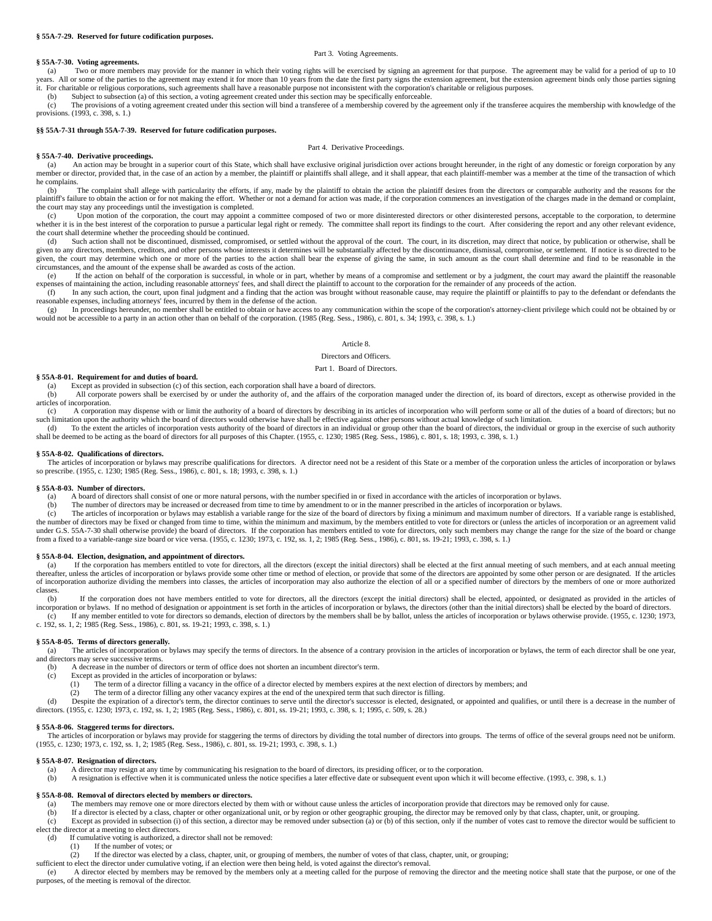# **§ 55A-7-29. Reserved for future codification purposes.**

#### Part 3. Voting Agreements.

# **§ 55A-7-30. Voting agreements.**

(a) Two or more members may provide for the manner in which their voting rights will be exercised by signing an agreement for that purpose. The agreement may be valid for a period of up to 10 years. All or some of the parties to the agreement may extend it for more than 10 years from the date the first party signs the extension agreement, but the extension agreement binds only those parties signing it. For charitable or religious corporations, such agreements shall have a reasonable purpose not inconsistent with the corporation's charitable or religious purposes.

(b) Subject to subsection (a) of this section, a voting agreement created under this section may be specifically enforceable.

(c) The provisions of a voting agreement created under this section will bind a transferee of a membership covered by the agreement only if the transferee acquires the membership with knowledge of the provisions. (1993, c. 398, s. 1.)

#### **§§ 55A-7-31 through 55A-7-39. Reserved for future codification purposes.**

### Part 4. Derivative Proceedings.

#### **§ 55A-7-40. Derivative proceedings.**

(a) An action may be brought in a superior court of this State, which shall have exclusive original jurisdiction over actions brought hereunder, in the right of any domestic or foreign corporation by any member or director, provided that, in the case of an action by a member, the plaintiff or plaintiffs shall allege, and it shall appear, that each plaintiff-member was a member at the time of the transaction of which he complains.<br>(b)

The complaint shall allege with particularity the efforts, if any, made by the plaintiff to obtain the action the plaintiff desires from the directors or comparable authority and the reasons for the plaintiff's failure to obtain the action or for not making the effort. Whether or not a demand for action was made, if the corporation commences an investigation of the charges made in the demand or complaint, the court may stay any proceedings until the investigation is completed.

(c) Upon motion of the corporation, the court may appoint a committee composed of two or more disinterested directors or other disinterested persons, acceptable to the corporation, to determine whether it is in the best interest of the corporation to pursue a particular legal right or remedy. The committee shall report its findings to the court. After considering the report and any other relevant evidence, the court shall determine whether the proceeding should be continued.

Such action shall not be discontinued, dismissed, compromised, or settled without the approval of the court. The court, in its discretion, may direct that notice, by publication or otherwise, shall be given to any directors, members, creditors, and other persons whose interests it determines will be substantially affected by the discontinuance, dismissal, compromise, or settlement. If notice is so directed to be gas of circumstances, and the amount of the expense shall be awarded as costs of the action.

(e) If the action on behalf of the corporation is successful, in whole or in part, whether by means of a compromise and settlement or by a judgment, the court may award the plaintiff the reasonable expenses of maintaining the action, including reasonable attorneys' fees, and shall direct the plaintiff to account to the corporation for the remainder of any proceeds of the action.

(f) In any such action, the court, upon final judgment and a finding that the action was brought without reasonable cause, may require the plaintiff or plaintiffs to pay to the defendant or defendants the reasonable expens

(g) In proceedings hereunder, no member shall be entitled to obtain or have access to any communication within the scope of the corporation's attorney-client privilege which could not be obtained by or would not be accessible to a party in an action other than on behalf of the corporation. (1985 (Reg. Sess., 1986), c. 801, s. 34; 1993, c. 398, s. 1.)

#### Article 8.

#### Directors and Officers.

#### Part 1. Board of Directors.

# **§ 55A-8-01. Requirement for and duties of board.**

(a) Except as provided in subsection (c) of this section, each corporation shall have a board of directors.

(b) All corporate powers shall be exercised by or under the authority of, and the affairs of the corporation managed under the direction of, its board of directors, except as otherwise provided in the articles of incorporation.<br>(c) A corporatio

A corporation may dispense with or limit the authority of a board of directors by describing in its articles of incorporation who will perform some or all of the duties of a board of directors; but no such limitation upon the authority which the board of directors would otherwise have shall be effective against other persons without actual knowledge of such limitation.

(d) To the extent the articles of incorporation vests authority of the board of directors in an individual or group other than the board of directors, the individual or group in the exercise of such authority shall be deemed to be acting as the board of directors for all purposes of this Chapter. (1955, c. 1230; 1985 (Reg. Sess., 1986), c. 801, s. 18; 1993, c. 398, s. 1.)

# **§ 55A-8-02. Qualifications of directors.**

The articles of incorporation or bylaws may prescribe qualifications for directors. A director need not be a resident of this State or a member of the corporation unless the articles of incorporation or bylaws so prescribe. (1955, c. 1230; 1985 (Reg. Sess., 1986), c. 801, s. 18; 1993, c. 398, s. 1.)

# **§ 55A-8-03. Number of directors.**

A board of directors shall consist of one or more natural persons, with the number specified in or fixed in accordance with the articles of incorporation or bylaws.

(b) The number of directors may be increased or decreased from time to time by amendment to or in the manner prescribed in the articles of incorporation or bylaws.

(c) The articles of incorporation or bylaws may establish a variable range for the size of the board of directors by fixing a minimum and maximum number of directors. If a variable range is established, the number of directors may be fixed or changed from time to time, within the minimum and maximum, by the members entitled to vote for directors or (unless the articles of incorporation or an agreement valid under G.S. 55A-7-30 shall otherwise provide) the board of directors. If the corporation has members entitled to vote for directors, only such members may change the range for the size of the board or change from a fixed to a variable-range size board or vice versa. (1955, c. 1230; 1973, c. 192, ss. 1, 2; 1985 (Reg. Sess., 1986), c. 801, ss. 19-21; 1993, c. 398, s. 1.)

# **§ 55A-8-04. Election, designation, and appointment of directors.**

(a) If the corporation has members entitled to vote for directors, all the directors (except the initial directors) shall be elected at the first annual meeting of such members, and at each annual meeting thereafter, unless the articles of incorporation or bylaws provide some other time or method of election, or provide that some of the directors are appointed by some other person or are designated. If the articles of incorporation authorize dividing the members into classes, the articles of incorporation may also authorize the election of all or a specified number of directors by the members of one or more authorized

classes.<br>(b) If the corporation does not have members entitled to vote for directors, all the directors (except the initial directors) shall be elected, appointed, or designated as provided in the articles of incorporation or bylaws. If no method of designation or appointment is set forth in the articles of incorporation or bylaws, the directors (other than the initial directors) shall be elected by the board of directors.

(c) If any member entitled to vote for directors so demands, election of directors by the members shall be by ballot, unless the articles of incorporation or bylaws otherwise provide. (1955, c. 1230; 1973, c. 192, ss. 1, 2; 1985 (Reg. Sess., 1986), c. 801, ss. 19-21; 1993, c. 398, s. 1.)

**§ 55A-8-05. Terms of directors generally.** The articles of incorporation or bylaws may specify the terms of directors. In the absence of a contrary provision in the articles of incorporation or bylaws, the term of each director shall be one year, and directors may serve successive terms.

(b) A decrease in the number of directors or term of office does not shorten an incumbent director's term.

- (c) Except as provided in the articles of incorporation or bylaws:
	- (1) The term of a director filling a vacancy in the office of a director elected by members expires at the next election of directors by members; and
- (2) The term of a director filling any other vacancy expires at the end of the unexpired term that such director is filling.
- (d) Despite the expiration of a director's term, the director continues to serve until the director's successor is elected, designated, or appointed and qualifies, or until there is a decrease in the number of directors. (1955, c. 1230; 1973, c. 192, ss. 1, 2; 1985 (Reg. Sess., 1986), c. 801, ss. 19-21; 1993, c. 398, s. 1; 1995, c. 509, s. 28.)

# **§ 55A-8-06. Staggered terms for directors.**

The articles of incorporation or bylaws may provide for staggering the terms of directors by dividing the total number of directors into groups. The terms of office of the several groups need not be uniform. (1955, c. 1230; 1973, c. 192, ss. 1, 2; 1985 (Reg. Sess., 1986), c. 801, ss. 19-21; 1993, c. 398, s. 1.)

# **§ 55A-8-07. Resignation of directors.**

- (a) A director may resign at any time by communicating his resignation to the board of directors, its presiding officer, or to the corporation.<br>(b) A resignation is effective when it is communicated unless the notice speci
- (b) A resignation is effective when it is communicated unless the notice specifies a later effective date or subsequent event upon which it will become effective. (1993, c. 398, s. 1.)

#### **§ 55A-8-08. Removal of directors elected by members or directors.**

- (a) The members may remove one or more directors elected by them with or without cause unless the articles of incorporation provide that directors may be removed only for cause.<br>(b) If a director is elected by a class, cha
	- If a director is elected by a class, chapter or other organizational unit, or by region or other geographic grouping, the director may be removed only by that class, chapter, unit, or grouping.
- (c) Except as provided in subsection (i) of this section, a director may be removed under subsection (a) or (b) of this section, only if the number of votes cast to remove the director would be sufficient to elect the director at a meeting to elect directors.
	- (d) If cumulative voting is authorized, a director shall not be removed:
		- (1) If the number of votes; or<br>(2) If the director was elected
		- If the director was elected by a class, chapter, unit, or grouping of members, the number of votes of that class, chapter, unit, or grouping;
- sufficient to elect the director under cumulative voting, if an election were then being held, is voted against the director's removal.

(e) A director elected by members may be removed by the members only at a meeting called for the purpose of removing the director and the meeting notice shall state that the purpose, or one of the purposes, of the meeting is removal of the director.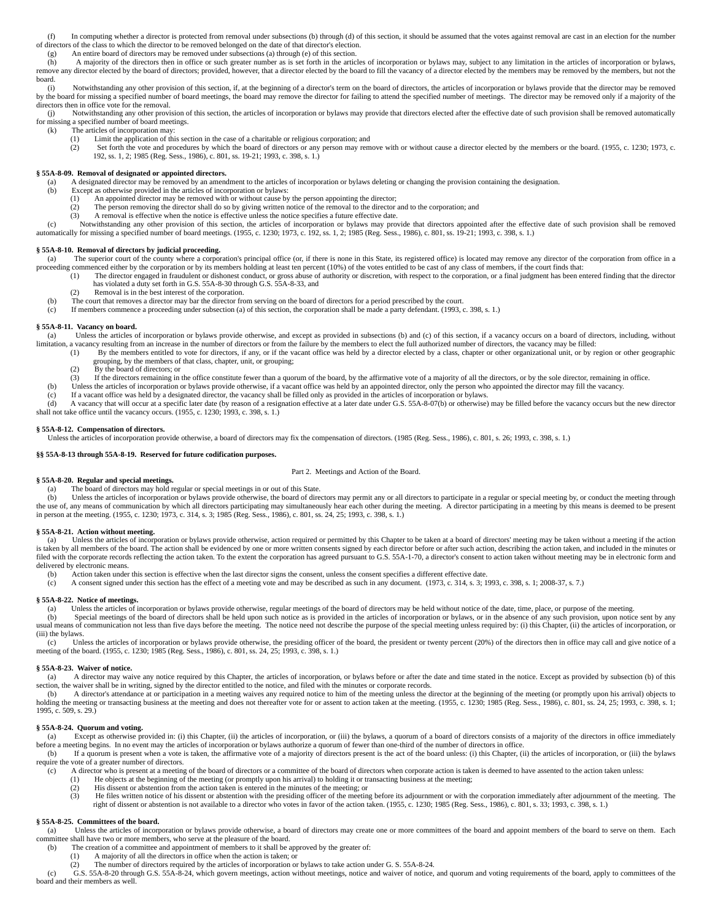(f) In computing whether a director is protected from removal under subsections (b) through (d) of this section, it should be assumed that the votes against removal are cast in an election for the number of directors of the class to which the director to be removed belonged on the date of that director's election.

(g) An entire board of directors may be removed under subsections (a) through (e) of this section.<br>(h) A majority of the directors then in office or such greater number as is set forth in the articles of incorporation or b remove any director elected by the board of directors; provided, however, that a director elected by the board to fill the vacancy of a director elected by the members may be removed by the members, but not the board.

(i) Notwithstanding any other provision of this section, if, at the beginning of a director's term on the board of directors, the articles of incorporation or bylaws provide that the director may be removed by the board for missing a specified number of board meetings, the board may remove the director for failing to attend the specified number of meetings. The director may be removed only if a majority of the directors then in office vote for the removal.

(j) Notwithstanding any other provision of this section, the articles of incorporation or bylaws may provide that directors elected after the effective date of such provision shall be removed automatically for missing a specified number of board meetings.<br>(k) The articles of incorporation may:

- The articles of incorporation may:<br>(1) Limit the application of thi
	- (1) Limit the application of this section in the case of a charitable or religious corporation; and (2) Set forth the vote and procedures by which the board of directors or any person may rem
- Set forth the vote and procedures by which the board of directors or any person may remove with or without cause a director elected by the members or the board. (1955, c. 1230; 1973, c. 192, ss. 1, 2; 1985 (Reg. Sess., 1986), c. 801, ss. 19-21; 1993, c. 398, s. 1.)

§ 55A-8-09. Removal of designated or appointed directors.<br>(a) A designated director may be removed by an amendment to the articles of incorporation or bylaws deleting or changing the provision containing the designation.

- (b) Except as otherwise provided in the articles of incorporation or bylaws:
	- (1) An appointed director may be removed with or without cause by the person appointing the director;
	- (2) The person removing the director shall do so by giving written notice of the removal to the director and to the corporation; and  $(3)$  A removal is effective when the notice is effective unless the notice specifies a future effective date.
- (c) Notwithstanding any other provision of this section, the articles of incorporation or bylaws may provide that directors appointed after the effective date of such provision shall be removed automatically for missing a specified number of board meetings. (1955, c. 1230; 1973, c. 192, ss. 1, 2; 1985 (Reg. Sess., 1986), c. 801, ss. 19-21; 1993, c. 398, s. 1.)

§ 55A-8-10. Removal of directors by judicial proceeding.<br>(a) The superior court of the county where a corporation's principal office (or, if there is none in this State, its registered office) is located may remove any dir proceeding commenced either by the corporation or by its members holding at least ten percent (10%) of the votes entitled to be cast of any class of members, if the court finds that:

- (1) The director engaged in fraudulent or dishonest conduct, or gross abuse of authority or discretion, with respect to the corporation, or a final judgment has been entered finding that the director has violated a duty set forth in G.S. 55A-8-30 through G.S. 55A-8-33, and
	-
- (2) Removal is in the best interest of the corporation. (b) The court that removes a director may bar the director from serving on the board of directors for a period prescribed by the court.
- (c) If members commence a proceeding under subsection (a) of this section, the corporation shall be made a party defendant. (1993, c. 398, s. 1.)

**§ 55A-8-11. Vacancy on board.**<br>(a) Unless the articles of incorporation or bylaws provide otherwise, and except as provided in subsections (b) and (c) of this section, if a vacancy occurs on a board of directors, includin limitation, a vacancy resulting from an increase in the number of directors or from the failure by the members to elect the full authorized number of directors, the vacancy may be filled:

- (1) By the members entitled to vote for directors, if any, or if the vacant office was held by a director elected by a class, chapter or other organizational unit, or by region or other geographic grouping, by the members of that class, chapter, unit, or grouping;
	-
	- (2) By the board of directors; or<br>(3) If the directors remaining in If the directors remaining in the office constitute fewer than a quorum of the board, by the affirmative vote of a majority of all the directors, or by the sole director, remaining in office.
- (b) Unless the articles of incorporation or bylaws provide otherwise, if a vacant office was held by an appointed director, only the person who appointed the director may fill the vacancy.
- (c) If a vacant office was held by a designated director, the vacancy shall be filled only as provided in the articles of incorporation or bylaws.

(d) A vacancy that will occur at a specific later date (by reason of a resignation effective at a later date under G.S. 55A-8-07(b) or otherwise) may be filled before the vacancy occurs but the new director shall not take office until the vacancy occurs. (1955, c. 1230; 1993, c. 398, s. 1.)

#### **§ 55A-8-12. Compensation of directors.**

Unless the articles of incorporation provide otherwise, a board of directors may fix the compensation of directors. (1985 (Reg. Sess., 1986), c. 801, s. 26; 1993, c. 398, s. 1.)

# **§§ 55A-8-13 through 55A-8-19. Reserved for future codification purposes.**

# Part 2. Meetings and Action of the Board.

# **§ 55A-8-20. Regular and special meetings.**

(a) The board of directors may hold regular or special meetings in or out of this State.<br>
(b) Unless the articles of incorporation or bylaws provide otherwise, the board of dire

Unless the articles of incorporation or bylaws provide otherwise, the board of directors may permit any or all directors to participate in a regular or special meeting by, or conduct the meeting through Unless the articles the use of, any means of communication by which all directors participating may simultaneously hear each other during the meeting. A director participating in a meeting by this means is deemed to be present in person at the meeting. (1955, c. 1230; 1973, c. 314, s. 3; 1985 (Reg. Sess., 1986), c. 801, ss. 24, 25; 1993, c. 398, s. 1.)

§ 55A-8-21. Action without meeting.<br>(a) Unless the articles of incorporation or bylaws provide otherwise, action required or permitted by this Chapter to be taken at a board of directors' meeting may be taken without a mee is taken by all members of the board. The action shall be evidenced by one or more written consents signed by each director before or after such action, describing the action taken, and included in the minutes or filed with the corporate records reflecting the action taken. To the extent the corporation has agreed pursuant to G.S. 55A-1-70, a director's consent to action taken without meeting may be in electronic form and delivered by electronic means.<br>(b) Action taken under

- 
- (b) Action taken under this section is effective when the last director signs the consent, unless the consent specifies a different effective date.<br>(c) A consent signed under this section has the effect of a meeting vote a A consent signed under this section has the effect of a meeting vote and may be described as such in any document. (1973, c. 314, s. 3; 1993, c. 398, s. 1; 2008-37, s. 7.)

#### **§ 55A-8-22. Notice of meetings.**

(a) Unless the articles of incorporation or bylaws provide otherwise, regular meetings of the board of directors may be held without notice of the date, time, place, or purpose of the meeting.<br>(b) Special meetings of the b

Special meetings of the board of directors shall be held upon such notice as is provided in the articles of incorporation or bylaws, or in the absence of any such provision, upon notice sent by any usual means of communication not less than five days before the meeting. The notice need not describe the purpose of the special meeting unless required by: (i) this Chapter, (ii) the articles of incorporation, or (iii) the bylaws.

(c) Unless the articles of incorporation or bylaws provide otherwise, the presiding officer of the board, the president or twenty percent (20%) of the directors then in office may call and give notice of a meeting of the board. (1955, c. 1230; 1985 (Reg. Sess., 1986), c. 801, ss. 24, 25; 1993, c. 398, s. 1.)

#### **§ 55A-8-23. Waiver of notice.**

(a) A director may waive any notice required by this Chapter, the articles of incorporation, or bylaws before or after the date and time stated in the notice. Except as provided by subsection (b) of this section, the waiver shall be in writing, signed by the director entitled to the notice, and filed with the minutes or corporate records.<br>(b) A director's attendance at or participation in a meeting waives any required noti

A director's attendance at or participation in a meeting waives any required notice to him of the meeting unless the director at the beginning of the meeting (or promptly upon his arrival) objects to holding the meeting or transacting business at the meeting and does not thereafter vote for or assent to action taken at the meeting. (1955, c. 1230; 1985 (Reg. Sess., 1986), c. 801, ss. 24, 25; 1993, c. 398, s. 1; 1995, c. 509, s. 29.)

#### **§ 55A-8-24. Quorum and voting.**

(a) Except as otherwise provided in: (i) this Chapter, (ii) the articles of incorporation, or (iii) the bylaws, a quorum of a board of directors consists of a majority of the directors in office immediately before a meeting begins. In no event may the articles of incorporation or bylaws authorize a quorum of fewer than one-third of the number of directors in office.

(b) If a quorum is present when a vote is taken, the affirmative vote of a majority of directors present is the act of the board unless: (i) this Chapter, (ii) the articles of incorporation, or (iii) the bylaws require the vote of a greater number of directors.

(c) A director who is present at a meeting of the board of directors or a committee of the board of directors when corporate action is taken is deemed to have assented to the action taken unless:<br>(1) He objects at the begi

- He objects at the beginning of the meeting (or promptly upon his arrival) to holding it or transacting business at the meeting;
- (2) His dissent or abstention from the action taken is entered in the minutes of the meeting; or
- (3) He files written notice of his dissent or abstention with the presiding officer of the meeting before its adjournment or with the corporation immediately after adjournment of the meeting. The right of dissent or abstention is not available to a director who votes in favor of the action taken. (1955, c. 1230; 1985 (Reg. Sess., 1986), c. 801, s. 33; 1993, c. 398, s. 1.)

# **§ 55A-8-25. Committees of the board.**

(a) Unless the articles of incorporation or bylaws provide otherwise, a board of directors may create one or more committees of the board and appoint members of the board to serve on them. Each committee shall have two or more members, who serve at the pleasure of the board.

- (b) The creation of a committee and appointment of members to it shall be approved by the greater of:<br>
(1) A majority of all the directors in office when the action is taken; or
	- (1) A majority of all the directors in office when the action is taken; or<br>(2) The number of directors required by the articles of incorporation or
	- The number of directors required by the articles of incorporation or bylaws to take action under G. S. 55A-8-24.

(c) G.S. 55A-8-20 through G.S. 55A-8-24, which govern meetings, action without meetings, notice and waiver of notice, and quorum and voting requirements of the board, apply to committees of the board and their members as well.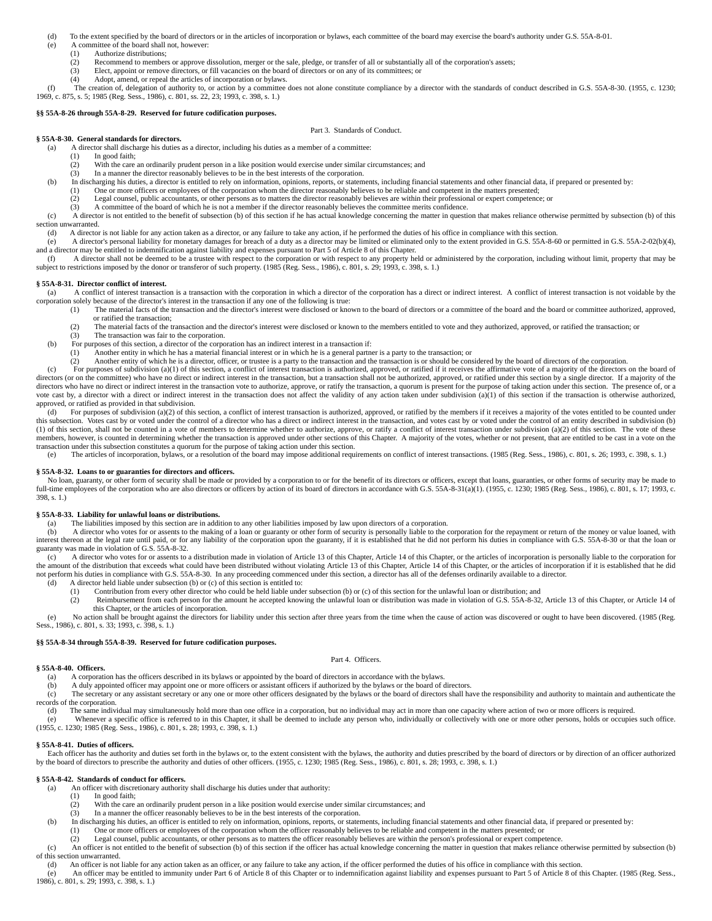- (d) To the extent specified by the board of directors or in the articles of incorporation or bylaws, each committee of the board may exercise the board's authority under G.S. 55A-8-01.
- (e) A committee of the board shall not, however:<br>
(1) Authorize distributions;<br>
(2) Recommend to members or approve d
	- Authorize distributions;
	- Recommend to members or approve dissolution, merger or the sale, pledge, or transfer of all or substantially all of the corporation's assets;
	- (3) Elect, appoint or remove directors, or fill vacancies on the board of directors or on any of its committees; or
	- (4) Adopt, amend, or repeal the articles of incorporation or bylaws.
- (f) The creation of, delegation of authority to, or action by a committee does not alone constitute compliance by a director with the standards of conduct described in G.S. 55A-8-30. (1955, c. 1230; 1969, c. 875, s. 5; 198

# **§§ 55A-8-26 through 55A-8-29. Reserved for future codification purposes.**

#### Part 3. Standards of Conduct.

# **§ 55A-8-30. General standards for directors.**

- (a) A director shall discharge his duties as a director, including his duties as a member of a committee:
	- (1) In good faith;
		- (2) With the care an ordinarily prudent person in a like position would exercise under similar circumstances; and
	-
	- (3) In a manner the director reasonably believes to be in the best interests of the corporation.<br>(b) In discharging his duties, a director is entitled to rely on information, opinions, reports, or statements, including fin
		- (1) One or more officers or employees of the corporation whom the director reasonably believes to be reliable and competent in the matters presented;
		- (2) Legal counsel, public accountants, or other persons as to matters the director reasonably believes are within their professional or expert competence; or
		- (3) A committee of the board of which he is not a member if the director reasonably believes the committee merits confidence.
- (c) A director is not entitled to the benefit of subsection (b) of this section if he has actual knowledge concerning the matter in question that makes reliance otherwise permitted by subsection (b) of this section unwarranted.
	- (d) A director is not liable for any action taken as a director, or any failure to take any action, if he performed the duties of his office in compliance with this section.
	- (e) A director's personal liability for monetary damages for breach of a duty as a director may be limited or eliminated only to the extent provided in G.S. 55A-8-60 or permitted in G.S. 55A-2-02(b)(4),

and a director may be entitled to indemnification against liability and expenses pursuant to Part 5 of Article 8 of this Chapter.<br>(f) A director shall not be deemed to be a trustee with respect to the corporation or with r subject to restrictions imposed by the donor or transferor of such property. (1985 (Reg. Sess., 1986), c. 801, s. 29; 1993, c. 398, s. 1.)

#### **§ 55A-8-31. Director conflict of interest.**

A conflict of interest transaction is a transaction with the corporation in which a director of the corporation has a direct or indirect interest. A conflict of interest transaction is not voidable by the corporation solely because of the director's interest in the transaction if any one of the following is true:<br>(1) The material facts of the transaction and the director's interest were disclosed or known

- The material facts of the transaction and the director's interest were disclosed or known to the board of directors or a committee of the board and the board or committee authorized, approved, or ratified the transaction;
- (2) The material facts of the transaction and the director's interest were disclosed or known to the members entitled to vote and they authorized, approved, or ratified the transaction; or (3) The transaction was fair to t
- The transaction was fair to the corporation.
- (b) For purposes of this section, a director of the corporation has an indirect interest in a transaction if:
	- (1) Another entity in which he has a material financial interest or in which he is a general partner is a party to the transaction; or

(2) Another entity of which he is a director, officer, or trustee is a party to the transaction and the transaction is or should be considered by the board of directors of the corporation.

(c) For purposes of subdivision (a)(1) of this section, a conflict of interest transaction is authorized, approved, or ratified if it receives the affirmative vote of a majority of the directors on the board of directors o directors who have no direct or indirect interest in the transaction vote to authorize, approve, or ratify the transaction, a quorum is present for the purpose of taking action under this section. The presence of, or a vote cast by, a director with a direct or indirect interest in the transaction does not affect the validity of any action taken under subdivision (a)(1) of this section if the transaction is otherwise authorized, approved, or ratified as provided in that subdivision.

(d) For purposes of subdivision (a)(2) of this section, a conflict of interest transaction is authorized, approved, or ratified by the members if it receives a majority of the votes entitled to be counted under under under (1) of this section, shall not be counted in a vote of members to determine whether to authorize, approve, or ratify a conflict of interest transaction under subdivision (a)(2) of this section. The vote of these members, however, is counted in determining whether the transaction is approved under other sections of this Chapter. A majority of the votes, whether or not present, that are entitled to be cast in a vote on the

transaction under this subsection constitutes a quorum for the purpose of taking action under this section.<br>(e) The articles of incorporation, bylaws, or a resolution of the board may impose additional requirements on conf

#### **§ 55A-8-32. Loans to or guaranties for directors and officers.**

No loan, guaranty, or other form of security shall be made or provided by a corporation to or for the benefit of its directors or officers, except that loans, guaranties, or other forms of security may be made to full-time employees of the corporation who are also directors or officers by action of its board of directors in accordance with G.S. 55A-8-31(a)(1). (1955, c. 1230; 1985 (Reg. Sess., 1986), c. 801, s. 17; 1993, c. 398, s. 1.)

#### **§ 55A-8-33. Liability for unlawful loans or distributions.**

(a) The liabilities imposed by this section are in addition to any other liabilities imposed by law upon directors of a corporation.

(b) A director who votes for or assents to the making of a loan or guaranty or other form of security is personally liable to the corporation for the repayment or return of the money or value loaned, with interest thereon at the legal rate until paid, or for any liability of the corporation upon the guaranty, if it is established that he did not perform his duties in compliance with G.S. 55A-8-30 or that the loan or guaranty was made in violation of G.S. 55A-8-32.

(c) A director who votes for or assents to a distribution made in violation of Article 13 of this Chapter, Article 14 of this Chapter, or the articles of incorporation is personally liable to the corporation for the amount of the distribution that exceeds what could have been distributed without violating Article 13 of this Chapter, Article 14 of this Chapter, or the articles of incorporation if it is established that he did<br>not p

(d) A director held liable under subsection (b) or (c) of this section is entitled to:

- (1) Contribution from every other director who could be held liable under subsection (b) or (c) of this section for the unlawful loan or distribution; and
- (2) Reimbursement from each person for the amount he accepted knowing the unlawful loan or distribution was made in violation of G.S. 55A-8-32, Article 13 of this Chapter, or Article 14 of this Chapter, or the articles of incorporation.

(e) No action shall be brought against the directors for liability under this section after three years from the time when the cause of action was discovered or ought to have been discovered. (1985 (Reg. Sess., 1986), c. 801, s. 33; 1993, c. 398, s. 1.)

#### **§§ 55A-8-34 through 55A-8-39. Reserved for future codification purposes.**

# Part 4. Officers.

# **§ 55A-8-40. Officers.**

- (a) A corporation has the officers described in its bylaws or appointed by the board of directors in accordance with the bylaws.
- (b) A duly appointed officer may appoint one or more officers or assistant officers if authorized by the bylaws or the board of directors.

(c) The secretary or any assistant secretary or any one or more other officers designated by the bylaws or the board of directors shall have the responsibility and authority to maintain and authenticate the records of the corporation.

(d) The same individual may simultaneously hold more than one office in a corporation, but no individual may act in more than one capacity where action of two or more officers is required.

(e) Whenever a specific office is referred to in this Chapter, it shall be deemed to include any person who, individually or collectively with one or more other persons, holds or occupies such office. (1955, c. 1230; 1985 (Reg. Sess., 1986), c. 801, s. 28; 1993, c. 398, s. 1.)

#### **§ 55A-8-41. Duties of officers.**

Each officer has the authority and duties set forth in the bylaws or, to the extent consistent with the bylaws, the authority and duties prescribed by the board of directors or by direction of an officer authorized by the board of directors to prescribe the authority and duties of other officers. (1955, c. 1230; 1985 (Reg. Sess., 1986), c. 801, s. 28; 1993, c. 398, s. 1.)

# **§ 55A-8-42. Standards of conduct for officers.**

(a) An officer with discretionary authority shall discharge his duties under that authority:

- (1) In good faith;
- (2) With the care an ordinarily prudent person in a like position would exercise under similar circumstances; and (3) In a manner the officer reasonably believes to be in the best interests of the corporation.
- In a manner the officer reasonably believes to be in the best interests of the corporation.
- (b) In discharging his duties, an officer is entitled to rely on information, opinions, reports, or statements, including financial statements and other financial data, if prepared or presented by:
	- (1) One or more officers or employees of the corporation whom the officer reasonably believes to be reliable and competent in the matters presented; or (2) Legal counsel, public accountants, or other persons as to matters the officer reasonably believes are within the person's professional or expert competence.
- (c) An officer is not entitled to the benefit of subsection (b) of this section if the officer has actual knowledge concerning the matter in question that makes reliance otherwise permitted by subsection (b) of this section unwarranted.
	- (d) An officer is not liable for any action taken as an officer, or any failure to take any action, if the officer performed the duties of his office in compliance with this section.

(e) An officer may be entitled to immunity under Part 6 of Article 8 of this Chapter or to indemnification against liability and expenses pursuant to Part 5 of Article 8 of this Chapter. (1985 (Reg. Sess., 1986), c. 801, s. 29; 1993, c. 398, s. 1.)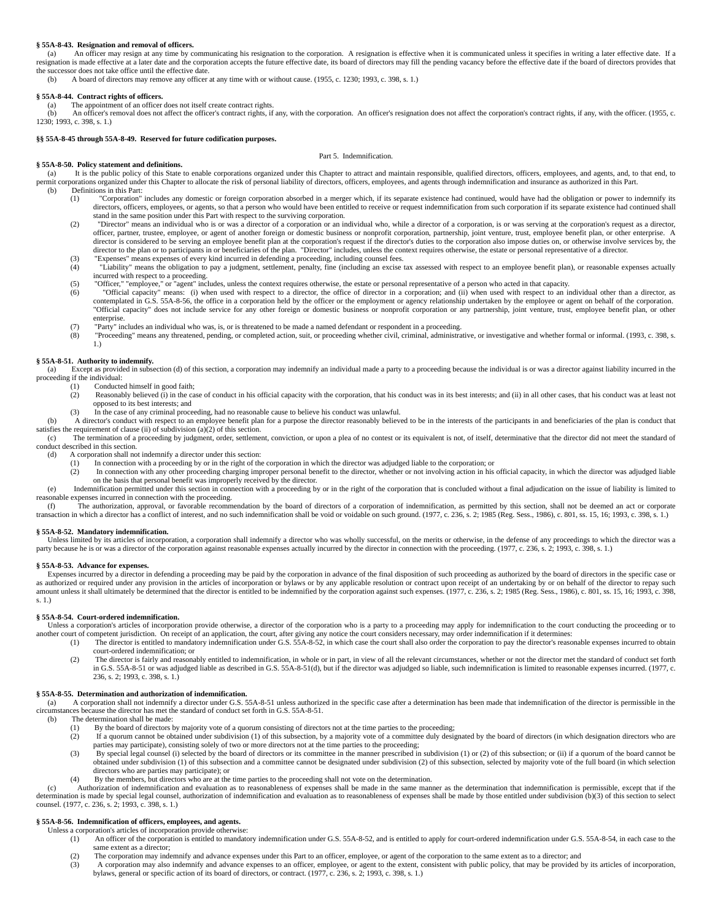# **§ 55A-8-43. Resignation and removal of officers.**

a) An officer may resign at any time by communicating his resignation to the corporation. A resignation is effective when it is communicated unless it specifies in writing a later effective date. If a<br>resignation is made e the successor does not take office until the effective date.

(b) A board of directors may remove any officer at any time with or without cause. (1955, c. 1230; 1993, c. 398, s. 1.)

## **§ 55A-8-44. Contract rights of officers.**

(a) The appointment of an officer does not itself create contract rights.<br>(b) An officer's removal does not affect the officer's contract rights, if

An officer's removal does not affect the officer's contract rights, if any, with the corporation. An officer's resignation does not affect the corporation's contract rights, if any, with the officer. (1955, c. 1230; 1993, c. 398, s. 1.)

# **§§ 55A-8-45 through 55A-8-49. Reserved for future codification purposes.**

#### Part 5. Indemnification.

# **§ 55A-8-50. Policy statement and definitions.**

a) It is the public policy of this State to enable corporations organized under this Chapter to attract and maintain responsible, qualified directors, officers, employees, and agents, and agents, and, to that end, to the e

- (b) Definitions in this Part:
	- (1) "Corporation" includes any domestic or foreign corporation absorbed in a merger which, if its separate existence had continued, would have had the obligation or power to indemnify its directors, officers, employees, or agents, so that a person who would have been entitled to receive or request indemnification from such corporation if its separate existence had continued shall stand in the same position under this Part with respect to the surviving corporation.
	- (2) "Director" means an individual who is or was a director of a corporation or an individual who, while a director of a corporation, is or was serving at the corporation's request as a director, officer, partner, trustee, employee, or agent of another foreign or domestic business or nonprofit corporation, partnership, joint venture, trust, employee benefit plan, or other enterprise. A director is considered to be serving an employee benefit plan at the corporation's request if the director's duties to the corporation also impose duties on, or otherwise involve services by, the director to the plan or to participants in or beneficiaries of the plan. "Director" includes, unless the context requires otherwise, the estate or personal representative of a director.
	- (3) "Expenses" means expenses of every kind incurred in defending a proceeding, including counsel fees. "Liability" means the obligation to pay a judgment, settlement, penalty, fine (including an excise tax assessed with respect to an employee benefit plan), or reasonable expenses actually incurred with respect to a proceeding.
	-
	- (5) "Officer," "employee," or "agent" includes, unless the context requires otherwise, the estate or personal representative of a person who acted in that capacity.<br>(6) "Official capacity" means: (i) when used with respect "Official capacity" does not include service for any other foreign or domestic business or nonprofit corporation or any partnership, joint venture, trust, employee benefit plan, or other enterprise.
	-
	- (7) "Party" includes an individual who was, is, or is threatened to be made a named defendant or respondent in a proceeding.<br>(8) "Proceeding" means any threatened, pending, or completed action, suit, or proceeding whether 1.)

#### **§ 55A-8-51. Authority to indemnify.**

(a) Except as provided in subsection (d) of this section, a corporation may indemnify an individual made a party to a proceeding because the individual is or was a director against liability incurred in the proceeding if t

- (1) Conducted himself in good faith;
- (2) Reasonably believed (i) in the case of conduct in his official capacity with the corporation, that his conduct was in its best interests; and (ii) in all other cases, that his conduct was at least not opposed to its best interests; and
- 

(3) In the case of any criminal proceeding, had no reasonable cause to believe his conduct was unlawful.<br>(b) A director's conduct with respect to an employee benefit plan for a purpose the director reasonably believed to b satisfies the requirement of clause (ii) of subdivision (a)(2) of this section.

(c) The termination of a proceeding by judgment, order, settlement, conviction, or upon a plea of no contest or its equivalent is not, of itself, determinative that the director did not meet the standard of conduct described in this section.<br>(d) A corporation shall no

- A corporation shall not indemnify a director under this section:<br>(1) In connection with a proceeding by or in the right of the
	- In connection with a proceeding by or in the right of the corporation in which the director was adjudged liable to the corporation; or
- (2) In connection with any other proceeding charging improper personal benefit to the director, whether or not involving action in his official capacity, in which the director was adjudged liable on the basis that personal benefit was improperly received by the director.

(e) Indemnification permitted under this section in connection with a proceeding by or in the right of the corporation that is concluded without a final adjudication on the issue of liability is limited to reasonable expenses incurred in connection with the proceeding.

The authorization, approval, or favorable recommendation by the board of directors of a corporation of indemnification, as permitted by this section, shall not be deemed an act or corporate transaction in which a director has a conflict of interest, and no such indemnification shall be void or voidable on such ground. (1977, c. 236, s. 2; 1985 (Reg. Sess., 1986), c. 801, ss. 15, 16; 1993, c. 398, s. 1.)

#### **§ 55A-8-52. Mandatory indemnification.**

Unless limited by its articles of incorporation, a corporation shall indemnify a director who was wholly successful, on the merits or otherwise, in the defense of any proceedings to which the director was a party because he is or was a director of the corporation against reasonable expenses actually incurred by the director in connection with the proceeding. (1977, c. 236, s. 2; 1993, c. 398, s. 1.)

#### **§ 55A-8-53. Advance for expenses.**

Expenses incurred by a director in defending a proceeding may be paid by the corporation in advance of the final disposition of such proceeding as authorized by the board of directors in the specific case or as authorized or required under any provision in the articles of incorporation or bylaws or by any applicable resolution or contract upon receipt of an undertaking by or on behalf of the director to repay such amount unless it shall ultimately be determined that the director is entitled to be indemnified by the corporation against such expenses. (1977, c. 236, s. 2; 1985 (Reg. Sess., 1986), c. 801, ss. 15, 16; 1993, c. 398, s. 1.)

#### **§ 55A-8-54. Court-ordered indemnification.**

Unless a corporation's articles of incorporation provide otherwise, a director of the corporation who is a party to a proceeding may apply for indemnification to the court conducting the proceeding or to another court of competent jurisdiction. On receipt of an application, the court, after giving any notice the court considers necessary, may order indemnification if it determines:

- (1) The director is entitled to mandatory indemnification under G.S. 55A-8-52, in which case the court shall also order the corporation to pay the director's reasonable expenses incurred to obtain court-ordered indemnification; or
	- (2) The director is fairly and reasonably entitled to indemnification, in whole or in part, in view of all the relevant circumstances, whether or not the director met the standard of conduct set forth in G.S. 55A-8-51 or was adjudged liable as described in G.S. 55A-8-51(d), but if the director was adjudged so liable, such indemnification is limited to reasonable expenses incurred. (1977, c. 236, s. 2; 1993, c. 398, s. 1.)

#### **§ 55A-8-55. Determination and authorization of indemnification.**

(a) A corporation shall not indemnify a director under G.S. 55A-8-51 unless authorized in the specific case after a determination has been made that indemnification of the director is permissible in the circumstances because the director has met the standard of conduct set forth in G.S. 55A-8-51.

- (b) The determination shall be made:
	-
	- (1) By the board of directors by majority vote of a quorum consisting of directors not at the time parties to the proceeding;<br>(2) If a quorum cannot be obtained under subdivision (1) of this subsection, by a majority vote If a quorum cannot be obtained under subdivision (1) of this subsection, by a majority vote of a committee duly designated by the board of directors (in which designation directors who are parties may participate), consisting solely of two or more directors not at the time parties to the proceeding;
	- (3) By special legal counsel (i) selected by the board of directors or its committee in the manner prescribed in subdivision (1) or (2) of this subsection; or (ii) if a quorum of the board cannot be obtained under subdivision (1) of this subsection and a committee cannot be designated under subdivision (2) of this subsection, selected by majority vote of the full board (in which selection directors who are parties may participate); or
	- (4) By the members, but directors who are at the time parties to the proceeding shall not vote on the determination.

(c) Authorization of indemnification and evaluation as to reasonableness of expenses shall be made in the same manner as the determination that indemnification is permissible, except that if the determination is made by special legal counsel, authorization of indemnification and evaluation as to reasonableness of expenses shall be made by those entitled under subdivision (b)(3) of this section to select counsel. (1977, c. 236, s. 2; 1993, c. 398, s. 1.)

#### **§ 55A-8-56. Indemnification of officers, employees, and agents.**

Unless a corporation's articles of incorporation provide otherwise:

- (1) An officer of the corporation is entitled to mandatory indemnification under G.S. 55A-8-52, and is entitled to apply for court-ordered indemnification under G.S. 55A-8-54, in each case to the same extent as a director;
- (2) The corporation may indemnify and advance expenses under this Part to an officer, employee, or agent of the corporation to the same extent as to a director; and (3) A corporation may also indemnify and advance expenses
- (3) A corporation may also indemnify and advance expenses to an officer, employee, or agent to the extent, consistent with public policy, that may be provided by its articles of incorporation, bylaws, general or specific action of its board of directors, or contract. (1977, c. 236, s. 2; 1993, c. 398, s. 1.)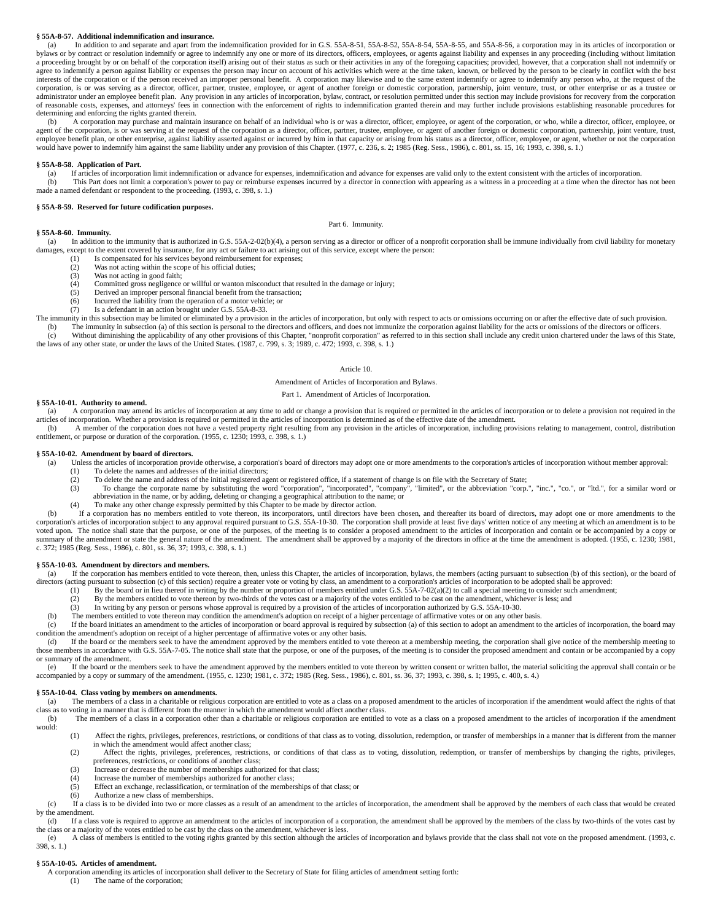# **§ 55A-8-57. Additional indemnification and insurance.**

(a) In addition to and separate and apart from the indemnification provided for in G.S. 55A-8-51, 55A-8-52, 55A-8-54, 55A-8-55, and 55A-8-56, a corporation may in its articles of incorporation or bylaws or by contract or resolution indemnify or agree to indemnify any one or more of its directors, officers, employees, or agents against liability and expenses in any proceeding (including without limitation<br>a proceedi agree to indemnify a person against liability or expenses the person may incur on account of his activities which were at the time taken, known, or believed by the person to be clearly in conflict with the best agree to in interests of the corporation or if the person received an improper personal benefit. A corporation may likewise and to the same extent indemnify or agree to indemnify any person who, at the request of the corporation, is or was serving as a director, officer, partner, trustee, employee, or agent of another foreign or domestic corporation, partnership, joint venture, trust, or other enterprise or as a trustee or<br>administrato of reasonable costs, expenses, and attorneys' fees in connection with the enforcement of rights to indemnification granted therein and may further include provisions establishing reasonable procedures for determining and enforcing the rights granted therein.

A corporation may purchase and maintain insurance on behalf of an individual who is or was a director, officer, employee, or agent of the corporation, or who, while a director, officer, employee, or A corporation, or who, agent of the corporation, is or was serving at the request of the corporation as a director, officer, partner, trustee, employee, or agent of another foreign or domestic corporation, partnership, joint venture, trust,<br>empl would have power to indemnify him against the same liability under any provision of this Chapter. (1977, c. 236, s. 2; 1985 (Reg. Sess., 1986), c. 801, ss. 15, 16; 1993, c. 398, s. 1.)

# **§ 55A-8-58. Application of Part.**

(a) If articles of incorporation limit indemnification or advance for expenses, indemnification and advance for expenses are valid only to the extent consistent with the articles of incorporation.<br>(b) This Part does not li

made a named defendant or respondent to the proceeding. (1993, c. 398, s. 1.)

#### **§ 55A-8-59. Reserved for future codification purposes.**

#### Part 6. Immunity.

**§ 55A-8-60. Immunity.**

(a) In addition to the immunity that is authorized in G.S. 55A-2-02(b)(4), a person serving as a director or officer of a nonprofit corporation shall be immune individually from civil liability for monetary damages, except to the extent covered by insurance, for any act or failure to act arising out of this service, except where the person:

- (1) Is compensated for his services beyond reimbursement for expenses;<br>(2) Was not acting within the scope of his official duties; Was not acting within the scope of his official duties;
- 
- (3) Was not acting in good faith;
- (4) Committed gross negligence or willful or wanton misconduct that resulted in the damage or injury;<br>
(5) Derived an improper personal financial benefit from the transaction;<br>
(6) Incurred the liability from the operation
- (5) Derived an improper personal financial benefit from the transaction; (6) Incurred the liability from the operation of a motor vehicle; or
- 
- (7) Is a defendant in an action brought under G.S. 55A-8-33.

The immunity in this subsection may be limited or eliminated by a provision in the articles of incorporation, but only with respect to acts or omissions occurring on or after the effective date of such provision.

(b) The immunity in subsection (a) of this section is personal to the directors and officers, and does not immunize the corporation against liability for the acts or omissions of the directors or officers.<br>(c) Without dimi the laws of any other state, or under the laws of the United States. (1987, c. 799, s. 3; 1989, c. 472; 1993, c. 398, s. 1.)

### Article 10.

# Amendment of Articles of Incorporation and Bylaws.

#### Part 1. Amendment of Articles of Incorporation.

# **§ 55A-10-01. Authority to amend.**

(a) A corporation may amend its articles of incorporation at any time to add or change a provision that is required or permitted in the articles of incorporation or to delete a provision not required in the articles of incorporation. Whether a provision is required or permitted in the articles of incorporation is determined as of the effective date of the amendment.

(b) A member of the corporation does not have a vested property right resulting from any provision in the articles of incorporation, including provisions relating to management, control, distribution entitlement, or purpos

# **§ 55A-10-02. Amendment by board of directors.**

- (a) Unless the articles of incorporation provide otherwise, a corporation's board of directors may adopt one or more amendments to the corporation's articles of incorporation without member approval: (1) To delete the names and addresses of the initial directors;
	- (2) To delete the name and address of the initial registered agent or registered office, if a statement of change is on file with the Secretary of State;
	- (3) To change the corporate name by substituting the word "corporation", "incorporated", "company", "limited", or the abbreviation "corp.", "inc.", "co.", or "ltd.", for a similar word or abbreviation in the name, or by adding, deleting or changing a geographical attribution to the name; or
	- (4) To make any other change expressly permitted by this Chapter to be made by director action.

(b) If a corporation has no members entitled to vote thereon, its incorporators, until directors have been chosen, and thereafter its board of directors, may adopt one or more amendments to the corporation's articles of incorporation subject to any approval required pursuant to G.S. 55A-10-30. The corporation shall provide at least five days' written notice of any meeting at which an amendment is to be voted upon. The notice shall state that the purpose, or one of the purposes, of the meeting is to consider a proposed amendment to the articles of incorporation and contain or be accompanied by a copy or summary of the amendment or state the general nature of the amendment. The amendment shall be approved by a majority of the directors in office at the time the amendment is adopted. (1955, c. 1230; 1981, c. 372; 1985 (Reg. Sess., 1986), c. 801, ss. 36, 37; 1993, c. 398, s. 1.)

# **§ 55A-10-03. Amendment by directors and members.**

If the corporation has members entitled to vote thereon, then, unless this Chapter, the articles of incorporation, bylaws, the members (acting pursuant to subsection (b) of this section), or the board of directors (acting pursuant to subsection (c) of this section) require a greater vote or voting by class, an amendment to a corporation's articles of incorporation to be adopted shall be approved:

- (1) By the board or in lieu thereof in writing by the number or proportion of members entitled under G.S. 55A-7-02(a)(2) to call a special meeting to consider such amendment;
- (2) By the members entitled to vote thereon by two-thirds of the votes cast or a majority of the votes entitled to be cast on the amendment, whichever is less; and
- (3) In writing by any person or persons whose approval is required by a provision of the articles of incorporation authorized by G.S. 55A-10-30.
- (b) The members entitled to vote thereon may condition the amendment's adoption on receipt of a higher percentage of affirmative votes or on any other basis.
- (c) If the board initiates an amendment to the articles of incorporation or board approval is required by subsection (a) of this section to adopt an amendment to the articles of incorporation, the board may condition the amendment's adoption on receipt of a higher percentage of affirmative votes or any other basis.

(d) If the board or the members seek to have the amendment approved by the members entitled to vote thereon at a membership meeting, the corporation shall give notice of the membership meeting to those members in accordance with G.S. 55A-7-05. The notice shall state that the purpose, or one of the purposes, of the meeting is to consider the proposed amendment and contain or be accompanied by a copy or summary of the amendment.

(e) If the board or the members seek to have the amendment approved by the members entitled to vote thereon by written consent or written ballot, the material soliciting the approval shall contain or be accompanied by a copy or summary of the amendment. (1955, c. 1230; 1981, c. 372; 1985 (Reg. Sess., 1986), c. 801, ss. 36, 37; 1993, c. 398, s. 1; 1995, c. 400, s. 4.)

#### **§ 55A-10-04. Class voting by members on amendments.**

(a) The members of a class in a charitable or religious corporation are entitled to vote as a class on a proposed amendment to the articles of incorporation if the amendment would affect the rights of that class as to voting in a manner that is different from the manner in which the amendment would affect another class.

(b) The members of a class in a corporation other than a charitable or religious corporation are entitled to vote as a class on a proposed amendment to the articles of incorporation if the amendment would:

- (1) Affect the rights, privileges, preferences, restrictions, or conditions of that class as to voting, dissolution, redemption, or transfer of memberships in a manner that is different from the manner in which the amendment would affect another class;
	- (2) Affect the rights, privileges, preferences, restrictions, or conditions of that class as to voting, dissolution, redemption, or transfer of memberships by changing the rights, privileges, preferences, restrictions, or conditions of another class;
	- (3) Increase or decrease the number of memberships authorized for that class;<br>(4) Increase the number of memberships authorized for another class;
	- Increase the number of memberships authorized for another class;
	- (5) Effect an exchange, reclassification, or termination of the memberships of that class; or
	- (6) Authorize a new class of memberships.

(c) If a class is to be divided into two or more classes as a result of an amendment to the articles of incorporation, the amendment shall be approved by the members of each class that would be created by the amendment.

(d) If a class vote is required to approve an amendment to the articles of incorporation of a corporation, the amendment shall be approved by the members of the class by two-thirds of the votes cast by the class or a majority of the votes entitled to be cast by the class on the amendment, whichever is less.

(e) A class of members is entitled to the voting rights granted by this section although the articles of incorporation and bylaws provide that the class shall not vote on the proposed amendment. (1993, c. 398, s. 1.)

# **§ 55A-10-05. Articles of amendment.**

A corporation amending its articles of incorporation shall deliver to the Secretary of State for filing articles of amendment setting forth:<br>
(1) The name of the corporation;

The name of the corporation;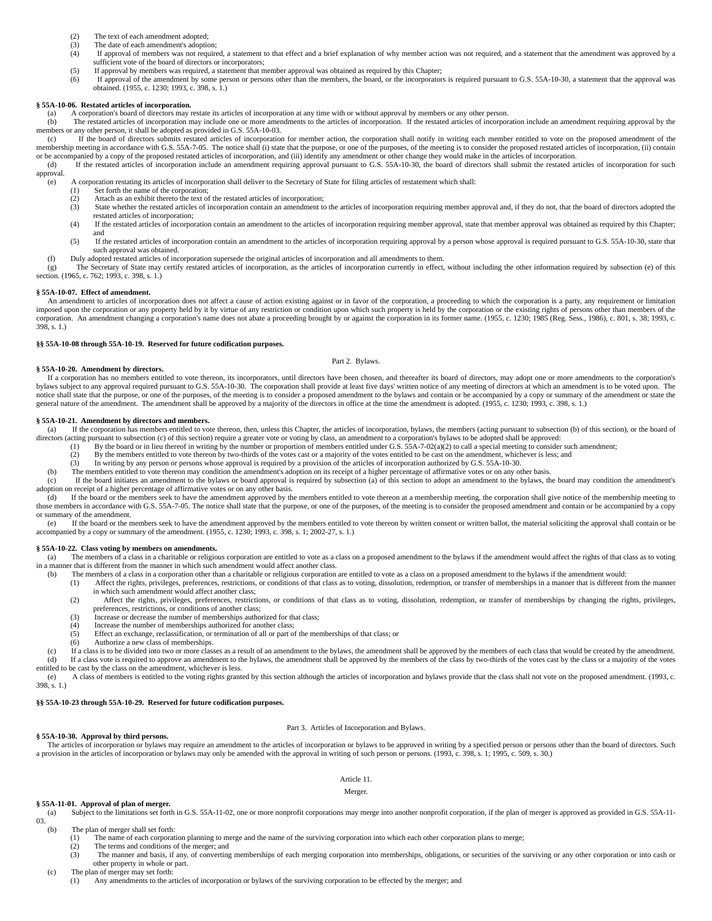- (2) The text of each amendment adopted;
- (3) The date of each amendment's adoption;
- (4) If approval of members was not required, a statement to that effect and a brief explanation of why member action was not required, and a statement that the amendment was approved by a sufficient vote of the board of directors or incorporators;
- (5) If approval by members was required, a statement that member approval was obtained as required by this Chapter;
- (6) If approval of the amendment by some person or persons other than the members, the board, or the incorporators is required pursuant to G.S. 55A-10-30, a statement that the approval was obtained. (1955, c. 1230; 1993, c. 398, s. 1.)

# **§ 55A-10-06. Restated articles of incorporation.**

(a) A corporation's board of directors may restate its articles of incorporation at any time with or without approval by members or any other person.

(b) The restated articles of incorporation may include one or more amendments to the articles of incorporation. If the restated articles of incorporation include an amendment requiring approval by the

members or any other person, it shall be adopted as provided in G.S. 55A-10-03.<br>(c) If the board of directors submits restated articles of incorporation for member action, the corporation shall notify in writing each membe membership meeting in accordance with G.S. 55A-7-05. The notice shall (i) state that the purpose, or one of the purposes, of the meeting is to consider the proposed restated articles of incorporation, (ii) contain or be accompanied by a copy of the proposed restated articles of incorporation, and (iii) identify any amendment or other change they would make in the articles of incorporation.

(d) If the restated articles of incorporation include an amendment requiring approval pursuant to G.S. 55A-10-30, the board of directors shall submit the restated articles of incorporation for such approval.

(e) A corporation restating its articles of incorporation shall deliver to the Secretary of State for filing articles of restatement which shall:

- Set forth the name of the corporation:
- (2) Attach as an exhibit thereto the text of the restated articles of incorporation;
- (3) State whether the restated articles of incorporation contain an amendment to the articles of incorporation requiring member approval and, if they do not, that the board of directors adopted the restated articles of incorporation;
- (4) If the restated articles of incorporation contain an amendment to the articles of incorporation requiring member approval, state that member approval was obtained as required by this Chapter; and
- (5) If the restated articles of incorporation contain an amendment to the articles of incorporation requiring approval by a person whose approval is required pursuant to G.S. 55A-10-30, state that such approval was obtained.
- (f) Duly adopted restated articles of incorporation supersede the original articles of incorporation and all amendments to them.

(g) The Secretary of State may certify restated articles of incorporation, as the articles of incorporation currently in effect, without including the other information required by subsection (e) of this section. (1965, c. 762; 1993, c. 398, s. 1.)

#### **§ 55A-10-07. Effect of amendment.**

An amendment to articles of incorporation does not affect a cause of action existing against or in favor of the corporation, a proceeding to which the corporation is a party, any requirement or limitation imposed upon the corporation or any property held by it by virtue of any restriction or condition upon which such property is held by the corporation or the existing rights of persons other than members of the corporation. An amendment changing a corporation's name does not abate a proceeding brought by or against the corporation in its former name. (1955, c. 1230; 1985 (Reg. Sess., 1986), c. 801, s. 38; 1993, c. 398, s. 1.)

# **§§ 55A-10-08 through 55A-10-19. Reserved for future codification purposes.**

Part 2. Bylaws.

## **§ 55A-10-20. Amendment by directors.**

If a corporation has no members entitled to vote thereon, its incorporators, until directors have been chosen, and thereafter its board of directors, may adopt one or more amendments to the corporation's bylaws subject to any approval required pursuant to G.S. 55A-10-30. The corporation shall provide at least five days' written notice of any meeting of directors at which an amendment is to be voted upon. The notice shall state that the purpose, or one of the purposes, of the meeting is to consider a proposed amendment to the bylaws and contain or be accompanied by a copy or summary of the amendment or state the general nature of the amendment. The amendment shall be approved by a majority of the directors in office at the time the amendment is adopted. (1955, c. 1230; 1993, c. 398, s. 1.)

# **§ 55A-10-21. Amendment by directors and members.**

If the corporation has members entitled to vote thereon, then, unless this Chapter, the articles of incorporation, bylaws, the members (acting pursuant to subsection (b) of this section), or the board of

- directors (acting pursuant to subsection (c) of this section) require a greater vote or voting by class, an amendment to a corporation's bylaws to be adopted shall be approved:<br>(1) By the board or in lieu thereof in writin
	- (1) By the board or in lieu thereof in writing by the number or proportion of members entitled under G.S. 55A-7-02(a)(2) to call a special meeting to consider such (2) By the members entitled to vote thereon by two-thirds
	- In writing by any person or persons whose approval is required by a provision of the articles of incorporation authorized by G.S. 55A-10-30.
	- (b) The members entitled to vote thereon may condition the amendment's adoption on its receipt of a higher percentage of affirmative votes or on any other basis.

(c) If the board initiates an amendment to the bylaws or board approval is required by subsection (a) of this section to adopt an amendment to the bylaws, the board may condition the amendment's adoption on receipt of a higher percentage of affirmative votes or on any other basis.<br>(d) If the board or the members seek to have the amendment approved by the

If the board or the members seek to have the amendment approved by the members entitled to vote thereon at a membership meeting, the corporation shall give notice of the membership meeting to  $\Gamma$ those members in accordance with G.S. 55A-7-05. The notice shall state that the purpose, or one of the purposes, of the meeting is to consider the proposed amendment and contain or be accompanied by a copy or summary of the amendment.

(e) If the board or the members seek to have the amendment approved by the members entitled to vote thereon by written consent or written ballot, the material soliciting the approval shall contain or be accompanied by a co

# **§ 55A-10-22. Class voting by members on amendments.**

(a) The members of a class in a charitable or religious corporation are entitled to vote as a class on a proposed amendment to the bylaws if the amendment would affect the rights of that class as to voting in a manner that is different from the manner in which such amendment would affect another class.<br>(b) The members of a class in a corporation other than a charitable or religious corporation

- The members of a class in a corporation other than a charitable or religious corporation are entitled to vote as a class on a proposed amendment to the bylaws if the amendment would:<br>(1) Affect the rights, privileges, pref Affect the rights, privileges, preferences, restrictions, or conditions of that class as to voting, dissolution, redemption, or transfer of memberships in a manner that is different from the manner
- in which such amendment would affect another class;
- (2) Affect the rights, privileges, preferences, restrictions, or conditions of that class as to voting, dissolution, redemption, or transfer of memberships by changing the rights, privileges, preferences, restrictions, or conditions of another class; (3) Increase or decrease the number of memberships authorized for that class;
- 
- (4) Increase the number of memberships authorized for another class;
- (5) Effect an exchange, reclassification, or termination of all or part of the memberships of that class; or
- (6) Authorize a new class of memberships.

(c) If a class is to be divided into two or more classes as a result of an amendment to the bylaws, the amendment shall be approved by the members of each class that would be created by the amendment.<br>(d) If a class vote i If a class vote is required to approve an amendment to the bylaws, the amendment shall be approved by the members of the class by two-thirds of the votes cast by the class or a majority of the votes entitled to be cast by the class on the amendment, whichever is less.

(e) A class of members is entitled to the voting rights granted by this section although the articles of incorporation and bylaws provide that the class shall not vote on the proposed amendment. (1993, c. 398, s. 1.)

# **§§ 55A-10-23 through 55A-10-29. Reserved for future codification purposes.**

# Part 3. Articles of Incorporation and Bylaws.

The articles of incorporation or bylaws may require an amendment to the articles of incorporation or bylaws to be approved in writing by a specified person or persons other than the board of directors. Such a provision in the articles of incorporation or bylaws may only be amended with the approval in writing of such person or persons. (1993, c. 398, s. 1; 1995, c. 509, s. 30.)

# Article 11.

## Merger.

# **§ 55A-11-01. Approval of plan of merger.**

**§ 55A-10-30. Approval by third persons.**

(a) Subject to the limitations set forth in G.S. 55A-11-02, one or more nonprofit corporations may merge into another nonprofit corporation, if the plan of merger is approved as provided in G.S. 55A-11-  $03.$  (b)

- The plan of merger shall set forth:
	- (1) The name of each corporation planning to merge and the name of the surviving corporation into which each other corporation plans to merge;
	- (2) The terms and conditions of the merger; and (3) The manner and basis, if any, of converting
	- The manner and basis, if any, of converting memberships of each merging corporation into memberships, obligations, or securities of the surviving or any other corporation or into cash or other property in whole or part.
- (c) The plan of merger may set forth:
	- (1) Any amendments to the articles of incorporation or bylaws of the surviving corporation to be effected by the merger; and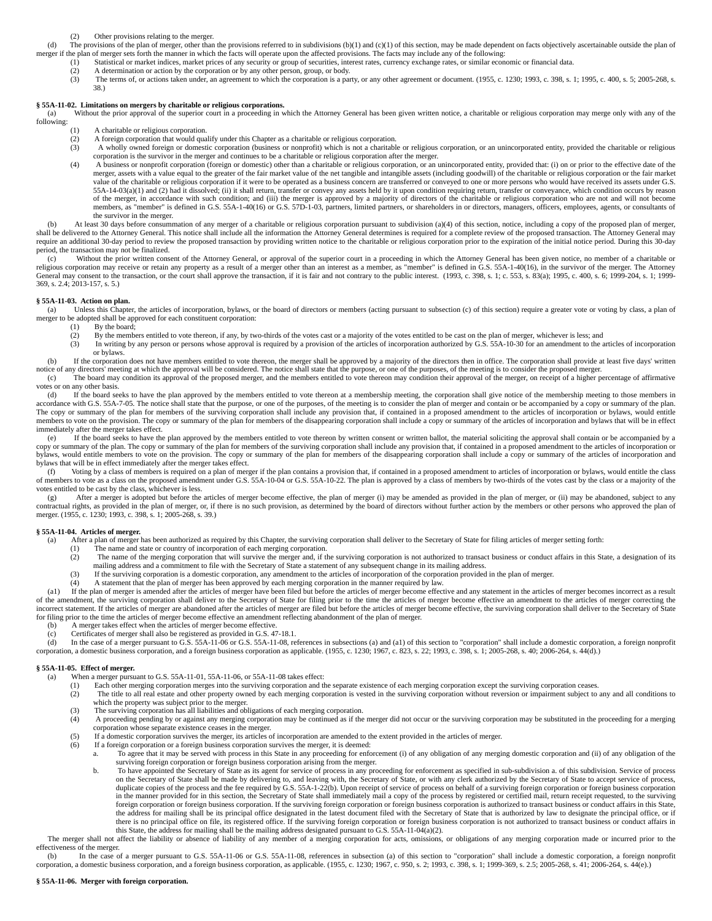# (2) Other provisions relating to the merger.

(d) The provisions of the plan of merger, other than the provisions referred to in subdivisions (b)(1) and (c)(1) of this section, may be made dependent on facts objectively ascertainable outside the plan of merger if the plan of merger sets forth the manner in which the facts will operate upon the affected provisions. The facts may include any of the following:

- (1) Statistical or market indices, market prices of any security or group of securities, interest rates, currency exchange rates, or similar economic or financial data.
- (2) A determination or action by the corporation or by any other person, group, or body.
- (3) The terms of, or actions taken under, an agreement to which the corporation is a party, or any other agreement or document. (1955, c. 1230; 1993, c. 398, s. 1; 1995, c. 400, s. 5; 2005-268, s. 38.)

## **§ 55A-11-02. Limitations on mergers by charitable or religious corporations.**

(a) Without the prior approval of the superior court in a proceeding in which the Attorney General has been given written notice, a charitable or religious corporation may merge only with any of the following:

- (1) A charitable or religious corporation<br>(2) A foreign corporation that would qua
- 
- (2) A foreign corporation that would qualify under this Chapter as a charitable or religious corporation.<br>
(3) A wholly owned foreign or domestic corporation (business or nonprofit) which is not a charitable A wholly owned foreign or domestic corporation (business or nonprofit) which is not a charitable or religious corporation, or an unincorporated entity, provided the charitable or religious corporation is the survivor in the merger and continues to be a charitable or religious corporation after the merger.
- (4) A business or nonprofit corporation (foreign or domestic) other than a charitable or religious corporation, or an unincorporated entity, provided that: (i) on or prior to the effective date of the merger, assets with a value equal to the greater of the fair market value of the net tangible and intangible assets (including goodwill) of the charitable or religious corporation or the fair market<br>value of the charitable 55A-14-03(a)(1) and (2) had it dissolved; (ii) it shall return, transfer or convey any assets held by it upon condition requiring return, transfer or conveyance, which condition occurs by reason of the merger, in accordance with such condition; and (iii) the merger is approved by a majority of directors of the charitable or religious corporation who are not and will not become members, as "member" is defined in G.S. 55A-1-40(16) or G.S. 57D-1-03, partners, limited partners, or shareholders in or directors, managers, officers, employees, agents, or consultants of the survivor in the merger.

(b) At least 30 days before consummation of any merger of a charitable or religious corporation pursuant to subdivision (a)(4) of this section, notice, including a copy of the proposed plan of merger, shall be delivered to the Attorney General. This notice shall include all the information the Attorney General determines is required for a complete review of the proposed transaction. The Attorney General may require an additional 30-day period to review the proposed transaction by providing written notice to the charitable or religious corporation prior to the expiration of the initial notice period. During this 30-day period, the transaction may not be finalized.

(c) Without the prior written consent of the Attorney General, or approval of the superior court in a proceeding in which the Attorney General has been given notice, no member of a charitable or religious corporation may receive or retain any property as a result of a merger other than an interest as a member, as "member," is defined in G.S. 55A-1-40(16), in the survivor of the merger. The Attorney General may consent to the transaction, or the court shall approve the transaction, if it is fair and not contrary to the public interest. (1993, c. 398, s. 1; c. 553, s. 83(a); 1995, c. 400, s. 6; 1999-204, s. 1; 1999-369, s. 2.4; 2013-157, s. 5.)

#### **§ 55A-11-03. Action on plan.**

(a) Unless this Chapter, the articles of incorporation, bylaws, or the board of directors or members (acting pursuant to subsection (c) of this section) require a greater vote or voting by class, a plan of merger to be adopted shall be approved for each constituent corporation:

- 
- (1) By the board;<br>(2) By the memb
- (2) By the members entitled to vote thereon, if any, by two-thirds of the votes cast or a majority of the votes entitled to be cast on the plan of merger, whichever is less; and (3) In writing by any person or persons whos In writing by any person or persons whose approval is required by a provision of the articles of incorporation authorized by G.S. 55A-10-30 for an amendment to the articles of incorporation or bylaws.

(b) If the corporation does not have members entitled to vote thereon, the merger shall be approved by a majority of the directors then in office. The corporation shall provide at least five days' written

notice of any directors' meeting at which the approval will be considered. The notice shall state that the purpose, or one of the purposes, of the meeting is to consider the proposed merger.<br>(c) The board may condition its votes or on any other basis.

(d) If the board seeks to have the plan approved by the members entitled to vote thereon at a membership meeting, the corporation shall give notice of the membership meeting to those members in accordance with G.S. 55A-7-05. The notice shall state that the purpose, or one of the purposes, of the meeting is to consider the plan of merger and contain or be accompanied by a copy or summary of the plan. The copy or summary of the plan for members of the surviving corporation shall include any provision that, if contained in a proposed amendment to the articles of incorporation or bylaws, would entitle entitle of incorpora immediately after the merger takes effect.

(e) If the board seeks to have the plan approved by the members entitled to vote thereon by written consent or written ballot, the material soliciting the approval shall contain or be accompanied by a copy or summary of the plan. The copy or summary of the plan for members of the surviving corporation shall include any provision that, if contained in a proposed amendment to the articles of incorporation or<br>bylaws, would bylaws that will be in effect immediately after the merger takes effect.

(f) Voting by a class of members is required on a plan of merger if the plan contains a provision that, if contained in a proposed amendment to articles of incorporation or bylaws, would entitle the class of members to vote as a class on the proposed amendment under G.S. 55A-10-04 or G.S. 55A-10-22. The plan is approved by a class of members by two-thirds of the votes cast by the class or a majority of the votes entitled to be cast by the class, whichever is less.

(g) After a merger is adopted but before the articles of merger become effective, the plan of merger (i) may be amended as provided in the plan of merger, or (ii) may be abandoned, subject to any contractual rights, as provided in the plan of merger, or, if there is no such provision, as determined by the board of directors without further action by the members or other persons who approved the plan of merger. (1955, c. 1230; 1993, c. 398, s. 1; 2005-268, s. 39.)

#### **§ 55A-11-04. Articles of merger.**

(a) After a plan of merger has been authorized as required by this Chapter, the surviving corporation shall deliver to the Secretary of State for filing articles of merger setting forth:

- The name and state or country of incorporation of each merging corporation.
- (2) The name of the merging corporation that will survive the merger and, if the surviving corporation is not authorized to transact business or conduct affairs in this State, a designation of its mailing address and a commitment to file with the Secretary of State a statement of any subsequent change in its mailing address.
- (3) If the surviving corporation is a domestic corporation, any amendment to the articles of incorporation of the corporation provided in the plan of merger.
	- (4) A statement that the plan of merger has been approved by each merging corporation in the manner required by law.

(a1) If the plan of merger is amended after the articles of merger have been filed but before the articles of merger become effective and any statement in the articles of merger becomes incorrect as a result of the amendment, the surviving corporation shall deliver to the Secretary of State for filing prior to the time the articles of merger become effective an amendment to the articles of merger correcting the incorrect statement. If the articles of merger are abandoned after the articles of merger are filed but before the articles of merger become effective, the surviving corporation shall deliver to the Secretary of State for filing prior to the time the articles of merger become effective an amendment reflecting abandonment of the plan of merger.<br>
(b) A merger takes effect when the articles of merger become effective.

- A merger takes effect when the articles of merger become effective.
- (c) Certificates of merger shall also be registered as provided in G.S. 47-18.1.

(d) In the case of a merger pursuant to G.S. 55A-11-06 or G.S. 55A-11-08, references in subsections (a) and (a1) of this section to "corporation" shall include a domestic corporation, a foreign nonprofit corporation, a domestic business corporation, and a foreign business corporation as applicable. (1955, c. 1230; 1967, c. 823, s. 22; 1993, c. 398, s. 1; 2005-268, s. 40; 2006-264, s. 44(d).)

# **§ 55A-11-05. Effect of merger.**

- (a) When a merger pursuant to G.S. 55A-11-01, 55A-11-06, or 55A-11-08 takes effect:
	- (1) Each other merging corporation merges into the surviving corporation and the separate existence of each merging corporation except the surviving corporation ceases.<br>(2) The title to all real estate and other property o
	- which the property was subject prior to the merger.
	- (3) The surviving corporation has all liabilities and obligations of each merging corporation.
	- (4) A proceeding pending by or against any merging corporation may be continued as if the merger did not occur or the surviving corporation may be substituted in the proceeding for a merging corporation whose separate existence ceases in the merger.
	- (5) If a domestic corporation survives the merger, its articles of incorporation are amended to the extent provided in the articles of merger.<br>
	(6) If a foreign corporation or a foreign business corporation survives the me
		- If a foreign corporation or a foreign business corporation survives the merger, it is deemed:
			- a. To agree that it may be served with process in this State in any proceeding for enforcement (i) of any obligation of any merging domestic corporation and (ii) of any obligation of the surviving foreign corporation or foreign business corporation arising from the merger.
			- b. To have appointed the Secretary of State as its agent for service of process in any proceeding for enforcement as specified in sub-subdivision a. of this subdivision. Service of process on the Secretary of State shall be made by delivering to, and leaving with, the Secretary of State, or with any clerk authorized by the Secretary of State to accept service of process, duplicate copies of the process and the fee required by G.S. 55A-1-22(b). Upon receipt of service of process on behalf of a surviving foreign corporation or foreign business corporation in the manner provided for in this section, the Secretary of State shall immediately mail a copy of the process by registered or certified mail, return receipt requested, to the surviving foreign corporation or foreign business corporation. If the surviving foreign corporation or foreign business corporation is authorized to transact business or conduct affairs in this State, the address for mailing shall be its principal office designated in the latest document filed with the Secretary of State that is authorized by law to designate the principal office, or if there is no principal office on file, its registered office. If the surviving foreign corporation or foreign business corporation is not authorized to transact business or conduct affairs in this State, the address for mailing shall be the mailing address designated pursuant to G.S. 55A-11-04(a)(2).

The merger shall not affect the liability or absence of liability of any member of a merging corporation for acts, omissions, or obligations of any merging corporation made or incurred prior to the effectiveness of the merger.<br>(b) In the case of

In the case of a merger pursuant to G.S. 55A-11-06 or G.S. 55A-11-08, references in subsection (a) of this section to "corporation" shall include a domestic corporation, a foreign nonprofit corporation, a domestic business corporation, and a foreign business corporation, as applicable. (1955, c. 1230; 1967, c. 950, s. 2; 1993, c. 398, s. 1; 1999-369, s. 2.5; 2005-268, s. 41; 2006-264, s. 44(e).)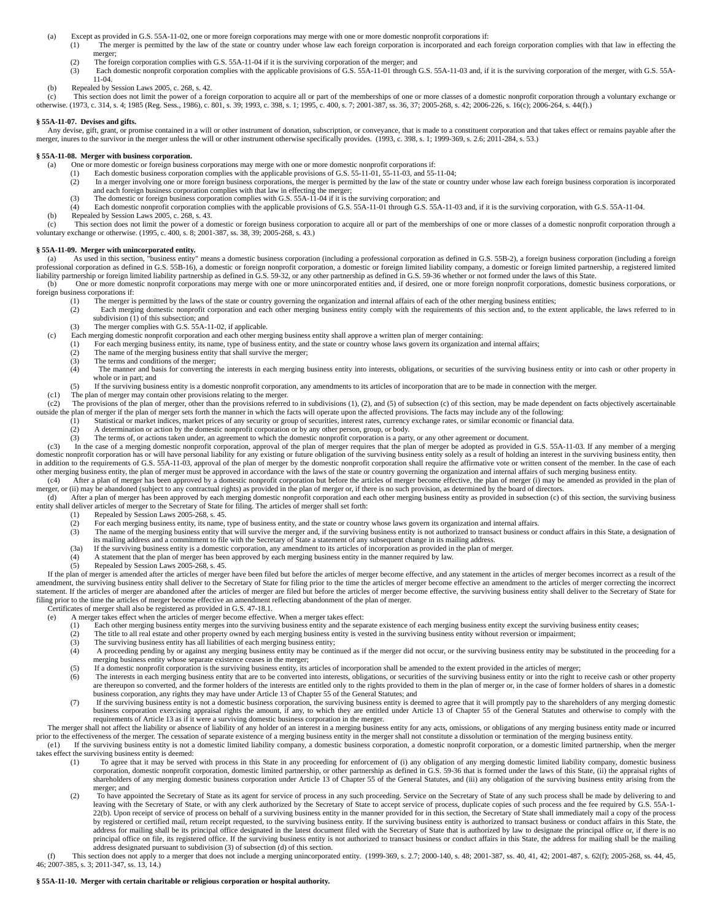- (a) Except as provided in G.S. 55A-11-02, one or more foreign corporations may merge with one or more domestic nonprofit corporations if:
	- (1) The merger is permitted by the law of the state or country under whose law each foreign corporation is incorporated and each foreign corporation complies with that law in effecting the
	- merger; (2) The foreign corporation complies with G.S. 55A-11-04 if it is the surviving corporation of the merger; and
	- (3) Each domestic nonprofit corporation complies with the applicable provisions of G.S. 55A-11-01 through G.S. 55A-11-03 and, if it is the surviving corporation of the merger, with G.S. 55A-12, and G.S. 55A-11-01 through G 11-04.
- (b) Repealed by Session Laws 2005, c. 268, s. 42.

 $\overrightarrow{c}$  This section does not limit the power of a foreign corporation to acquire all or part of the memberships of one or more classes of a domestic nonprofit corporation through a voluntary exchange or otherwise. (1973, c. 314, s. 4; 1985 (Reg. Sess., 1986), c. 801, s. 39; 1993, c. 398, s. 1; 1995, c. 400, s. 7; 2001-387, ss. 36, 37; 2005-268, s. 42; 2006-226, s. 16(c); 2006-264, s. 44(f).)

#### **§ 55A-11-07. Devises and gifts.**

Any devise, gift, grant, or promise contained in a will or other instrument of donation, subscription, or conveyance, that is made to a constituent corporation and that takes effect or remains payable after the merger inur

#### **§ 55A-11-08. Merger with business corporation.**

- (a) One or more domestic or foreign business corporations may merge with one or more domestic nonprofit corporations if:
	-
	- (1) Each domestic business corporation complies with the applicable provisions of G.S. 55-11-01, 55-11-03, and 55-11-04;<br>(2) In a merger involving one or more foreign business corporations, the merger is permitted by the l and each foreign business corporation complies with that law in effecting the merger;
		- (3) The domestic or foreign business corporation complies with G.S. 55A-11-04 if it is the surviving corporation; and
	- (4) Each domestic nonprofit corporation complies with the applicable provisions of G.S. 55A-11-01 through G.S. 55A-11-03 and, if it is the surviving corporation, with G.S. 55A-11-04.
- (b) Repealed by Session Laws 2005, c. 268, s. 43.
- (c) This section does not limit the power of a domestic or foreign business corporation to acquire all or part of the memberships of one or more classes of a domestic nonprofit corporation through a voluntary exchange or otherwise. (1995, c. 400, s. 8; 2001-387, ss. 38, 39; 2005-268, s. 43.)

§ 55A-11-09. Merger with unincorporated entity.<br>(a) As used in this section, "business entity" means a domestic business corporation (including a professional corporation as defined in G.S. 55B-2), a foreign business corpo professional corporation as defined in G.S. 55B-16), a domestic or foreign nonprofit corporation, a domestic or foreign limited liability company, a domestic or foreign limited partnership, a registered limited liability partnership or foreign limited liability partnership as defined in G.S. 59-32, or any other partnership as defined in G.S. 59-36 whether or not formed under the laws of this State.

(b) One or more domestic nonprofit corporations may merge with one or more unincorporated entities and, if desired, one or more foreign nonprofit corporations, domestic business corporations, or

- foreign business corporations if:<br>(1) The merger is
	- (1) The merger is permitted by the laws of the state or country governing the organization and internal affairs of each of the other merging business entities;<br>(2) Each merging domestic nonprofit corporation and each other Each merging domestic nonprofit corporation and each other merging business entity comply with the requirements of this section and, to the extent applicable, the laws referred to in subdivision (1) of this subsection; and
	-
	- (3) The merger complies with G.S. 55A-11-02, if applicable. (c) Each merging domestic nonprofit corporation and each other merging business entity shall approve a written plan of merger containing:
		- (1) For each merging business entity, its name, type of business entity, and the state or country whose laws govern its organization and internal affairs;
		- (2) The name of the merging business entity that shall survive the merger;
		- (3) The terms and conditions of the merger;
		- (4) The manner and basis for converting the interests in each merging business entity into interests, obligations, or securities of the surviving business entity or into cash or other property in whole or in part; and
	- (5) If the surviving business entity is a domestic nonprofit corporation, any amendments to its articles of incorporation that are to be made in connection with the merger.
	- (c1) The plan of merger may contain other provisions relating to the merger.

(c2) The provisions of the plan of merger, other than the provisions referred to in subdivisions (1), (2), and (5) of subsection (c) of this section, may be made dependent on facts objectively ascertainable outside the plan of merger if the plan of merger sets forth the manner in which the facts will operate upon the affected provisions. The facts may include any of the following:<br>(1) Statistical or market indices, market pri

- 
- (2) A determination or action by the domestic nonprofit corporation or by any other person, group, or body.
- (3) The terms of, or actions taken under, an agreement to which the domestic nonprofit corporation is a party, or any other agreement or document.

(c3) In the case of a merging domestic nonprofit corporation, approval of the plan of merger requires that the plan of merger be adopted as provided in G.S. 55A-11-03. If any member of a merging domestic nonprofit corporat in addition to the requirements of G.S. 55A-11-03, approval of the plan of merger by the domestic nonprofit corporation shall require the affirmative vote or written consent of the member. In the case of each other merging business entity, the plan of merger must be approved in accordance with the laws of the state or country governing the organization and internal affairs of such merging business entity.

(c4) After a plan of merger has been approved by a domestic nonprofit corporation but before the articles of merger become effective, the plan of merger (i) may be amended as provided in the plan of merger, or (ii) may be abandoned (subject to any contractual rights) as provided in the plan of merger or, if there is no such provision, as determined by the board of directors.<br>(d) After a plan of merger has been approve

entity shall deliver articles of merger to the Secretary of State for filing. The articles of merger shall set forth:

- (1) Repealed by Session Laws 2005-268, s. 45.
- (2) For each merging business entity, its name, type of business entity, and the state or country whose laws govern its organization and internal affairs.
- (3) The name of the merging business entity that will survive the merger and, if the surviving business entity is not authorized to transact business or conduct affairs in this State, a designation of its mailing address and a commitment to file with the Secretary of State a statement of any subsequent change in its mailing address.
- (3a) If the surviving business entity is a domestic corporation, any amendment to its articles of incorporation as provided in the plan of merger.
- (4) A statement that the plan of merger has been approved by each merging business entity in the manner required by law.
- (5) Repealed by Session Laws 2005-268, s. 45.

If the plan of merger is amended after the articles of merger have been filed but before the articles of merger become effective, and any statement in the articles of merger becomes incorrect as a result of the plan of mer amendment, the surviving business entity shall deliver to the Secretary of State for filing prior to the time the articles of merger become effective an amendment to the articles of merger correcting the incorrect statement. If the articles of merger are abandoned after the articles of merger are filed but before the articles of merger become effective, the surviving business entity shall deliver to the Secretary of State for filing prior to the time the articles of merger become effective an amendment reflecting abandonment of the plan of merger.

Certificates of merger shall also be registered as provided in G.S. 47-18.1.<br>(e) A merger takes effect when the articles of merger become effective

- A merger takes effect when the articles of merger become effective. When a merger takes effect:<br>(1) Each other merging business entity merges into the surviving business entity and the sepa
- (1) Each other merging business entity merges into the surviving business entity and the separate existence of each merging business entity except the surviving business entity ceases;
- (2) The title to all real estate and other property owned by each merging business entity is vested in the surviving business entity without reversion or impairment;
- (3) The surviving business entity has all liabilities of each merging business entity;
- (4) A proceeding pending by or against any merging business entity may be continued as if the merger did not occur, or the surviving business entity may be substituted in the proceeding for a merging business entity whose separate existence ceases in the merger;
- (5) If a domestic nonprofit corporation is the surviving business entity, its articles of incorporation shall be amended to the extent provided in the articles of merger;
- (6) The interests in each merging business entity that are to be converted into interests, obligations, or securities of the surviving business entity or into the right to receive cash or other property are thereupon so converted, and the former holders of the interests are entitled only to the rights provided to them in the plan of merger or, in the case of former holders of shares in a domestic business corporation, any rights they may have under Article 13 of Chapter 55 of the General Statutes; and
- (7) If the surviving business entity is not a domestic business corporation, the surviving business entity is deemed to agree that it will promptly pay to the shareholders of any merging domestic business corporation exercising appraisal rights the amount, if any, to which they are entitled under Article 13 of Chapter 55 of the General Statutes and otherwise to comply with the requirements of Article 13 as if it were a surviving domestic business corporation in the merger.

The merger shall not affect the liability or absence of liability of any holder of an interest in a merging business entity for any acts, omissions, or obligations of any merging business entity made or incurred prior to the effectiveness of the merger. The cessation of separate existence of a merging business entity in the merger shall not constitute a dissolution or termination of the merging business entity.<br>(e1) If the survivi

If the surviving business entity is not a domestic limited liability company, a domestic business corporation, a domestic nonprofit corporation, or a domestic limited partnership, when the merger takes effect the surviving business entity is deemed:

- (1) To agree that it may be served with process in this State in any proceeding for enforcement of (i) any obligation of any merging domestic limited liability company, domestic business corporation, domestic nonprofit corporation, domestic limited partnership, or other partnership as defined in G.S. 59-36 that is formed under the laws of this State, (ii) the appraisal rights of shareholders of any merging domestic business corporation under Article 13 of Chapter 55 of the General Statutes, and (iii) any obligation of the surviving business entity arising from the merger; and
- (2) To have appointed the Secretary of State as its agent for service of process in any such proceeding. Service on the Secretary of State of any such process shall be made by delivering to and leaving with the Secretary of State, or with any clerk authorized by the Secretary of State to accept service of process, duplicate copies of such process and the fee required by G.S. 55A-1- 22(b). Upon receipt of service of process on behalf of a surviving business entity in the manner provided for in this section, the Secretary of State shall immediately mail a copy of the process by registered or certified mail, return receipt requested, to the surviving business entity. If the surviving business entity is authorized to transact business or conduct affairs in this State, the address for mailing shall be its principal office designated in the latest document filed with the Secretary of State that is authorized by law to designate the principal office or, if there is no principal office on file, its registered office. If the surviving business entity is not authorized to transact business or conduct affairs in this State, the address for mailing shall be the mailing address designated pursuant to subdivision (3) of subsection (d) of this section.
- This section does not apply to a merger that does not include a merging unincorporated entity. (1999-369, s. 2.7; 2000-140, s. 48; 2001-387, ss. 40, 41, 42; 2001-487, s. 62(f); 2005-268, ss. 44, 45, 46; 2007-385, s. 3; 2011-347, ss. 13, 14.)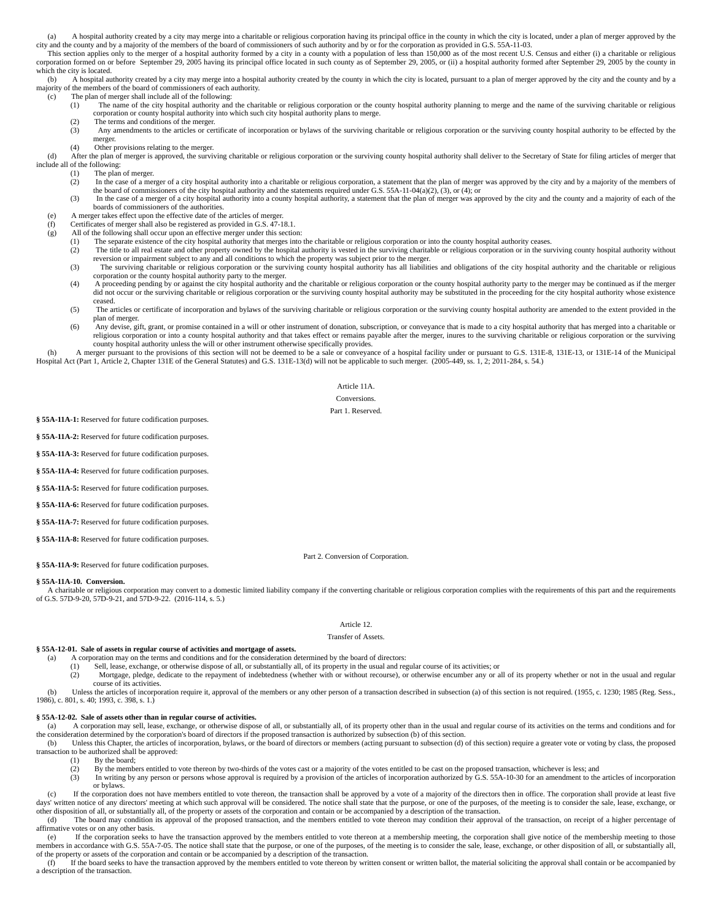(a) A hospital authority created by a city may merge into a charitable or religious corporation having its principal office in the county in which the city is located, under a plan of merger approved by the city and the county and by a majority of the members of the board of commissioners of such authority and by or for the corporation as provided in G.S. 55A-11-03.

This section applies only to the merger of a hospital authority formed by a city in a county with a population of less than 150,000 as of the most recent U.S. Census and either (i) a charitable or religious corporation for which the city is located.

(b) A hospital authority created by a city may merge into a hospital authority created by the county in which the city is located, pursuant to a plan of merger approved by the city and the county and by a majority of the members of the board of commissioners of each authority.

- (c) The plan of merger shall include all of the following:<br>(1) The name of the city hospital authority and
	- The name of the city hospital authority and the charitable or religious corporation or the county hospital authority planning to merge and the name of the surviving charitable or religious corporation or county hospital authority into which such city hospital authority plans to merge.
	- (2) The terms and conditions of the merger.
	- (3) Any amendments to the articles or certificate of incorporation or bylaws of the surviving charitable or religious corporation or the surviving county hospital authority to be effected by the merger.
	- (4) Other provisions relating to the merger.

(d) After the plan of merger is approved, the surviving charitable or religious corporation or the surviving county hospital authority shall deliver to the Secretary of State for filing articles of merger that include all of the following:

- 
- (1) The plan of merger. (2) In the case of a merger of a city hospital authority into a charitable or religious corporation, a statement that the plan of merger was approved by the city and by a majority of the members of the board of commissioners of the city hospital authority and the statements required under G.S. 55A-11-04(a)(2), (3), or (4); or
- (3) In the case of a merger of a city hospital authority into a county hospital authority, a statement that the plan of merger was approved by the city and the county and a majority of each of the boards of commissioners of the authorities.
- (e) A merger takes effect upon the effective date of the articles of merger.<br>(f) Certificates of merger shall also be registered as provided in G.S. 47-1
- Certificates of merger shall also be registered as provided in G.S. 47-18.1.
- (g) All of the following shall occur upon an effective merger under this section:
	- (1) The separate existence of the city hospital authority that merges into the charitable or religious corporation or into the county hospital authority ceases.
	- (2) The title to all real estate and other property owned by the hospital authority is vested in the surviving charitable or religious corporation or in the surviving county hospital authority without reversion or impairme
	- (3) The surviving charitable or religious corporation or the surviving county hospital authority has all liabilities and obligations of the city hospital authority and the charitable or religious corporation or the county hospital authority party to the merger.
	- (4) A proceeding pending by or against the city hospital authority and the charitable or religious corporation or the county hospital authority party to the merger may be continued as if the merger did not occur or the surviving charitable or religious corporation or the surviving county hospital authority may be substituted in the proceeding for the city hospital authority whose existence ceased.
	- (5) The articles or certificate of incorporation and bylaws of the surviving charitable or religious corporation or the surviving county hospital authority are amended to the extent provided in the plan of merger.
	- (6) Any devise, gift, grant, or promise contained in a will or other instrument of donation, subscription, or conveyance that is made to a city hospital authority that has merged into a charitable or<br>religious corporation county hospital authority unless the will or other instrument otherwise specifically provides.

(h) A merger pursuant to the provisions of this section will not be deemed to be a sale or conveyance of a hospital facility under or pursuant to G.S. 131E-8, 131E-13, or 131E-14 of the Municipal Hospital Act (Part 1, Article 2, Chapter 131E of the General Statutes) and G.S. 131E-13(d) will not be applicable to such merger. (2005-449, ss. 1, 2; 2011-284, s. 54.)

# Article 11A. Conversions.

# Part 1. Reserved.

**§ 55A-11A-1:** Reserved for future codification purposes.

**§ 55A-11A-2:** Reserved for future codification purposes.

**§ 55A-11A-3:** Reserved for future codification purposes.

**§ 55A-11A-4:** Reserved for future codification purposes.

**§ 55A-11A-5:** Reserved for future codification purposes.

**§ 55A-11A-6:** Reserved for future codification purposes.

**§ 55A-11A-7:** Reserved for future codification purposes.

**§ 55A-11A-8:** Reserved for future codification purposes.

Part 2. Conversion of Corporation.

**§ 55A-11A-9:** Reserved for future codification purposes.

### **§ 55A-11A-10. Conversion.**

A charitable or religious corporation may convert to a domestic limited liability company if the converting charitable or religious corporation complies with the requirements of this part and the requirements of G.S. 57D-9-20, 57D-9-21, and 57D-9-22. (2016-114, s. 5.)

# Article 12.

# Transfer of Assets.

# **§ 55A-12-01. Sale of assets in regular course of activities and mortgage of assets.**

- (a) A corporation may on the terms and conditions and for the consideration determined by the board of directors:
	- (1) Sell, lease, exchange, or otherwise dispose of all, or substantially all, of its property in the usual and regular course of its activities; or
	- (2) Mortgage, pledge, dedicate to the repayment of indebtedness (whether with or without recourse), or otherwise encumber any or all of its property whether or not in the usual and regular course of its activities.

(b) Unless the articles of incorporation require it, approval of the members or any other person of a transaction described in subsection (a) of this section is not required. (1955, c. 1230; 1985 (Reg. Sess., 1986), c. 801, s. 40; 1993, c. 398, s. 1.)

# **§ 55A-12-02. Sale of assets other than in regular course of activities.**

(a) A corporation may sell, lease, exchange, or otherwise dispose of all, or substantially all, of its property other than in the usual and regular course of its activities on the terms and conditions and for the consideration determined by the corporation's board of directors if the proposed transaction is authorized by subsection (b) of this section.

(b) Unless this Chapter, the articles of incorporation, bylaws, or the board of directors or members (acting pursuant to subsection (d) of this section) require a greater vote or voting by class, the proposed transaction to be authorized shall be approved:

- (1) By the board;
	- (2) By the members entitled to vote thereon by two-thirds of the votes cast or a majority of the votes entitled to be cast on the proposed transaction, whichever is less; and
- (3) In writing by any person or persons whose approval is required by a provision of the articles of incorporation authorized by G.S. 55A-10-30 for an amendment to the articles of incorporation or bylaws.

(c) If the corporation does not have members entitled to vote thereon, the transaction shall be approved by a vote of a majority of the directors then in office. The corporation shall provide at least five days' written notice of any directors' meeting at which such approval will be considered. The notice shall state that the purpose, or one of the purposes, of the meeting is to consider the sale, lease, exchange, or other disposition of all, or substantially all, of the property or assets of the corporation and contain or be accompanied by a description of the transaction.

(d) The board may condition its approval of the proposed transaction, and the members entitled to vote thereon may condition their approval of the transaction, on receipt of a higher percentage of affirmative votes or on any other basis.

(e) If the corporation seeks to have the transaction approved by the members entitled to vote thereon at a membership meeting, the corporation shall give notice of the membership meeting to those members in accordance with G.S. 55A-7-05. The notice shall state that the purpose, or one of the purposes, of the meeting is to consider the sale, lease, exchange, or other disposition of all, or substantially all, of the property or assets of the corporation and contain or be accompanied by a description of the transaction.

(f) If the board seeks to have the transaction approved by the members entitled to vote thereon by written consent or written ballot, the material soliciting the approval shall contain or be accompanied by a description of the transaction.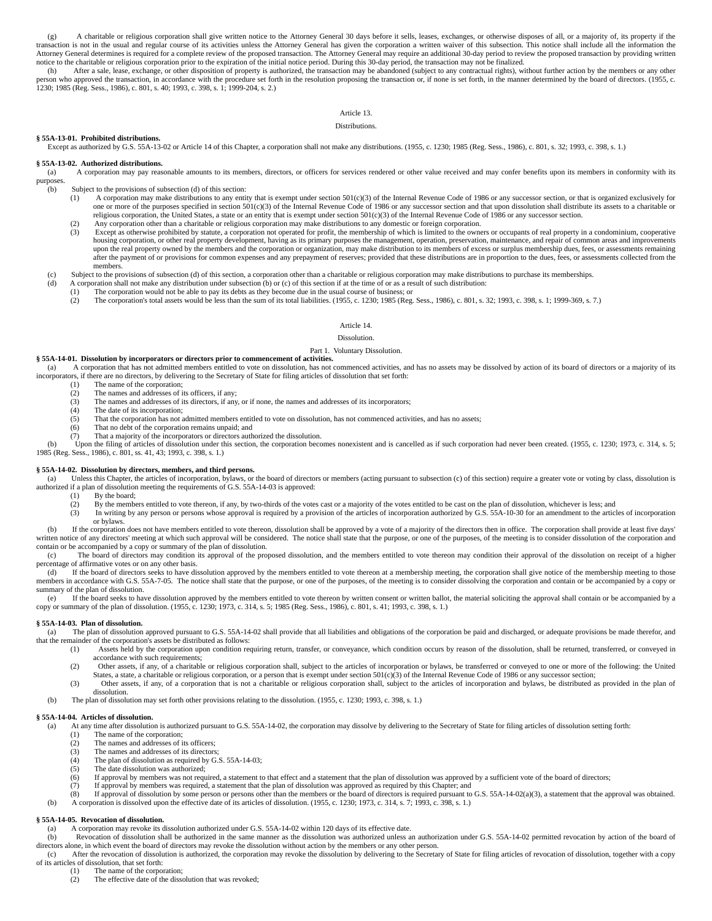(g) A charitable or religious corporation shall give written notice to the Attorney General 30 days before it sells, leases, exchanges, or otherwise disposes of all, or a majority of, its property if the transaction is not in the usual and regular course of its activities unless the Attorney General has given the corporation a written waiver of this subsection. This notice shall include all the information the Attorney General determines is required for a complete review of the proposed transaction. The Attorney General may require an additional 30-day period to review the proposed transaction by providing written<br>notice to the

(h) After a sale, lease, exchange, or other disposition of property is authorized, the transaction may be abandoned (subject to any contractual rights), without further action by the members or any other person who approved the transaction, in accordance with the procedure set forth in the resolution proposing the transaction or, if none is set forth, in the manner determined by the board of directors. (1955, c. 1230; 1985 (Reg. Sess., 1986), c. 801, s. 40; 1993, c. 398, s. 1; 1999-204, s. 2.)

# Article 13. **Distributions**

#### **§ 55A-13-01. Prohibited distributions.**

Except as authorized by G.S. 55A-13-02 or Article 14 of this Chapter, a corporation shall not make any distributions. (1955, c. 1230; 1985 (Reg. Sess., 1986), c. 801, s. 32; 1993, c. 398, s. 1.)

#### **§ 55A-13-02. Authorized distributions.**

(a) A corporation may pay reasonable amounts to its members, directors, or officers for services rendered or other value received and may confer benefits upon its members in conformity with its purposes.

(b) Subject to the provisions of subsection (d) of this section:

- (1) A corporation may make distributions to any entity that is exempt under section 501(c)(3) of the Internal Revenue Code of 1986 or any successor section, or that is organized exclusively for one or more of the purposes specified in section 501(c)(3) of the Internal Revenue Code of 1986 or any successor section and that upon dissolution shall distribute its assets to a charitable or religious corporation, the United States, a state or an entity that is exempt under section 501(c)(3) of the Internal Revenue Code of 1986 or any successor section. (2) Any corporation other than a charitable or religious corporation may make distributions to any domestic or foreign corporation.
- (3) Except as otherwise prohibited by statute, a corporation not operated for profit, the membership of which is limited to the owners or occupants of real property in a condominium, cooperative housing corporation, or other real property development, having as its primary purposes the management, operation, preservation, maintenance, and repair of common areas and improvements  $\mu$ upon the real property owned by the members and the corporation or organization, may make distribution to its members of excess or surplus membership dues, fees, or assessments remaining upon the real property owned b after the payment of or provisions for common expenses and any prepayment of reserves; provided that these distributions are in proportion to the dues, fees, or assessments collected from the members.
- (c) Subject to the provisions of subsection (d) of this section, a corporation other than a charitable or religious corporation may make distributions to purchase its memberships.
- (d) A corporation shall not make any distribution under subsection (b) or (c) of this section if at the time of or as a result of such distribution:<br>(1) The corporation would not be able to pay its debts as they become du
	- (1) The corporation would not be able to pay its debts as they become due in the usual course of business; or (2) The corporation's total assets would be less than the sum of its total liabilities. (1955, c. 1230; 1985 (Re The corporation's total assets would be less than the sum of its total liabilities. (1955, c. 1230; 1985 (Reg. Sess., 1986), c. 801, s. 32; 1993, c. 398, s. 1; 1999-369, s. 7.)

### Article 14.

#### Dissolution.

Part 1. Voluntary Dissolution.

# **§ 55A-14-01. Dissolution by incorporators or directors prior to commencement of activities.**

A corporation that has not admitted members entitled to vote on dissolution, has not commenced activities, and has no assets may be dissolved by action of its board of directors or a majority of its incorporators, if there are no directors, by delivering to the Secretary of State for filing articles of dissolution that set forth:

- (1) The name of the corporation;
- 
- (2) The names and addresses of its officers, if any;<br>
(3) The names and addresses of its directors, if any<br>
(4) The date of its incorporation; The names and addresses of its directors, if any, or if none, the names and addresses of its incorporators;
- (4) The date of its incorporation;<br>(5) That the corporation has not a
- That the corporation has not admitted members entitled to vote on dissolution, has not commenced activities, and has no assets;
- (6) That no debt of the corporation remains unpaid; and
- (7) That a majority of the incorporators or directors authorized the dissolution.

(b) Upon the filing of articles of dissolution under this section, the corporation becomes nonexistent and is cancelled as if such corporation had never been created. (1955, c. 1230; 1973, c. 314, s. 5; 1985 (Reg. Sess., 1986), c. 801, ss. 41, 43; 1993, c. 398, s. 1.)

#### **§ 55A-14-02. Dissolution by directors, members, and third persons.**

(a) Unless this Chapter, the articles of incorporation, bylaws, or the board of directors or members (acting pursuant to subsection (c) of this section) require a greater vote or voting by class, dissolution is authorized if a plan of dissolution meeting the requirements of G.S. 55A-14-03 is approved:<br>(1) By the board;

- By the board:
- (2) By the members entitled to vote thereon, if any, by two-thirds of the votes cast or a majority of the votes entitled to be cast on the plan of dissolution, whichever is less; and
- (3) In writing by any person or persons whose approval is required by a provision of the articles of incorporation authorized by G.S. 55A-10-30 for an amendment to the articles of incorporation or bylaws.

(b) If the corporation does not have members entitled to vote thereon, dissolution shall be approved by a vote of a majority of the directors then in office. The corporation shall provide at least five days' written notice of any directors' meeting at which such approval will be considered. The notice shall state that the purpose, or one of the purposes, of the meeting is to consider dissolution of the corporation and contain or be accompanied by a copy or summary of the plan of dissolution.

(c) The board of directors may condition its approval of the proposed dissolution, and the members entitled to vote thereon may condition their approval of the dissolution on receipt of a higher percentage of affirmative votes or on any other basis.<br>(d) If the board of directors seeks to have di-

If the board of directors seeks to have dissolution approved by the members entitled to vote thereon at a membership meeting, the corporation shall give notice of the membership meeting to those members in accordance with G.S. 55A-7-05. The notice shall state that the purpose, or one of the purposes, of the meeting is to consider dissolving the corporation and contain or be accompanied by a copy or summary of the plan of dissolution.

If the board seeks to have dissolution approved by the members entitled to vote thereon by written consent or written ballot, the material soliciting the approval shall contain or be accompanied by a copy or summary of the plan of dissolution. (1955, c. 1230; 1973, c. 314, s. 5; 1985 (Reg. Sess., 1986), c. 801, s. 41; 1993, c. 398, s. 1.)

#### **§ 55A-14-03. Plan of dissolution.**

(a) The plan of dissolution approved pursuant to G.S. 55A-14-02 shall provide that all liabilities and obligations of the corporation be paid and discharged, or adequate provisions be made therefor, and that the remainder of the corporation's assets be distributed as follows:<br>(1) Assets held by the corporation upon condition re

- Assets held by the corporation upon condition requiring return, transfer, or conveyance, which condition occurs by reason of the dissolution, shall be returned, transferred, or conveyed in accordance with such requirements;
- (2) Other assets, if any, of a charitable or religious corporation shall, subject to the articles of incorporation or bylaws, be transferred or conveyed to one or more of the following: the United
- States, a state, a charitable or religious corporation, or a person that is exempt under section 501(c)(3) of the Internal Revenue Code of 1986 or any successor section; (3) Other assets, if any, of a corporation that is not a charitable or religious corporation shall, subject to the articles of incorporation and bylaws, be distributed as provided in the plan of dissolution.
- (b) The plan of dissolution may set forth other provisions relating to the dissolution. (1955, c. 1230; 1993, c. 398, s. 1.)

# **§ 55A-14-04. Articles of dissolution.**

- (a) At any time after dissolution is authorized pursuant to G.S. 55A-14-02, the corporation may dissolve by delivering to the Secretary of State for filing articles of dissolution setting forth:<br>
(1) The name of the corpor
	- The name of the corporation;
	- (2) The names and addresses of its officers;
	-
	- (3) The names and addresses of its directors;<br>(4) The plan of dissolution as required by G.<br>(5) The date dissolution was authorized; The plan of dissolution as required by G.S. 55A-14-03;
	- (5) The date dissolution was authorized;<br>(6) If approval by members was not requ
	- If approval by members was not required, a statement to that effect and a statement that the plan of dissolution was approved by a sufficient vote of the board of directors;
	- (7) If approval by members was required, a statement that the plan of dissolution was approved as required by this Chapter; and
- (8) If approval of dissolution by some person or persons other than the members or the board of directors is required pursuant to G.S. 55A-14-02(a)(3), a statement that the approval was obtained. (b) A corporation is dissolved upon the effective date of its articles of dissolution. (1955, c. 1230; 1973, c. 314, s. 7; 1993, c. 398, s. 1.)

# **§ 55A-14-05. Revocation of dissolution.**

- (a) A corporation may revoke its dissolution authorized under G.S. 55A-14-02 within 120 days of its effective date.
- (b) Revocation of dissolution shall be authorized in the same manner as the dissolution was authorized unless an authorization under G.S. 55A-14-02 permitted revocation by action of the board of directors alone, in which event the board of directors may revoke the dissolution without action by the members or any other person.<br>(c) After the revocation of dissolution is authorized, the corporation may revoke the dis
- After the revocation of dissolution is authorized, the corporation may revoke the dissolution by delivering to the Secretary of State for filing articles of revocation of dissolution, together with a copy of its articles of dissolution, that set forth:
	- (1) The name of the corporation;
		- $(2)$  The effective date of the dissolution that was revoked;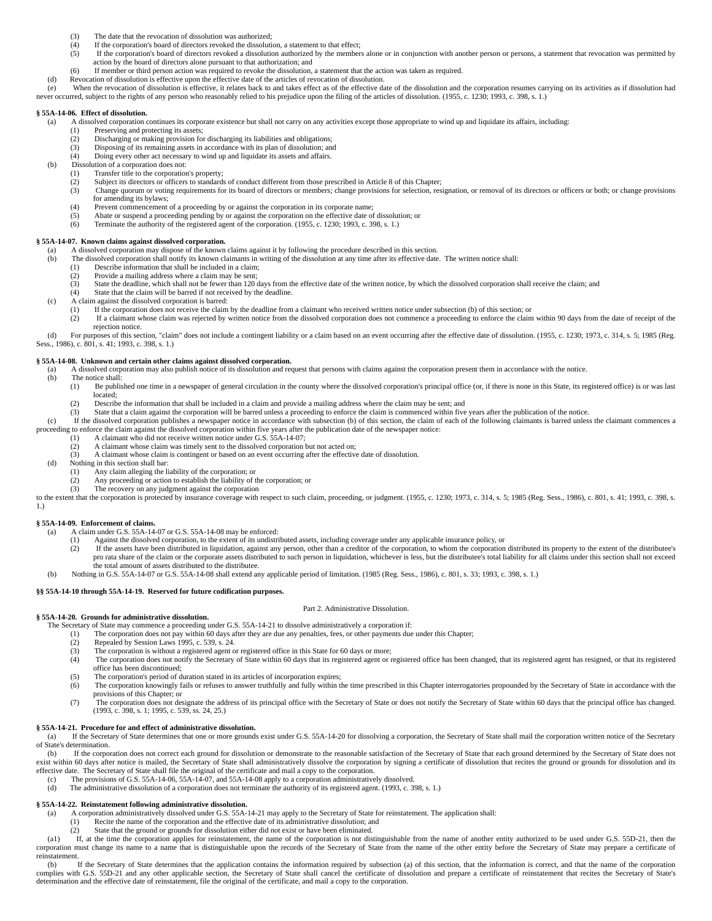- (3) The date that the revocation of dissolution was authorized;
- (4) If the corporation's board of directors revoked the dissolution, a statement to that effect;
- (5) If the corporation's board of directors revoked a dissolution authorized by the members alone or in conjunction with another person or persons, a statement that revocation was permitted by action by the board of directors alone pursuant to that authorization; and
- (6) If member or third person action was required to revoke the dissolution, a statement that the action was taken as required.
- (d) Revocation of dissolution is effective upon the effective date of the articles of revocation of dissolution.
- (e) When the revocation of dissolution is effective, it relates back to and takes effect as of the effective date of the dissolution and the corporation resumes carrying on its activities as if dissolution had never occurr

# **§ 55A-14-06. Effect of dissolution.**

- (a) A dissolved corporation continues its corporate existence but shall not carry on any activities except those appropriate to wind up and liquidate its affairs, including:
	-
- (1) Preserving and protecting its assets; (2) Discharging or making provision for discharging its liabilities and obligations;
	- (3) Disposing of its remaining assets in accordance with its plan of dissolution; and
- (4) Doing every other act necessary to wind up and liquidate its assets and affairs. (b) Dissolution of a corporation does not:
	- - (1) Transfer title to the corporation's property; (2) Subject its directors or officers to standards of conduct different from those prescribed in Article 8 of this Chapter;
	- (3) Change quorum or voting requirements for its board of directors or members; change provisions for selection, resignation, or removal of its directors or officers or both; or change provisions for amending its bylaws;
		-
		- (4) Prevent commencement of a proceeding by or against the corporation in its corporate name; (5) Abate or suspend a proceeding pending by or against the corporation on the effective date of dissolution; or
		- (6) Terminate the authority of the registered agent of the corporation. (1955, c. 1230; 1993, c. 398, s. 1.)

# **§ 55A-14-07. Known claims against dissolved corporation.**

- 
- (a) A dissolved corporation may dispose of the known claims against it by following the procedure described in this section.<br>(b) The dissolved corporation shall notify its known claimants in writing of the dissolution at a
	- (1) Describe information that shall be included in a claim;
	- (2) Provide a mailing address where a claim may be sent;
	- (3) State the deadline, which shall not be fewer than 120 days from the effective date of the written notice, by which the dissolved corporation shall receive the claim; and
- State that the claim will be barred if not received by the deadline. (4) State that the claim will be barred if not rece<br>(c) A claim against the dissolved corporation is barred:<br>(1) If the corporation does not receive the claim
	- - If the corporation does not receive the claim by the deadline from a claimant who received written notice under subsection (b) of this section; or
- (2) If a claimant whose claim was rejected by written notice from the dissolved corporation does not commence a proceeding to enforce the claim within 90 days from the date of receipt of the rejection notice.

(d) For purposes of this section, "claim" does not include a contingent liability or a claim based on an event occurring after the effective date of dissolution. (1955, c. 1230; 1973, c. 314, s. 5; 1985 (Reg. Sess., 1986), c. 801, s. 41; 1993, c. 398, s. 1.)

### **§ 55A-14-08. Unknown and certain other claims against dissolved corporation.**

- (a) A dissolved corporation may also publish notice of its dissolution and request that persons with claims against the corporation present them in accordance with the notice. (b) The notice shall:
- - (1) Be published one time in a newspaper of general circulation in the county where the dissolved corporation's principal office (or, if there is none in this State, its registered office) is or was last located;
	- (2) Describe the information that shall be included in a claim and provide a mailing address where the claim may be sent; and
	-
- (3) State that a claim against the corporation will be barred unless a proceeding to enforce the claim is commenced within five years after the publication of the notice.<br>(c) If the dissolved corporation publishes a newspa proceeding to enforce the claim against the dissolved corporation within five years after the publication date of the newspaper notice:
	-
- (1) A claimant who did not receive written notice under G.S. 55A-14-07;<br>(2) A claimant whose claim was timely sent to the dissolved corporation<br>(3) A claimant whose claim is contingent or based on an event occurring A claimant whose claim was timely sent to the dissolved corporation but not acted on;
	- A claimant whose claim is contingent or based on an event occurring after the effective date of dissolution.
	- (d) Nothing in this section shall bar:
		- (1) Any claim alleging the liability of the corporation; or
		- (2) Any proceeding or action to establish the liability of the corporation; or
		- (3) The recovery on any judgment against the corporation

to the extent that the corporation is protected by insurance coverage with respect to such claim, proceeding, or judgment. (1955, c. 1230; 1973, c. 314, s. 5; 1985 (Reg. Sess., 1986), c. 801, s. 41; 1993, c. 398, s. 398, s 1.)

#### **§ 55A-14-09. Enforcement of claims.**

- (a) A claim under G.S. 55A-14-07 or G.S. 55A-14-08 may be enforced:<br>(1) Against the dissolved corporation, to the extent of its undistri
	- (1) Against the dissolved corporation, to the extent of its undistributed assets, including coverage under any applicable insurance policy, or (2) If the assets have been distributed in liquidation. against any person, oth
	- If the assets have been distributed in liquidation, against any person, other than a creditor of the corporation, to whom the corporation distributed its property to the extent of the distributee's pro rata share of the claim or the corporate assets distributed to such person in liquidation, whichever is less, but the distributee's total liability for all claims under this section shall not exceed the total amount of assets distributed to the distributee
- (b) Nothing in G.S. 55A-14-07 or G.S. 55A-14-08 shall extend any applicable period of limitation. (1985 (Reg. Sess., 1986), c. 801, s. 33; 1993, c. 398, s. 1.)

#### **§§ 55A-14-10 through 55A-14-19. Reserved for future codification purposes.**

#### Part 2. Administrative Dissolution.

- **§ 55A-14-20. Grounds for administrative dissolution.** The Secretary of State may commence a proceeding under G.S. 55A-14-21 to dissolve administratively a corporation if:
	- (1) The corporation does not pay within 60 days after they are due any penalties, fees, or other payments due under this Chapter;
	- (2) Repealed by Session Laws 1995, c. 539, s. 24.
	-
	- (3) The corporation is without a registered agent or registered office in this State for 60 days or more;<br>(4) The corporation does not notify the Secretary of State within 60 days that its registered agent or r The corporation does not notify the Secretary of State within 60 days that its registered agent or registered office has been changed, that its registered agent has resigned, or that its registered office has been discontinued;
	- (5) The corporation's period of duration stated in its articles of incorporation expires;
	- (6) The corporation knowingly fails or refuses to answer truthfully and fully within the time prescribed in this Chapter interrogatories propounded by the Secretary of State in accordance with the provisions of this Chapter; or
	- (7) The corporation does not designate the address of its principal office with the Secretary of State or does not notify the Secretary of State within 60 days that the principal office has changed. (1993, c. 398, s. 1; 1995, c. 539, ss. 24, 25.)

# **§ 55A-14-21. Procedure for and effect of administrative dissolution.**

(a) If the Secretary of State determines that one or more grounds exist under G.S. 55A-14-20 for dissolving a corporation, the Secretary of State shall mail the corporation written notice of the Secretary of State's determination.

(b) If the corporation does not correct each ground for dissolution or demonstrate to the reasonable satisfaction of the Secretary of State that each ground determined by the Secretary of State does not exist within 60 days after notice is mailed, the Secretary of State shall administratively dissolve the corporation by signing a certificate of dissolution that recites the ground or grounds for dissolution and its effective date. The Secretary of State shall file the original of the certificate and mail a copy to the corporation.

- 
- (c) The provisions of G.S. 55A-14-06, 55A-14-07, and 55A-14-08 apply to a corporation administratively dissolved.<br>(d) The administrative dissolution of a corporation does not terminate the authority of its registered agent The administrative dissolution of a corporation does not terminate the authority of its registered agent. (1993, c. 398, s. 1.)

#### **§ 55A-14-22. Reinstatement following administrative dissolution.**

- (a) A corporation administratively dissolved under G.S. 55A-14-21 may apply to the Secretary of State for reinstatement. The application shall:<br>(1) Recite the name of the corporation and the effective date of its administr
	- Recite the name of the corporation and the effective date of its administrative dissolution; and
	- (2) State that the ground or grounds for dissolution either did not exist or have been eliminated.

(a1) If, at the time the corporation applies for reinstatement, the name of the corporation is not distinguishable from the name of another entity authorized to be used under G.S. 55D-21, then the corporation must change its name to a name that is distinguishable upon the records of the Secretary of State from the name of the other entity before the Secretary of State may prepare a certificate of reinstatement.

If the Secretary of State determines that the application contains the information required by subsection (a) of this section, that the information is correct, and that the name of the corporation complies with G.S. 55D-21 and any other applicable section, the Secretary of State shall cancel the certificate of dissolution and prepare a certificate of reinstatement that recites the Secretary of State's determination and the effective date of reinstatement, file the original of the certificate, and mail a copy to the corporation.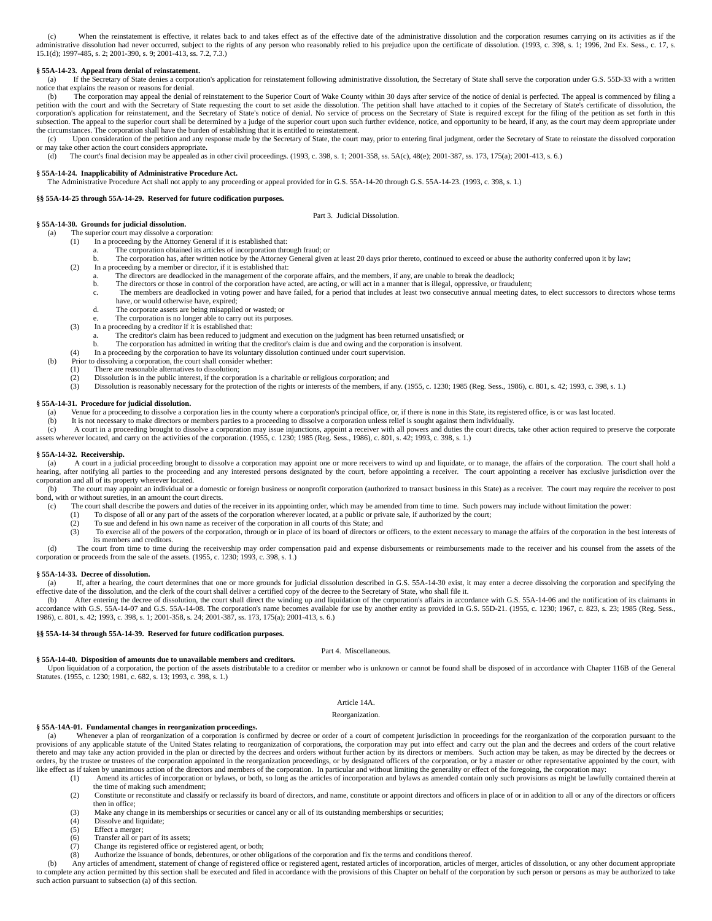(c) When the reinstatement is effective, it relates back to and takes effect as of the effective date of the administrative dissolution and the corporation resumes carrying on its activities as if the administrative dissolution had never occurred, subject to the rights of any person who reasonably relied to his prejudice upon the certificate of dissolution. (1993, c. 398, s. 1; 1996, 2nd Ex. Sess., c. 17, s. 15.1(d); 1997-485, s. 2; 2001-390, s. 9; 2001-413, ss. 7.2, 7.3.)

# **§ 55A-14-23. Appeal from denial of reinstatement.**

(a) If the Secretary of State denies a corporation's application for reinstatement following administrative dissolution, the Secretary of State shall serve the corporation under G.S. 55D-33 with a written notice that explains the reason or reasons for denial.

(b) The corporation may appeal the denial of reinstatement to the Superior Court of Wake County within 30 days after service of the notice of denial is perfected. The appeal is commenced by filing a petition with the court and with the Secretary of State requesting the court to set aside the dissolution. The petition shall have attached to it copies of the Secretary of State's certificate of dissolution, the corporation's application for reinstatement, and the Secretary of State's notice of denial. No service of process on the Secretary of State is required except for the filing of the petition as set forth in this subsection. The appeal to the superior court shall be determined by a judge of the superior court upon such further evidence, notice, and opportunity to be heard, if any, as the court may deem appropriate under the circumstances. The corporation shall have the burden of establishing that it is entitled to reinstatement.

(c) Upon consideration of the petition and any response made by the Secretary of State, the court may, prior to entering final judgment, order the Secretary of State to reinstate the dissolved corporation or may take other action the court considers appropriate.

(d) The court's final decision may be appealed as in other civil proceedings. (1993, c. 398, s. 1; 2001-358, ss. 5A(c), 48(e); 2001-387, ss. 173, 175(a); 2001-413, s. 6.)

**§ 55A-14-24. Inapplicability of Administrative Procedure Act.** The Administrative Procedure Act shall not apply to any proceeding or appeal provided for in G.S. 55A-14-20 through G.S. 55A-14-23. (1993, c. 398, s. 1.)

# **§§ 55A-14-25 through 55A-14-29. Reserved for future codification purposes.**

# Part 3. Judicial Dissolution.

- **§ 55A-14-30. Grounds for judicial dissolution.** (a) The superior court may dissolve a corporation:
	- (1) In a proceeding by the Attorney General if it is established that:
		- a. The corporation obtained its articles of incorporation through fraud; or
		- b. The corporation has, after written notice by the Attorney General given at least 20 days prior thereto, continued to exceed or abuse the authority conferred upon it by law;
	- (2) In a proceeding by a member or director, if it is established that:
		- a. The directors are deadlocked in the management of the corporate affairs, and the members, if any, are unable to break the deadlock;
		- b. The directors or those in control of the corporation have acted, are acting, or will act in a manner that is illegal, oppressive, or fraudulent;
		- c. The members are deadlocked in voting power and have failed, for a period that includes at least two consecutive annual meeting dates, to elect successors to directors whose terms have, or would otherwise have, expired;
		- d. The corporate assets are being misapplied or wasted; or
		- The corporation is no longer able to carry out its purposes.
		-
	- (3) In a proceeding by a creditor if it is established that: a. The creditor's claim has been reduced to judgment and execution on the judgment has been returned unsatisfied; or
	- b. The corporation has admitted in writing that the creditor's claim is due and owing and the corporation is insolvent.
	- (4) In a proceeding by the corporation to have its voluntary dissolution continued under court supervision.
	- (b) Prior to dissolving a corporation, the court shall consider whether:
		- (1) There are reasonable alternatives to dissolution;<br>(2) Dissolution is in the public interest, if the corpor
			- (2) Dissolution is in the public interest, if the corporation is a charitable or religious corporation; and (3) Dissolution is reasonably necessary for the protection of the rights or interests of the members, if
				- (3) Dissolution is reasonably necessary for the protection of the rights or interests of the members, if any. (1955, c. 1230; 1985 (Reg. Sess., 1986), c. 801, s. 42; 1993, c. 398, s. 1.)

#### **§ 55A-14-31. Procedure for judicial dissolution.**

- (a) Venue for a proceeding to dissolve a corporation lies in the county where a corporation's principal office, or, if there is none in this State, its registered office, is or was last located.<br>(b) It is not necessary to
	-
- (c) A court in a proceeding brought to dissolve a corporation may issue injunctions, appoint a receiver with all powers and duties the court directs, take other action required to preserve the corporate assets wherever located, and carry on the activities of the corporation. (1955, c. 1230; 1985 (Reg. Sess., 1986), c. 801, s. 42; 1993, c. 398, s. 1.)

#### **§ 55A-14-32. Receivership.**

(a) A court in a judicial proceeding brought to dissolve a corporation may appoint one or more receivers to wind up and liquidate, or to manage, the affairs of the corporation. The court shall hold a hearing, after notifying all parties to the proceeding and any interested persons designated by the court, before appointing a receiver. The court appointing a receiver has exclusive jurisdiction over the corporation and all of its property wherever located.

(b) The court may appoint an individual or a domestic or foreign business or nonprofit corporation (authorized to transact business in this State) as a receiver. The court may require the receiver to post bond, with or wit

- (c) The court shall describe the powers and duties of the receiver in its appointing order, which may be amended from time to time. Such powers may include without limitation the power:
	- (1) To dispose of all or any part of the assets of the corporation wherever located, at a public or private sale, if authorized by the court;
	- (2) To sue and defend in his own name as receiver of the corporation in all courts of this State; and
	- (3) To exercise all of the powers of the corporation, through or in place of its board of directors or officers, to the extent necessary to manage the affairs of the corporation in the best interests of its members and creditors.

(d) The court from time to time during the receivership may order compensation paid and expense disbursements or reimbursements made to the receiver and his counsel from the assets of the corporation or proceeds from the sale of the assets. (1955, c. 1230; 1993, c. 398, s. 1.)

# **§ 55A-14-33. Decree of dissolution.**

(a) If, after a hearing, the court determines that one or more grounds for judicial dissolution described in G.S. 55A-14-30 exist, it may enter a decree dissolving the corporation and specifying the effective date of the dissolution, and the clerk of the court shall deliver a certified copy of the decree to the Secretary of State, who shall file it.

(b) After entering the decree of dissolution, the court shall direct the winding up and liquidation of the corporation's affairs in accordance with G.S. 55A-14-06 and the notification of its claimants in accordance with G.

## **§§ 55A-14-34 through 55A-14-39. Reserved for future codification purposes.**

#### **§ 55A-14-40. Disposition of amounts due to unavailable members and creditors.**

Part 4. Miscellaneous. Upon liquidation of a corporation, the portion of the assets distributable to a creditor or member who is unknown or cannot be found shall be disposed of in accordance with Chapter 116B of the General Statutes. (1955, c. 1230; 1981, c. 682, s. 13; 1993, c. 398, s. 1.)

#### Article 14A.

# Reorganization.

# **§ 55A-14A-01. Fundamental changes in reorganization proceedings.**

Whenever a plan of reorganization of a corporation is confirmed by decree or order of a court of competent jurisdiction in proceedings for the reorganization of the corporation pursuant to the provisions of any applicable statute of the United States relating to reorganization of corporations, the corporation may put into effect and carry out the plan and the decrees and orders of the court relative<br>thereto and orders, by the trustee or trustees of the corporation appointed in the reorganization proceedings, or by designated officers of the corporation, or by a master or other representative appointed by the court, with

- like effect as if taken by unanimous action of the directors and members of the corporation. In particular and without limiting the generality or effect of the foregoing, the corporation may<br>(1) Amend its articles of incor Amend its articles of incorporation or bylaws, or both, so long as the articles of incorporation and bylaws as amended contain only such provisions as might be lawfully contained therein at the time of making such amendment;
	- (2) Constitute or reconstitute and classify or reclassify its board of directors, and name, constitute or appoint directors and officers in place of or in addition to all or any of the directors or officers then in office;
	- (3) Make any change in its memberships or securities or cancel any or all of its outstanding memberships or securities;
	- (4) Dissolve and liquidate;
	-
	- (5) Effect a merger;<br>(6) Transfer all or  $p_i$ Transfer all or part of its assets;
	- (7) Change its registered office or registered agent, or both;<br>(8) Authorize the issuance of bonds, debentures, or other of
	- (8) Authorize the issuance of bonds, debentures, or other obligations of the corporation and fix the terms and conditions thereof.

Any articles of amendment, statement of change of registered office or registered agent, restated articles of incorporation, articles of merger, articles of dissolution, or any other document appropriate to complete any action permitted by this section shall be executed and filed in accordance with the provisions of this Chapter on behalf of the corporation by such person or persons as may be authorized to take such action pursuant to subsection (a) of this section.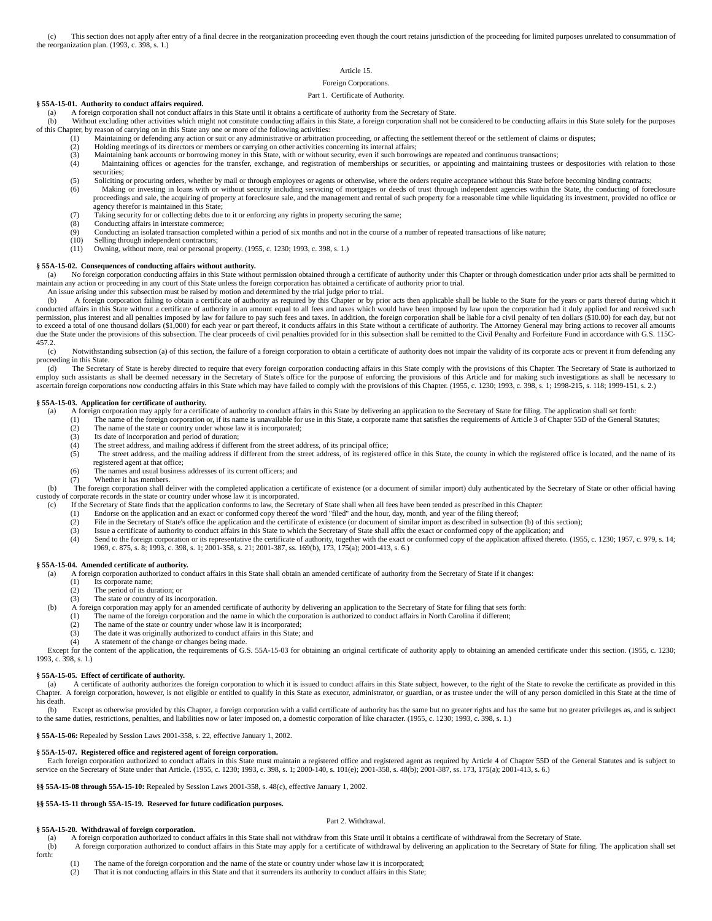(c) This section does not apply after entry of a final decree in the reorganization proceeding even though the court retains jurisdiction of the proceeding for limited purposes unrelated to consummation of the reorganization plan. (1993, c. 398, s. 1.)

# Article 15.

# Foreign Corporations.

# Part 1. Certificate of Authority.

# **§ 55A-15-01. Authority to conduct affairs required.**

(a) A foreign corporation shall not conduct affairs in this State until it obtains a certificate of authority from the Secretary of State.

- (b) Without excluding other activities which might not constitute conducting affairs in this State, a foreign corporation shall not be considered to be conducting affairs in this State solely for the purposes of this Chapter, by reason of carrying on in this State any one or more of the following activities:<br>(1) Maintaining or defending any action or suit or any administrative or arbitration proceeding, or affecting the settlem
	- - (2) Holding meetings of its directors or members or carrying on other activities concerning its internal affairs;
		- (3) Maintaining bank accounts or borrowing money in this State, with or without security, even if such borrowings are repeated and continuous transactions;
		- (4) Maintaining offices or agencies for the transfer, exchange, and registration of memberships or securities, or appointing and maintaining trustees or despositories with relation to those securities;
		- (5) Soliciting or procuring orders, whether by mail or through employees or agents or otherwise, where the orders require acceptance without this State before becoming binding contracts;<br>(6) Making or investing in loans wi
		- Making or investing in loans with or without security including servicing of mortgages or deeds of trust through independent agencies within the State, the conducting of foreclosure proceedings and sale, the acquiring of property at foreclosure sale, and the management and rental of such property for a reasonable time while liquidating its investment, provided no office or agency therefor is maintained in this State;
		- (7) Taking security for or collecting debts due to it or enforcing any rights in property securing the same;<br>(8) Conducting affairs in interstate commerce;
		- Conducting affairs in interstate commerce;
		- (9) Conducting an isolated transaction completed within a period of six months and not in the course of a number of repeated transactions of like nature;
		- (10) Selling through independent contractors;
	- (11) Owning, without more, real or personal property. (1955, c. 1230; 1993, c. 398, s. 1.)

# **§ 55A-15-02. Consequences of conducting affairs without authority.**

(a) No foreign corporation conducting affairs in this State without permission obtained through a certificate of authority under this Chapter or through domestication under prior acts shall be permitted to maintain any action or proceeding in any court of this State unless the foreign corporation has obtained a certificate of authority prior to trial.<br>An issue arising under this subsection must be raised by motion and determ

(b) A foreign corporation failing to obtain a certificate of authority as required by this Chapter or by prior acts then applicable shall be liable to the State for the years or parts thereof during which it conducted affairs in this State without a certificate of authority in an amount equal to all fees and taxes which would have been imposed by law upon the corporation had it duly applied for and received such permission, plus interest and all penalties imposed by law for failure to pay such fees and taxes. In addition, the foreign corporation shall be liable for a civil penalty of ten dollars (\$10.00) for each day, but not to exceed a total of one thousand dollars (\$1,000) for each year or part thereof, it conducts affairs in this State without a certificate of authority. The Attorney General may bring actions to recover all amounts due the State under the provisions of this subsection. The clear proceeds of civil penalties provided for in this subsection shall be remitted to the Civil Penalty and Forfeiture Fund in accordance with G.S. 115C-457.2.

(c) Notwithstanding subsection (a) of this section, the failure of a foreign corporation to obtain a certificate of authority does not impair the validity of its corporate acts or prevent it from defending any proceeding in this State.

(d) The Secretary of State is hereby directed to require that every foreign corporation conducting affairs in this State comply with the provisions of this Chapter. The Secretary of State is authorized to employ such assis ascertain foreign corporations now conducting affairs in this State which may have failed to comply with the provisions of this Chapter. (1955, c. 1230; 1993, c. 398, s. 1; 1998-215, s. 118; 1999-151, s. 2.)

### **§ 55A-15-03. Application for certificate of authority.**

- 
- (a) A foreign corporation may apply for a certificate of authority to conduct affairs in this State by delivering an application to the Secretary of State for filing. The application shall set forth:<br>(1) The name of the fo The name of the foreign corporation or, if its name is unavailable for use in this State, a corporate name that satisfies the requirements of Article 3 of Chapter 55D of the General Statutes;
	- (2) The name of the state or country under whose law it is incorporated;
	- (3) Its date of incorporation and period of duration;
	-
	- (4) The street address, and mailing address if different from the street address, of its principal office;<br>(5) The street address, and the mailing address if different from the street address, of its registered The street address, and the mailing address if different from the street address, of its registered office in this State, the county in which the registered office is located, and the name of its registered agent at that office;
	- (6) The names and usual business addresses of its current officers; and
	- (7) Whether it has members.

(b) The foreign corporation shall deliver with the completed application a certificate of existence (or a document of similar import) duly authenticated by the Secretary of State or other official having custody of corporate records in the state or country under whose law it is incorporated.

- (c) If the Secretary of State finds that the application conforms to law, the Secretary of State shall when all fees have been tended as prescribed in this Chapter:
	- (1) Endorse on the application and an exact or conformed copy thereof the word "filed" and the hour, day, month, and year of the filing thereof;
	- File in the Secretary of State's office the application and the certificate of existence (or document of similar import as described in subsection (b) of this section);<br>
	(3) Issue a certificate of authority to conduct affa
	- (3) Issue a certificate of authority to conduct affairs in this State to which the Secretary of State shall affix the exact or conformed copy of the application; and (4) Send to the foreign corporation or its representativ
	- Send to the foreign corporation or its representative the certificate of authority, together with the exact or conformed copy of the application affixed thereto. (1955, c. 1230; 1957, c. 979, s. 14; 1969, c. 875, s. 8; 1993, c. 398, s. 1; 2001-358, s. 21; 2001-387, ss. 169(b), 173, 175(a); 2001-413, s. 6.)

# **§ 55A-15-04. Amended certificate of authority.**

A foreign corporation authorized to conduct affairs in this State shall obtain an amended certificate of authority from the Secretary of State if it changes:<br>(1) Its corporate name:

- Its corporate name;
- (2) The period of its duration; or
- (3) The state or country of its incorporation.
- (b) A foreign corporation may apply for an amended certificate of authority by delivering an application to the Secretary of State for filing that sets forth:<br>
(1) The name of the foreign corporation and the name in which
	- The name of the foreign corporation and the name in which the corporation is authorized to conduct affairs in North Carolina if different;
	- (2) The name of the state or country under whose law it is incorporated;
	- $(3)$  The date it was originally authorized to conduct affairs in this State; and
	- (4) A statement of the change or changes being made.

Except for the content of the application, the requirements of G.S. 55A-15-03 for obtaining an original certificate of authority apply to obtaining an amended certificate under this section. (1955, c. 1230; 1993, c. 398, s. 1.)

# **§ 55A-15-05. Effect of certificate of authority.**

(a) A certificate of authority authorizes the foreign corporation to which it is issued to conduct affairs in this State subject, however, to the right of the State to revoke the certificate as provided in this Chapter. A foreign corporation, however, is not eligible or entitled to qualify in this State as executor, administrator, or guardian, or as trustee under the will of any person domiciled in this State at the time of his death.

(b) Except as otherwise provided by this Chapter, a foreign corporation with a valid certificate of authority has the same but no greater rights and has the same but no greater privileges as, and is subject to the same duties, restrictions, penalties, and liabilities now or later imposed on, a domestic corporation of like character. (1955, c. 1230, 1993, c. 398, s. 1.)

**§ 55A-15-06:** Repealed by Session Laws 2001-358, s. 22, effective January 1, 2002.

#### **§ 55A-15-07. Registered office and registered agent of foreign corporation.**

Each foreign corporation authorized to conduct affairs in this State must maintain a registered office and registered agent as required by Article 4 of Chapter 55D of the General Statutes and is subject to service on the Secretary of State under that Article. (1955, c. 1230; 1993, c. 398, s. 1; 2000-140, s. 101(e); 2001-358, s. 48(b); 2001-387, ss. 173, 175(a); 2001-413, s. 6.)

**§§ 55A-15-08 through 55A-15-10:** Repealed by Session Laws 2001-358, s. 48(c), effective January 1, 2002.

# **§§ 55A-15-11 through 55A-15-19. Reserved for future codification purposes.**

#### Part 2. Withdrawal.

- **§ 55A-15-20. Withdrawal of foreign corporation.**
- (a) A foreign corporation authorized to conduct affairs in this State shall not withdraw from this State until it obtains a certificate of withdrawal from the Secretary of State.
- (b) A foreign corporation authorized to conduct affairs in this State may apply for a certificate of withdrawal by delivering an application to the Secretary of State for filing. The application shall set forth:
	- (1) The name of the foreign corporation and the name of the state or country under whose law it is incorporated;
	- (2) That it is not conducting affairs in this State and that it surrenders its authority to conduct affairs in this State;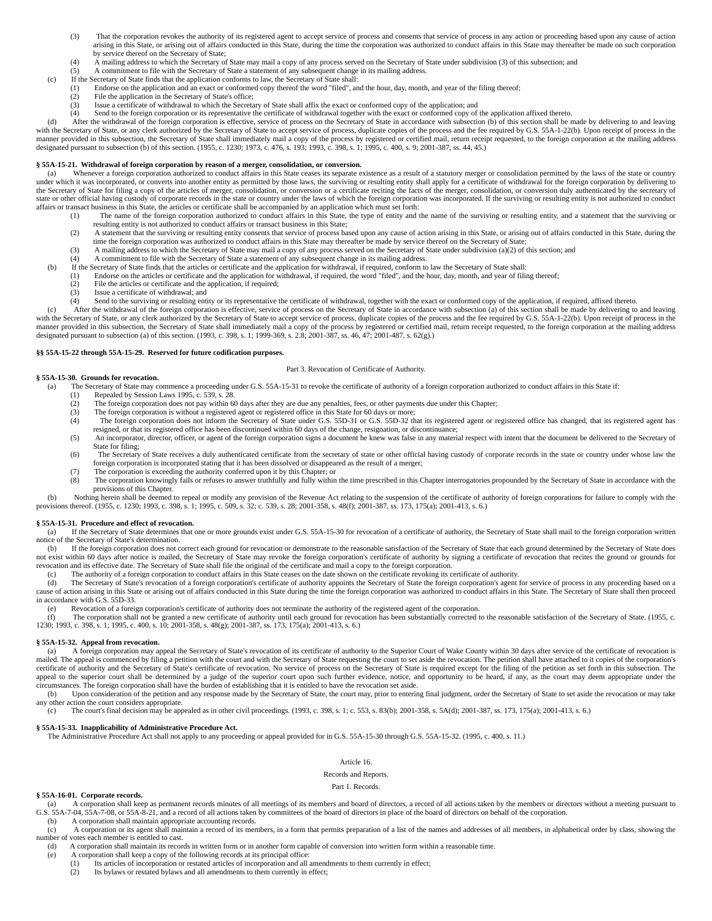- (3) That the corporation revokes the authority of its registered agent to accept service of process and consents that service of process in any action or proceeding based upon any cause of action arising in this State, or arising out of affairs conducted in this State, during the time the corporation was authorized to conduct affairs in this State may thereafter be made on such corporation by service thereof on the Secretary of State;
- (4) A mailing address to which the Secretary of State may mail a copy of any process served on the Secretary of State under subdivision (3) of this subsection; and
- (5) A commitment to file with the Secretary of State a statement of any subsequent change in its mailing address.
- (c) If the Secretary of State finds that the application conforms to law, the Secretary of State shall:<br>
(1) Endorse on the application and an exact or conformed copy thereof the word "filed", an<br>
(2) File the application
	- (1) Endorse on the application and an exact or conformed copy thereof the word "filed", and the hour, day, month, and year of the filing thereof;
	- File the application in the Secretary of State's office:
	- (3) Issue a certificate of withdrawal to which the Secretary of State shall affix the exact or conformed copy of the application; and  $(4)$  Send to the foreign corporation or its representative the certificate of withdraw
	- Send to the foreign corporation or its representative the certificate of withdrawal together with the exact or conformed copy of the application affixed thereto.

(d) After the withdrawal of the foreign corporation is effective, service of process on the Secretary of State in accordance with subsection (b) of this section shall be made by delivering to and leaving with the Secretary of State, or any clerk authorized by the Secretary of State to accept service of process, duplicate copies of the process and the fee required by G.S. 55A-1-22(b). Upon receipt of process in the<br>manner p designated pursuant to subsection (b) of this section. (1955, c. 1230; 1973, c. 476, s. 193; 1993, c. 398, s. 1; 1995, c. 400, s. 9; 2001-387, ss. 44, 45.)

# **§ 55A-15-21. Withdrawal of foreign corporation by reason of a merger, consolidation, or conversion.**

a) Whenever a foreign corporation authorized to conduct affairs in this State ceases its separate existence as a result of a statutory merger or consolidation permitted by the laws of the state or country under which it wa the Secretary of State for filing a copy of the articles of merger, consolidation, or conversion or a certificate reciting the facts of the merger, consolidation, or conversion duly authenticated by the secretary of state or other official having custody of corporate records in the state or country under the laws of which the foreign corporation was incorporated. If the surviving or resulting entity is not authorized to conduct

- affairs or transact business in this State, the articles or certificate shall be accompanied by an application which must set forth:<br>(1) The name of the foreign corporation authorized to conduct affairs in this State, the resulting entity is not authorized to conduct affairs or transact business in this State;
	- (2) A statement that the surviving or resulting entity consents that service of process based upon any cause of action arising in this State, or arising out of affairs conducted in this State, during the time the foreign corporation was authorized to conduct affairs in this State may thereafter be made by service thereof on the Secretary of State;
	- (3) A mailing address to which the Secretary of State may mail a copy of any process served on the Secretary of State under subdivision (a)(2) of this section; and
	- $(4)$  A commitment to file with the Secretary of State a statement of any subsequent change in its mailing address.
	- (b) If the Secretary of State finds that the articles or certificate and the application for withdrawal, if required, conform to law the Secretary of State shall:
		- (1) Endorse on the articles or certificate and the application for withdrawal, if required, the word "filed", and the hour, day, month, and year of filing thereof;
		- (2) File the articles or certificate and the application, if required;<br>(3) Issue a certificate of withdrawal; and<br>(4) Send to the surviving or resulting entity or its representative t
		- Issue a certificate of withdrawal; and
		- Send to the surviving or resulting entity or its representative the certificate of withdrawal, together with the exact or conformed copy of the application, if required, affixed thereto.

(c) After the withdrawal of the foreign corporation is effective, service of process on the Secretary of State in accordance with subsection (a) of this section shall be made by delivering to and leaving with the Secretary of State, or any clerk authorized by the Secretary of State to accept service of process, duplicate copies of the process and the fee required by G.S. 55A-1-22(b). Upon receipt of process in the manner provided in this subsection, the Secretary of State shall immediately mail a copy of the process by registered or certified mail, return receipt requested, to the foreign corporation at the mailing address<br>designate

# **§§ 55A-15-22 through 55A-15-29. Reserved for future codification purposes.**

#### Part 3. Revocation of Certificate of Authority.

- **§ 55A-15-30. Grounds for revocation.**
	- (a) The Secretary of State may commence a proceeding under G.S. 55A-15-31 to revoke the certificate of authority of a foreign corporation authorized to conduct affairs in this State if: (1) Repealed by Session Laws 1995, c. 539, s. 28.
		- (2) The foreign corporation does not pay within 60 days after they are due any penalties, fees, or other payments due under this Chapter;
			-
		- (3) The foreign corporation is without a registered agent or registered office in this State for 60 days or more;<br>(4) The foreign corporation does not inform the Secretary of State under G.S. 55D-31 or G.S. 55D-32 that its resigned, or that its registered office has been discontinued within 60 days of the change, resignation, or discontinuance;
		- (5) An incorporator, director, officer, or agent of the foreign corporation signs a document he knew was false in any material respect with intent that the document be delivered to the Secretary of State for filing;
		- (6) The Secretary of State receives a duly authenticated certificate from the secretary of state or other official having custody of corporate records in the state or country under whose law the foreign corporation is incorporated stating that it has been dissolved or disappeared as the result of a merger;
		- (7) The corporation is exceeding the authority conferred upon it by this Chapter; or
		- (8) The corporation knowingly fails or refuses to answer truthfully and fully within the time prescribed in this Chapter interrogatories propounded by the Secretary of State in accordance with the provisions of this Chapter.

(b) Nothing herein shall be deemed to repeal or modify any provision of the Revenue Act relating to the suspension of the certificate of authority of foreign corporations for failure to comply with the provisions thereof. (1955, c. 1230; 1993, c. 398, s. 1; 1995, c. 509, s. 32; c. 539, s. 28; 2001-358, s. 48(f); 2001-387, ss. 173, 175(a); 2001-413, s. 6.)

#### **§ 55A-15-31. Procedure and effect of revocation.**

(a) If the Secretary of State determines that one or more grounds exist under G.S. 55A-15-30 for revocation of a certificate of authority, the Secretary of State shall mail to the foreign corporation written notice of the Secretary of State's determination.<br>(b) If the foreign corporation does not c

If the foreign corporation does not correct each ground for revocation or demonstrate to the reasonable satisfaction of the Secretary of State that each ground determined by the Secretary of State does not exist within 60 days after notice is mailed, the Secretary of State may revoke the foreign corporation's certificate of authority by signing a certificate of revocation that recites the ground or grounds for revocation and its effective date. The Secretary of State shall file the original of the certificate and mail a copy to the foreign corporation.<br>(c) The authority of a foreign corporation to conduct affairs in this State c

(d) The Secretary of State's revocation of a foreign corporation's certificate of authority appoints the Secretary of State the foreign corporation's agent for service of process in any proceeding based on a cause of action arising in this State or arising out of affairs conducted in this State during the time the foreign corporation was authorized to conduct affairs in this State. The Secretary of State shall then proceed in accordance with G.S. 55D-33.

(e) Revocation of a foreign corporation's certificate of authority does not terminate the authority of the registered agent of the corporation.<br>(f) The corporation shall not be granted a new certificate of authority until 1230; 1993, c. 398, s. 1; 1995, c. 400, s. 10; 2001-358, s. 48(g); 2001-387, ss. 173, 175(a); 2001-413, s. 6.)

#### **§ 55A-15-32. Appeal from revocation.**

A foreign corporation may appeal the Secretary of State's revocation of its certificate of authority to the Superior Court of Wake County within 30 days after service of the certificate of revocation is mailed. The appeal is commenced by filing a petition with the court and with the Secretary of State requesting the court to set aside the revocation. The petition shall have attached to it copies of the corporation's certificate of authority and the Secretary of State's certificate of revocation. No service of process on the Secretary of State is required except for the filing of the petition as set forth in this subsection. The appeal to the superior court shall be determined by a judge of the superior court upon such further evidence, notice, and opportunity to be heard, if any, as the court may deem appropriate under the circumstances. The foreign corporation shall have the burden of establishing that it is entitled to have the revocation set aside.<br>(b) Upon consideration of the petition and any response made by the Secretary of State, the

Upon consideration of the petition and any response made by the Secretary of State, the court may, prior to entering final judgment, order the Secretary of State to set aside the revocation or may take any other action the court considers appropriate.

(c) The court's final decision may be appealed as in other civil proceedings. (1993, c. 398, s. 1; c. 553, s. 83(b); 2001-358, s. 5A(d); 2001-387, ss. 173, 175(a); 2001-413, s. 6.)

#### **§ 55A-15-33. Inapplicability of Administrative Procedure Act.**

The Administrative Procedure Act shall not apply to any proceeding or appeal provided for in G.S. 55A-15-30 through G.S. 55A-15-32. (1995, c. 400, s. 11.)

# Article 16.

# Records and Reports.

Part 1. Records.

# **§ 55A-16-01. Corporate records.**

A corporation shall keep as permanent records minutes of all meetings of its members and board of directors, a record of all actions taken by the members or directors without a meeting pursuant to G.S. 55A-7-04, 55A-7-08, or 55A-8-21, and a record of all actions taken by committees of the board of directors in place of the board of directors on behalf of the corporation.<br>G.S. 55A-7-04, 55A-7-08, or 55A-8-21, and a r

- (b) A corporation shall maintain appropriate accounting records.
- (c) A corporation or its agent shall maintain a record of its members, in a form that permits preparation of a list of the names and addresses of all members, in alphabetical order by class, showing the number of votes each member is entitled to cast.
	- (d) A corporation shall maintain its records in written form or in another form capable of conversion into written form within a reasonable time.
	- (e) A corporation shall keep a copy of the following records at its principal office: (1) Its articles of incorporation or restated articles of incorporation and all amendments to them currently in effect;
		- (2) Its bylaws or restated bylaws and all amendments to them currently in effect;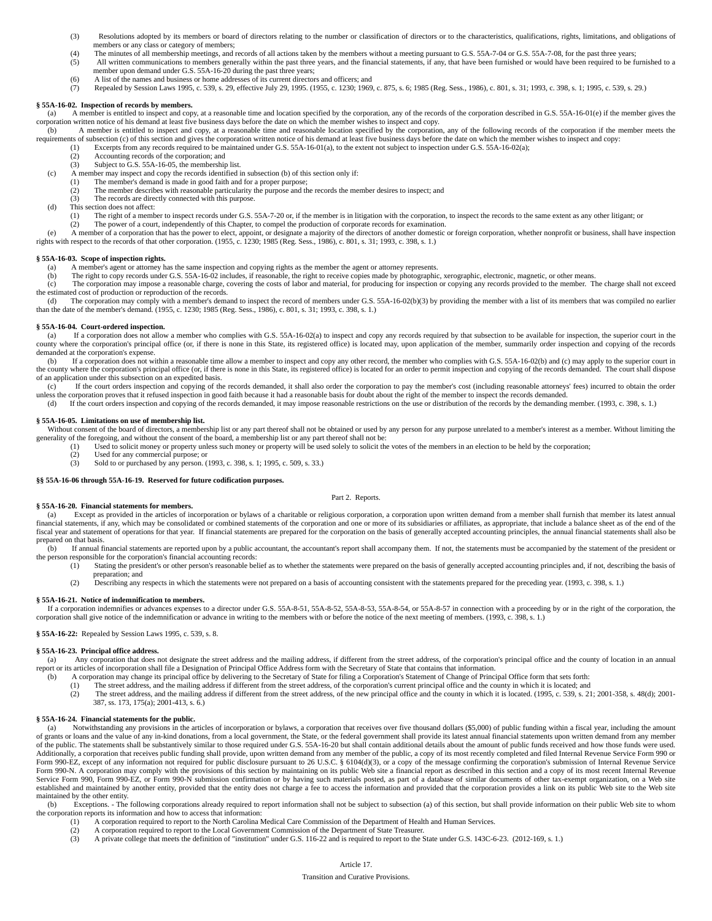- (3) Resolutions adopted by its members or board of directors relating to the number or classification of directors or to the characteristics, qualifications, rights, limitations, and obligations of members or any class or category of members;
- (4) The minutes of all membership meetings, and records of all actions taken by the members without a meeting pursuant to G.S. 55A-7-04 or G.S. 55A-7-08, for the past three years;<br>(5) All written communications to members All written communications to members generally within the past three years, and the financial statements, if any, that have been furnished or would have been required to be furnished to a property of the financial stateme member upon demand under G.S. 55A-16-20 during the past three years;
- (6) A list of the names and business or home addresses of its current directors and officers; and
- (7) Repealed by Session Laws 1995, c. 539, s. 29, effective July 29, 1995. (1955, c. 1230; 1969, c. 875, s. 6; 1985 (Reg. Sess., 1986), c. 801, s. 31; 1993, c. 398, s. 1; 1995, c. 539, s. 29.)

# **§ 55A-16-02. Inspection of records by members.**

(a) A member is entitled to inspect and copy, at a reasonable time and location specified by the corporation, any of the records of the corporation described in G.S. 55A-16-01(e) if the member gives the corporation written notice of his demand at least five business days before the date on which the member wishes to inspect and copy.

(b) A member is entitled to inspect and copy, at a reasonable time and reasonable location specified by the corporation, any of the following records of the corporation if the member meets the requirements of subsection (c (1) Excerpts from any records required to be maintained under G.S. 55A-16-01(a), to the extent not subject to inspection under G.S. 55A-16-02(a);

- 
- (2) Accounting records of the corporation; and<br>(3) Subject to G.S. 55A-16-05, the membership Subject to G.S. 55A-16-05, the membership list.
- 
- (c) A member may inspect and copy the records identified in subsection (b) of this section only if: (1) The member's demand is made in good faith and for a proper purpose;
	- (2) The member describes with reasonable particularity the purpose and the records the member desires to inspect; and
	- (3) The records are directly connected with this purpose.
- (d) This section does not affect:
	- (1) The right of a member to inspect records under G.S. 55A-7-20 or, if the member is in litigation with the corporation, to inspect the records to the same extent as any other litigant; or
- (2) The power of a court, independently of this Chapter, to compel the production of corporate records for examination. (e) A member of a corporation that has the power to elect, appoint, or designate a majority of the directors of another domestic or foreign corporation, whether nonprofit or business, shall have inspection

rights with respect to the records of that other corporation. (1955, c. 1230; 1985 (Reg. Sess., 1986), c. 801, s. 31; 1993, c. 398, s. 1.)

#### **§ 55A-16-03. Scope of inspection rights.**

(a) A member's agent or attorney has the same inspection and copying rights as the member the agent or attorney represents.

(b) The right to copy records under G.S. 55A-16-02 includes, if reasonable, the right to receive copies made by photographic, xerographic, electronic, magnetic, or other means.

(c) The corporation may impose a reasonable charge, covering the costs of labor and material, for producing for inspection or copying any records provided to the member. The charge shall not exceed the estimated cost of production or reproduction of the records.

(d) The corporation may comply with a member's demand to inspect the record of members under G.S. 55A-16-02(b)(3) by providing the member with a list of its members that was compiled no earlier (d) than the date of the member's demand. (1955, c. 1230; 1985 (Reg. Sess., 1986), c. 801, s. 31; 1993, c. 398, s. 1.)

S 55A-16-04. Court-ordered inspection.<br>(a) If a corporation does not allow a member who complies with G.S. 55A-16-02(a) to inspect and copy any records required by that subsection to be available for inspection, the superi county where the corporation's principal office (or, if there is none in this State, its registered office) is located may, upon application of the member, summarily order inspection and copying of the records demanded at the corporation's expense.

(b) If a corporation does not within a reasonable time allow a member to inspect and copy any other record, the member who complies with G.S. 55A-16-02(b) and (c) may apply to the superior court in the county where the corporation's principal office (or, if there is none in this State, its registered office) is located for an order to permit inspection and copying of the records demanded. The court shall dispose<br>of a

(c)<sup>1</sup> If the court orders inspection and copying of the records demanded, it shall also order the corporation to pay the member's cost (including reasonable attorneys' fees) incurred to obtain the order unless the corporation proves that it refused inspection in good faith because it had a reasonable basis for doubt about the right of the member to inspect the records demanded.

(d) If the court orders inspection and copying of the records demanded, it may impose reasonable restrictions on the use or distribution of the records by the demanding member. (1993, c. 398, s. 1.)

# **§ 55A-16-05. Limitations on use of membership list.**

Without consent of the board of directors, a membership list or any part thereof shall not be obtained or used by any person for any purpose unrelated to a member's interest as a member. Without limiting the

- generality of the foregoing, and without the consent of the board, a membership list or any part thereof shall not be:<br>
(1) Used to solicit money or property unless such money or property will be used solely to solicit the Used to solicit money or property unless such money or property will be used solely to solicit the votes of the members in an election to be held by the corporation;
	- (2) Used for any commercial purpose; or<br>  $(3)$  Sold to or purchased by any person.

Sold to or purchased by any person. (1993, c. 398, s. 1; 1995, c. 509, s. 33.)

#### **§§ 55A-16-06 through 55A-16-19. Reserved for future codification purposes.**

# Part 2. Reports.

**§ 55A-16-20. Financial statements for members.** Except as provided in the articles of incorporation or bylaws of a charitable or religious corporation, a corporation upon written demand from a member shall furnish that member its latest annual financial statements, if any, which may be consolidated or combined statements of the corporation and one or more of its subsidiaries or affiliates, as appropriate, that include a balance sheet as of the end of the fiscal year and statement of operations for that year. If financial statements are prepared for the corporation on the basis of generally accepted accounting principles, the annual financial statements shall also be prepared on that basis.

(b) If annual financial statements are reported upon by a public accountant, the accountant's report shall accompany them. If not, the statements must be accompanied by the statement of the president or the person responsible for the corporation's financial accounting records:

- (1) Stating the president's or other person's reasonable belief as to whether the statements were prepared on the basis of generally accepted accounting principles and, if not, describing the basis of preparation; and
	- (2) Describing any respects in which the statements were not prepared on a basis of accounting consistent with the statements prepared for the preceding year. (1993, c. 398, s. 1.)

#### **§ 55A-16-21. Notice of indemnification to members.**

If a corporation indemnifies or advances expenses to a director under G.S. 55A-8-51, 55A-8-52, 55A-8-53, 55A-8-54, or 55A-8-57 in connection with a proceeding by or in the right of the corporation, the corporation shall give notice of the indemnification or advance in writing to the members with or before the notice of the next meeting of members. (1993, c. 398, s. 1.)

#### **§ 55A-16-22:** Repealed by Session Laws 1995, c. 539, s. 8.

# **§ 55A-16-23. Principal office address.**

(a) Any corporation that does not designate the street address and the mailing address, if different from the street address, of the corporation's principal office and the county of location in an annual report or its articles of incorporation shall file a Designation of Principal Office Address form with the Secretary of State that contains that information.

- (b) A corporation may change its principal office by delivering to the Secretary of State for filing a Corporation's Statement of Change of Principal Office form that sets forth:
	-
	- (1) The street address, and the mailing address if different from the street address, of the corporation's current principal office and the county in which it is located; and<br>(2) The street address, and the mailing address 387, ss. 173, 175(a); 2001-413, s. 6.)

# **§ 55A-16-24. Financial statements for the public.**

(a) Notwithstanding any provisions in the articles of incorporation or bylaws, a corporation that receives over five thousand dollars (\$5,000) of public funding within a fiscal year, including the amount of grants or loans and the value of any in-kind donations, from a local government, the State, or the federal government shall provide its latest annual financial statements upon written demand from any member of the public. The statements shall be substantively similar to those required under G.S. 55A-16-20 but shall contain additional details about the amount of public funds received and how those funds were used. Additionally, a corporation that receives public funding shall provide, upon written demand from any member of the public, a copy of its most recently completed and filed Internal Revenue Service Form 990 or<br>Form 990-EZ, e Form 990-N. A corporation may comply with the provisions of this section by maintaining on its public Web site a financial report as described in this section and a copy of its most recent Internal Revenue Service Form 990, Form 990-EZ, or Form 990-N submission confirmation or by having such materials posted, as part of a database of similar documents of other tax-exempt organization, on a Web site established and maintained by another entity, provided that the entity does not charge a fee to access the information and provided that the corporation provides a link on its public Web site to the Web site maintained by the other entity.

(b) Exceptions. - The following corporations already required to report information shall not be subject to subsection (a) of this section, but shall provide information on their public Web site to whom

- the corporation reports its information and how to access that information:<br>(1) A corporation required to report to the North Carolina l (1) A corporation required to report to the North Carolina Medical Care Commission of the Department of Health and Human Services.
	- (2) A corporation required to report to the Local Government Commission of the Department of State Treasurer.
	- (3) A private college that meets the definition of "institution" under G.S. 116-22 and is required to report to the State under G.S. 143C-6-23. (2012-169, s. 1.)